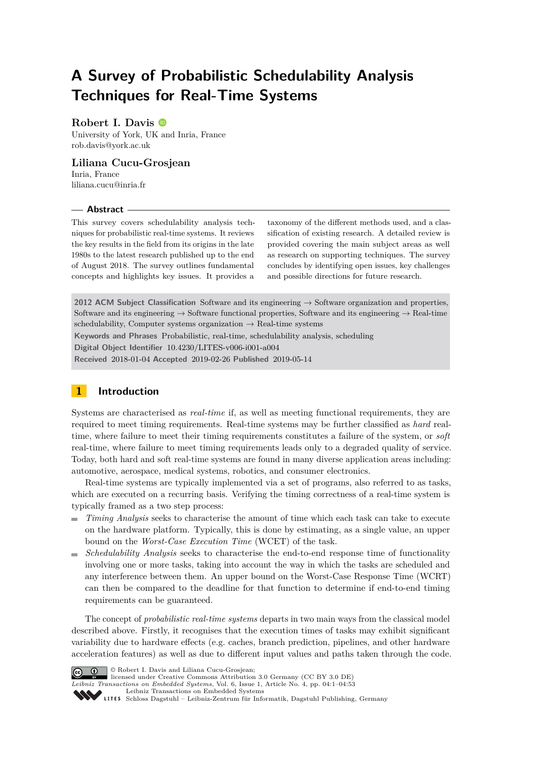# **A Survey of Probabilistic Schedulability Analysis Techniques for Real-Time Systems**

### **Robert I. Davis**

University of York, UK and Inria, France [rob.davis@york.ac.uk](mailto:rob.davis@york.ac.uk)

### **Liliana Cucu-Grosjean**

Inria, France [liliana.cucu@inria.fr](mailto:liliana.cucu@inria.fr)

#### **Abstract**

This survey covers schedulability analysis techniques for probabilistic real-time systems. It reviews the key results in the field from its origins in the late 1980s to the latest research published up to the end of August 2018. The survey outlines fundamental concepts and highlights key issues. It provides a

taxonomy of the different methods used, and a classification of existing research. A detailed review is provided covering the main subject areas as well as research on supporting techniques. The survey concludes by identifying open issues, key challenges and possible directions for future research.

**2012 ACM Subject Classification** Software and its engineering → Software organization and properties, Software and its engineering  $\rightarrow$  Software functional properties, Software and its engineering  $\rightarrow$  Real-time schedulability, Computer systems organization  $\rightarrow$  Real-time systems

**Keywords and Phrases** Probabilistic, real-time, schedulability analysis, scheduling

**Digital Object Identifier** [10.4230/LITES-v006-i001-a004](https://doi.org/10.4230/LITES-v006-i001-a004)

**Received** 2018-01-04 **Accepted** 2019-02-26 **Published** 2019-05-14

# <span id="page-0-0"></span>**1 Introduction**

Systems are characterised as *real-time* if, as well as meeting functional requirements, they are required to meet timing requirements. Real-time systems may be further classified as *hard* realtime, where failure to meet their timing requirements constitutes a failure of the system, or *soft* real-time, where failure to meet timing requirements leads only to a degraded quality of service. Today, both hard and soft real-time systems are found in many diverse application areas including: automotive, aerospace, medical systems, robotics, and consumer electronics.

Real-time systems are typically implemented via a set of programs, also referred to as tasks, which are executed on a recurring basis. Verifying the timing correctness of a real-time system is typically framed as a two step process:

- *Timing Analysis* seeks to characterise the amount of time which each task can take to execute on the hardware platform. Typically, this is done by estimating, as a single value, an upper bound on the *Worst-Case Execution Time* (WCET) of the task.
- *Schedulability Analysis* seeks to characterise the end-to-end response time of functionality involving one or more tasks, taking into account the way in which the tasks are scheduled and any interference between them. An upper bound on the Worst-Case Response Time (WCRT) can then be compared to the deadline for that function to determine if end-to-end timing requirements can be guaranteed.

The concept of *probabilistic real-time systems* departs in two main ways from the classical model described above. Firstly, it recognises that the execution times of tasks may exhibit significant variability due to hardware effects (e.g. caches, branch prediction, pipelines, and other hardware acceleration features) as well as due to different input values and paths taken through the code.



© Robert I. Davis and Liliana Cucu-Grosjean; licensed under Creative Commons Attribution 3.0 Germany (CC BY 3.0 DE)

*Leibniz Transactions on Embedded Systems*, Vol. 6, Issue 1, Article No. 4, pp. 04:1–04[:53](#page-52-0)

[Leibniz Transactions on Embedded Systems](http://www.dagstuhl.de/lites)

[Schloss Dagstuhl – Leibniz-Zentrum für Informatik, Dagstuhl Publishing, Germany](http://www.dagstuhl.de)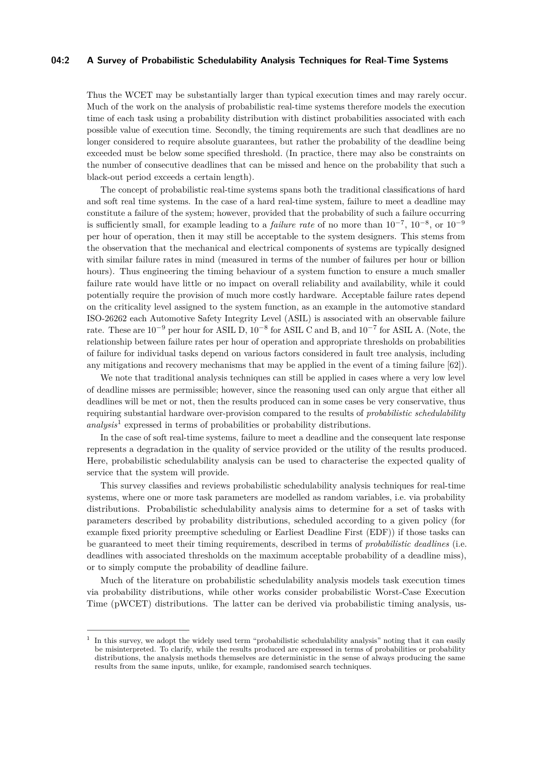### **04:2 A Survey of Probabilistic Schedulability Analysis Techniques for Real-Time Systems**

Thus the WCET may be substantially larger than typical execution times and may rarely occur. Much of the work on the analysis of probabilistic real-time systems therefore models the execution time of each task using a probability distribution with distinct probabilities associated with each possible value of execution time. Secondly, the timing requirements are such that deadlines are no longer considered to require absolute guarantees, but rather the probability of the deadline being exceeded must be below some specified threshold. (In practice, there may also be constraints on the number of consecutive deadlines that can be missed and hence on the probability that such a black-out period exceeds a certain length).

The concept of probabilistic real-time systems spans both the traditional classifications of hard and soft real time systems. In the case of a hard real-time system, failure to meet a deadline may constitute a failure of the system; however, provided that the probability of such a failure occurring is sufficiently small, for example leading to a *failure rate* of no more than 10<sup>−</sup><sup>7</sup> , 10<sup>−</sup><sup>8</sup> , or 10<sup>−</sup><sup>9</sup> per hour of operation, then it may still be acceptable to the system designers. This stems from the observation that the mechanical and electrical components of systems are typically designed with similar failure rates in mind (measured in terms of the number of failures per hour or billion hours). Thus engineering the timing behaviour of a system function to ensure a much smaller failure rate would have little or no impact on overall reliability and availability, while it could potentially require the provision of much more costly hardware. Acceptable failure rates depend on the criticality level assigned to the system function, as an example in the automotive standard ISO-26262 each Automotive Safety Integrity Level (ASIL) is associated with an observable failure rate. These are  $10^{-9}$  per hour for ASIL D,  $10^{-8}$  for ASIL C and B, and  $10^{-7}$  for ASIL A. (Note, the relationship between failure rates per hour of operation and appropriate thresholds on probabilities of failure for individual tasks depend on various factors considered in fault tree analysis, including any mitigations and recovery mechanisms that may be applied in the event of a timing failure [\[62\]](#page-48-0)).

We note that traditional analysis techniques can still be applied in cases where a very low level of deadline misses are permissible; however, since the reasoning used can only argue that either all deadlines will be met or not, then the results produced can in some cases be very conservative, thus requiring substantial hardware over-provision compared to the results of *probabilistic schedulability analysis*[1](#page-1-0) expressed in terms of probabilities or probability distributions.

In the case of soft real-time systems, failure to meet a deadline and the consequent late response represents a degradation in the quality of service provided or the utility of the results produced. Here, probabilistic schedulability analysis can be used to characterise the expected quality of service that the system will provide.

This survey classifies and reviews probabilistic schedulability analysis techniques for real-time systems, where one or more task parameters are modelled as random variables, i.e. via probability distributions. Probabilistic schedulability analysis aims to determine for a set of tasks with parameters described by probability distributions, scheduled according to a given policy (for example fixed priority preemptive scheduling or Earliest Deadline First (EDF)) if those tasks can be guaranteed to meet their timing requirements, described in terms of *probabilistic deadlines* (i.e. deadlines with associated thresholds on the maximum acceptable probability of a deadline miss), or to simply compute the probability of deadline failure.

Much of the literature on probabilistic schedulability analysis models task execution times via probability distributions, while other works consider probabilistic Worst-Case Execution Time (pWCET) distributions. The latter can be derived via probabilistic timing analysis, us-

<span id="page-1-0"></span><sup>&</sup>lt;sup>1</sup> In this survey, we adopt the widely used term "probabilistic schedulability analysis" noting that it can easily be misinterpreted. To clarify, while the results produced are expressed in terms of probabilities or probability distributions, the analysis methods themselves are deterministic in the sense of always producing the same results from the same inputs, unlike, for example, randomised search techniques.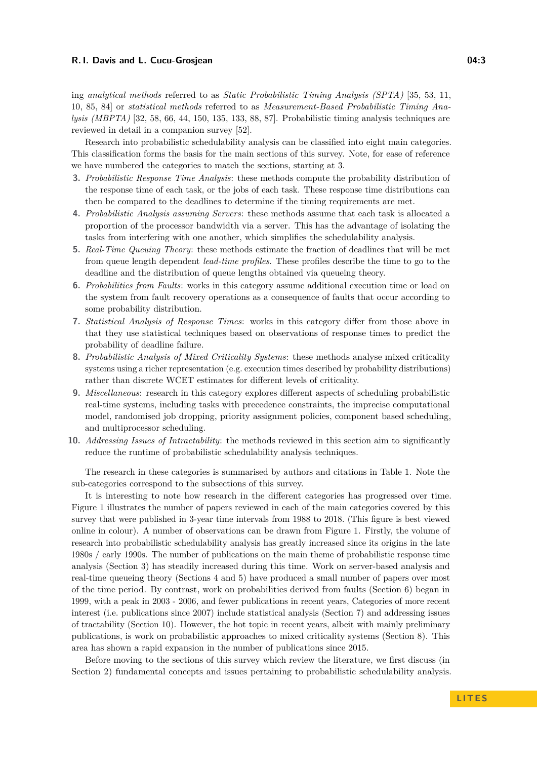ing *analytical methods* referred to as *Static Probabilistic Timing Analysis (SPTA)* [\[35,](#page-47-0) [53,](#page-47-1) [11,](#page-46-0) [10,](#page-46-1) [85,](#page-49-0) [84\]](#page-49-1) or *statistical methods* referred to as *Measurement-Based Probabilistic Timing Analysis (MBPTA)* [\[32,](#page-46-2) [58,](#page-48-1) [66,](#page-48-2) [44,](#page-47-2) [150,](#page-52-1) [135,](#page-51-0) [133,](#page-51-1) [88,](#page-49-2) [87\]](#page-49-3). Probabilistic timing analysis techniques are reviewed in detail in a companion survey [\[52\]](#page-47-3).

Research into probabilistic schedulability analysis can be classified into eight main categories. This classification forms the basis for the main sections of this survey. Note, for ease of reference we have numbered the categories to match the sections, starting at 3.

- **3.** *Probabilistic Response Time Analysis*: these methods compute the probability distribution of the response time of each task, or the jobs of each task. These response time distributions can then be compared to the deadlines to determine if the timing requirements are met.
- **4.** *Probabilistic Analysis assuming Servers*: these methods assume that each task is allocated a proportion of the processor bandwidth via a server. This has the advantage of isolating the tasks from interfering with one another, which simplifies the schedulability analysis.
- **5.** *Real-Time Queuing Theory*: these methods estimate the fraction of deadlines that will be met from queue length dependent *lead-time profiles*. These profiles describe the time to go to the deadline and the distribution of queue lengths obtained via queueing theory.
- **6.** *Probabilities from Faults*: works in this category assume additional execution time or load on the system from fault recovery operations as a consequence of faults that occur according to some probability distribution.
- **7.** *Statistical Analysis of Response Times*: works in this category differ from those above in that they use statistical techniques based on observations of response times to predict the probability of deadline failure.
- **8.** *Probabilistic Analysis of Mixed Criticality Systems*: these methods analyse mixed criticality systems using a richer representation (e.g. execution times described by probability distributions) rather than discrete WCET estimates for different levels of criticality.
- **9.** *Miscellaneous*: research in this category explores different aspects of scheduling probabilistic real-time systems, including tasks with precedence constraints, the imprecise computational model, randomised job dropping, priority assignment policies, component based scheduling, and multiprocessor scheduling.
- **10.** *Addressing Issues of Intractability*: the methods reviewed in this section aim to significantly reduce the runtime of probabilistic schedulability analysis techniques.

The research in these categories is summarised by authors and citations in Table [1.](#page-3-0) Note the sub-categories correspond to the subsections of this survey.

It is interesting to note how research in the different categories has progressed over time. Figure [1](#page-4-0) illustrates the number of papers reviewed in each of the main categories covered by this survey that were published in 3-year time intervals from 1988 to 2018. (This figure is best viewed online in colour). A number of observations can be drawn from Figure [1.](#page-4-0) Firstly, the volume of research into probabilistic schedulability analysis has greatly increased since its origins in the late 1980s / early 1990s. The number of publications on the main theme of probabilistic response time analysis (Section [3\)](#page-15-0) has steadily increased during this time. Work on server-based analysis and real-time queueing theory (Sections [4](#page-22-0) and [5\)](#page-25-0) have produced a small number of papers over most of the time period. By contrast, work on probabilities derived from faults (Section [6\)](#page-27-0) began in 1999, with a peak in 2003 - 2006, and fewer publications in recent years, Categories of more recent interest (i.e. publications since 2007) include statistical analysis (Section [7\)](#page-32-0) and addressing issues of tractability (Section [10\)](#page-41-0). However, the hot topic in recent years, albeit with mainly preliminary publications, is work on probabilistic approaches to mixed criticality systems (Section [8\)](#page-34-0). This area has shown a rapid expansion in the number of publications since 2015.

Before moving to the sections of this survey which review the literature, we first discuss (in Section [2\)](#page-4-1) fundamental concepts and issues pertaining to probabilistic schedulability analysis.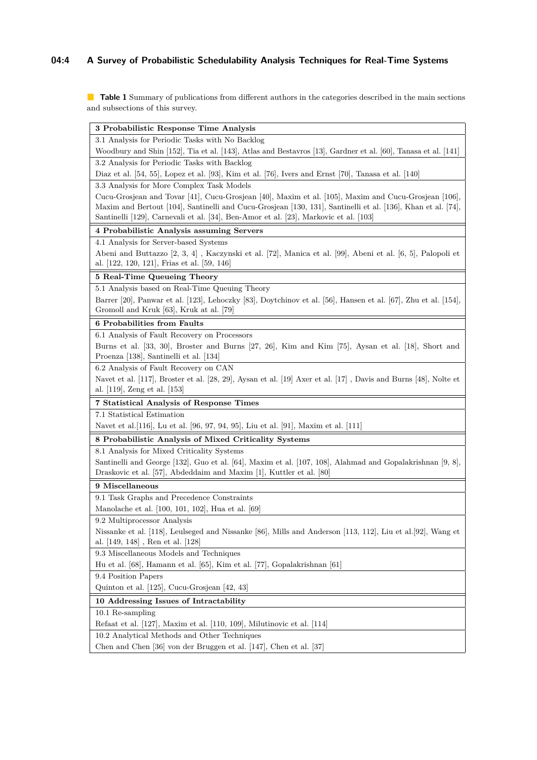# **04:4 A Survey of Probabilistic Schedulability Analysis Techniques for Real-Time Systems**

<span id="page-3-0"></span>**Table 1** Summary of publications from different authors in the categories described in the main sections and subsections of this survey.

| 3 Probabilistic Response Time Analysis                                                                                                                                                                                                                                                                       |
|--------------------------------------------------------------------------------------------------------------------------------------------------------------------------------------------------------------------------------------------------------------------------------------------------------------|
| 3.1 Analysis for Periodic Tasks with No Backlog                                                                                                                                                                                                                                                              |
| Woodbury and Shin [152], Tia et al. [143], Atlas and Bestavros [13], Gardner et al. [60], Tanasa et al. [141]                                                                                                                                                                                                |
| 3.2 Analysis for Periodic Tasks with Backlog                                                                                                                                                                                                                                                                 |
| Diaz et al. [54, 55], Lopez et al. [93], Kim et al. [76], Ivers and Ernst [70], Tanasa et al. [140]                                                                                                                                                                                                          |
| 3.3 Analysis for More Complex Task Models                                                                                                                                                                                                                                                                    |
| Cucu-Grosjean and Tovar [41], Cucu-Grosjean [40], Maxim et al. [105], Maxim and Cucu-Grosjean [106],<br>Maxim and Bertout [104], Santinelli and Cucu-Grosjean [130, 131], Santinelli et al. [136], Khan et al. [74],<br>Santinelli [129], Carnevali et al. [34], Ben-Amor et al. [23], Markovic et al. [103] |
| 4 Probabilistic Analysis assuming Servers                                                                                                                                                                                                                                                                    |
| 4.1 Analysis for Server-based Systems                                                                                                                                                                                                                                                                        |
| Abeni and Buttazzo [2, 3, 4], Kaczynski et al. [72], Manica et al. [99], Abeni et al. [6, 5], Palopoli et<br>al. [122, 120, 121], Frias et al. [59, 146]                                                                                                                                                     |
| 5 Real-Time Queueing Theory                                                                                                                                                                                                                                                                                  |
| 5.1 Analysis based on Real-Time Queuing Theory<br>Barrer [20], Panwar et al. [123], Lehoczky [83], Doytchinov et al. [56], Hansen et al. [67], Zhu et al. [154],<br>Gromoll and Kruk [63], Kruk at al. [79]                                                                                                  |
| 6 Probabilities from Faults                                                                                                                                                                                                                                                                                  |
| 6.1 Analysis of Fault Recovery on Processors<br>Burns et al. [33, 30], Broster and Burns [27, 26], Kim and Kim [75], Aysan et al. [18], Short and<br>Proenza [138], Santinelli et al. [134]                                                                                                                  |
| 6.2 Analysis of Fault Recovery on CAN                                                                                                                                                                                                                                                                        |
| Navet et al. [117], Broster et al. [28, 29], Aysan et al. [19] Axer et al. [17], Davis and Burns [48], Nolte et<br>al. [119], Zeng et al. [153]                                                                                                                                                              |
| 7 Statistical Analysis of Response Times                                                                                                                                                                                                                                                                     |
| 7.1 Statistical Estimation                                                                                                                                                                                                                                                                                   |
| Navet et al. 116, Lu et al. [96, 97, 94, 95], Liu et al. [91], Maxim et al. [111]                                                                                                                                                                                                                            |
| 8 Probabilistic Analysis of Mixed Criticality Systems                                                                                                                                                                                                                                                        |
|                                                                                                                                                                                                                                                                                                              |
| 8.1 Analysis for Mixed Criticality Systems                                                                                                                                                                                                                                                                   |
| Santinelli and George [132], Guo et al. [64], Maxim et al. [107, 108], Alahmad and Gopalakrishnan [9, 8],<br>Draskovic et al. [57], Abdeddaim and Maxim [1], Kuttler et al. [80]                                                                                                                             |
| 9 Miscellaneous                                                                                                                                                                                                                                                                                              |
| 9.1 Task Graphs and Precedence Constraints                                                                                                                                                                                                                                                                   |
| Manolache et al. [100, 101, 102], Hua et al. [69]                                                                                                                                                                                                                                                            |
| 9.2 Multiprocessor Analysis                                                                                                                                                                                                                                                                                  |
| Nissanke et al. [118], Leulseged and Nissanke [86], Mills and Anderson [113, 112], Liu et al. [92], Wang et<br>al. $[149, 148]$ , Ren et al. $[128]$                                                                                                                                                         |
| 9.3 Miscellaneous Models and Techniques                                                                                                                                                                                                                                                                      |
| Hu et al. [68], Hamann et al. [65], Kim et al. [77], Gopalakrishnan [61]                                                                                                                                                                                                                                     |
| 9.4 Position Papers                                                                                                                                                                                                                                                                                          |
| Quinton et al. [125], Cucu-Grosjean [42, 43]                                                                                                                                                                                                                                                                 |
| 10 Addressing Issues of Intractability                                                                                                                                                                                                                                                                       |
| 10.1 Re-sampling                                                                                                                                                                                                                                                                                             |
| Refaat et al. [127], Maxim et al. [110, 109], Milutinovic et al. [114]                                                                                                                                                                                                                                       |
| 10.2 Analytical Methods and Other Techniques                                                                                                                                                                                                                                                                 |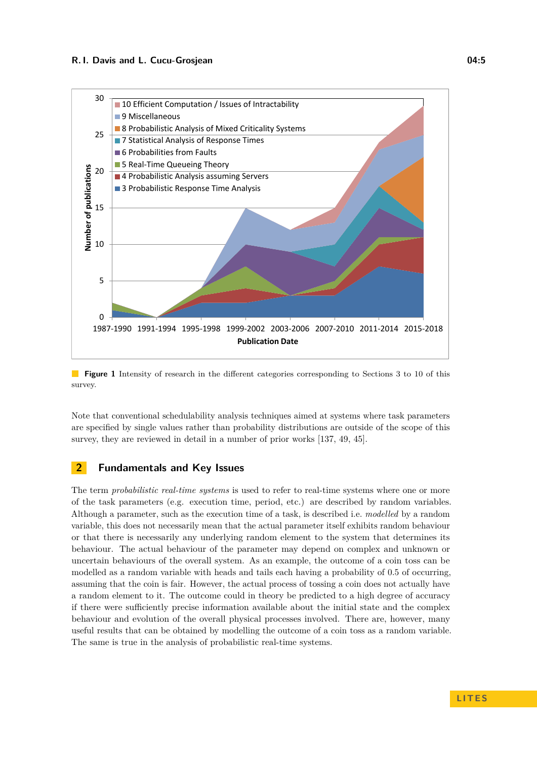<span id="page-4-0"></span>

**Figure 1** Intensity of research in the different categories corresponding to Sections 3 to 10 of this survey.

Note that conventional schedulability analysis techniques aimed at systems where task parameters are specified by single values rather than probability distributions are outside of the scope of this survey, they are reviewed in detail in a number of prior works [\[137,](#page-51-18) [49,](#page-47-16) [45\]](#page-47-17).

### <span id="page-4-1"></span>**2 Fundamentals and Key Issues**

The term *probabilistic real-time systems* is used to refer to real-time systems where one or more of the task parameters (e.g. execution time, period, etc.) are described by random variables. Although a parameter, such as the execution time of a task, is described i.e. *modelled* by a random variable, this does not necessarily mean that the actual parameter itself exhibits random behaviour or that there is necessarily any underlying random element to the system that determines its behaviour. The actual behaviour of the parameter may depend on complex and unknown or uncertain behaviours of the overall system. As an example, the outcome of a coin toss can be modelled as a random variable with heads and tails each having a probability of 0.5 of occurring, assuming that the coin is fair. However, the actual process of tossing a coin does not actually have a random element to it. The outcome could in theory be predicted to a high degree of accuracy if there were sufficiently precise information available about the initial state and the complex behaviour and evolution of the overall physical processes involved. There are, however, many useful results that can be obtained by modelling the outcome of a coin toss as a random variable. The same is true in the analysis of probabilistic real-time systems.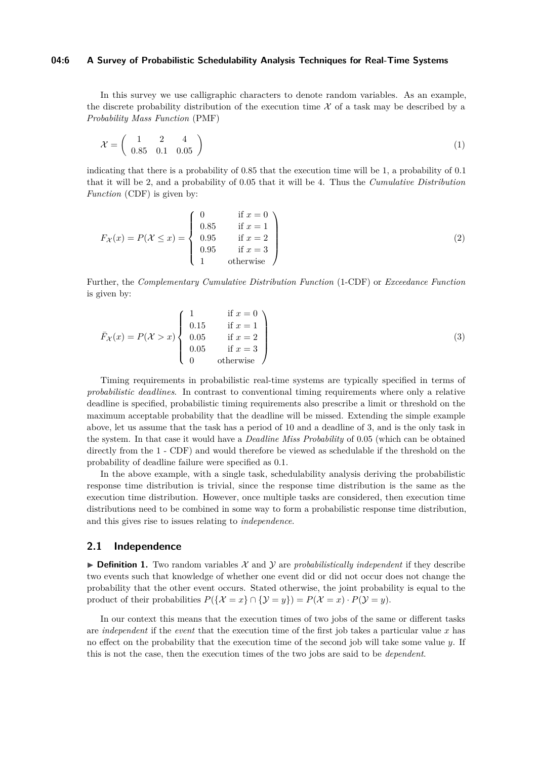#### **04:6 A Survey of Probabilistic Schedulability Analysis Techniques for Real-Time Systems**

In this survey we use calligraphic characters to denote random variables. As an example, the discrete probability distribution of the execution time  $\mathcal X$  of a task may be described by a *Probability Mass Function* (PMF)

$$
\mathcal{X} = \left( \begin{array}{ccc} 1 & 2 & 4 \\ 0.85 & 0.1 & 0.05 \end{array} \right) \tag{1}
$$

indicating that there is a probability of 0*.*85 that the execution time will be 1, a probability of 0*.*1 that it will be 2, and a probability of 0*.*05 that it will be 4. Thus the *Cumulative Distribution Function* (CDF) is given by:

$$
F_{\mathcal{X}}(x) = P(\mathcal{X} \le x) = \begin{cases} 0 & \text{if } x = 0 \\ 0.85 & \text{if } x = 1 \\ 0.95 & \text{if } x = 2 \\ 0.95 & \text{if } x = 3 \\ 1 & \text{otherwise} \end{cases}
$$
 (2)

Further, the *Complementary Cumulative Distribution Function* (1-CDF) or *Exceedance Function* is given by:

$$
\bar{F}_{\mathcal{X}}(x) = P(\mathcal{X} > x) \begin{cases}\n1 & \text{if } x = 0 \\
0.15 & \text{if } x = 1 \\
0.05 & \text{if } x = 2 \\
0.05 & \text{if } x = 3 \\
0 & \text{otherwise}\n\end{cases}
$$
\n(3)

Timing requirements in probabilistic real-time systems are typically specified in terms of *probabilistic deadlines*. In contrast to conventional timing requirements where only a relative deadline is specified, probabilistic timing requirements also prescribe a limit or threshold on the maximum acceptable probability that the deadline will be missed. Extending the simple example above, let us assume that the task has a period of 10 and a deadline of 3, and is the only task in the system. In that case it would have a *Deadline Miss Probability* of 0*.*05 (which can be obtained directly from the 1 - CDF) and would therefore be viewed as schedulable if the threshold on the probability of deadline failure were specified as 0*.*1.

In the above example, with a single task, schedulability analysis deriving the probabilistic response time distribution is trivial, since the response time distribution is the same as the execution time distribution. However, once multiple tasks are considered, then execution time distributions need to be combined in some way to form a probabilistic response time distribution, and this gives rise to issues relating to *independence*.

### **2.1 Independence**

 $\triangleright$  **Definition 1.** Two random variables X and Y are *probabilistically independent* if they describe two events such that knowledge of whether one event did or did not occur does not change the probability that the other event occurs. Stated otherwise, the joint probability is equal to the product of their probabilities  $P({\mathcal{X} = x} \cap {\mathcal{Y} = y}) = P({\mathcal{X} = x}) \cdot P({\mathcal{Y} = y}).$ 

In our context this means that the execution times of two jobs of the same or different tasks are *independent* if the *event* that the execution time of the first job takes a particular value *x* has no effect on the probability that the execution time of the second job will take some value *y*. If this is not the case, then the execution times of the two jobs are said to be *dependent*.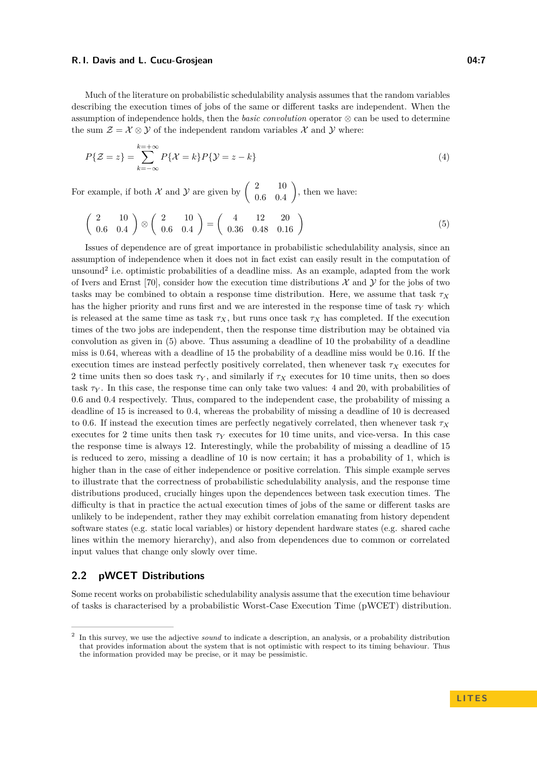Much of the literature on probabilistic schedulability analysis assumes that the random variables describing the execution times of jobs of the same or different tasks are independent. When the assumption of independence holds, then the *basic convolution* operator ⊗ can be used to determine the sum  $\mathcal{Z} = \mathcal{X} \otimes \mathcal{Y}$  of the independent random variables  $\mathcal{X}$  and  $\mathcal{Y}$  where:

$$
P\{\mathcal{Z} = z\} = \sum_{k=-\infty}^{k=+\infty} P\{\mathcal{X} = k\} P\{\mathcal{Y} = z - k\}
$$
\n<sup>(4)</sup>

For example, if both  $\mathcal X$  and  $\mathcal Y$  are given by  $\begin{pmatrix} 2 & 10 \\ 0 & 0 \\ 0 & 0 \end{pmatrix}$ 0*.*6 0*.*4 , then we have:

<span id="page-6-1"></span>
$$
\left(\begin{array}{cc} 2 & 10 \\ 0.6 & 0.4 \end{array}\right) \otimes \left(\begin{array}{cc} 2 & 10 \\ 0.6 & 0.4 \end{array}\right) = \left(\begin{array}{cc} 4 & 12 & 20 \\ 0.36 & 0.48 & 0.16 \end{array}\right) \tag{5}
$$

Issues of dependence are of great importance in probabilistic schedulability analysis, since an assumption of independence when it does not in fact exist can easily result in the computation of unsound<sup>[2](#page-6-0)</sup> i.e. optimistic probabilities of a deadline miss. As an example, adapted from the work of Ivers and Ernst [\[70\]](#page-48-5), consider how the execution time distributions  $\mathcal{X}$  and  $\mathcal{Y}$  for the jobs of two tasks may be combined to obtain a response time distribution. Here, we assume that task  $\tau_X$ has the higher priority and runs first and we are interested in the response time of task *τ<sup>Y</sup>* which is released at the same time as task  $\tau_X$ , but runs once task  $\tau_X$  has completed. If the execution times of the two jobs are independent, then the response time distribution may be obtained via convolution as given in [\(5\)](#page-6-1) above. Thus assuming a deadline of 10 the probability of a deadline miss is 0*.*64, whereas with a deadline of 15 the probability of a deadline miss would be 0*.*16. If the execution times are instead perfectly positively correlated, then whenever task  $\tau_X$  executes for 2 time units then so does task  $\tau_Y$ , and similarly if  $\tau_X$  executes for 10 time units, then so does task  $\tau_Y$ . In this case, the response time can only take two values: 4 and 20, with probabilities of 0*.*6 and 0*.*4 respectively. Thus, compared to the independent case, the probability of missing a deadline of 15 is increased to 0*.*4, whereas the probability of missing a deadline of 10 is decreased to 0*.*6. If instead the execution times are perfectly negatively correlated, then whenever task *τ<sup>X</sup>* executes for 2 time units then task *τ<sup>Y</sup>* executes for 10 time units, and vice-versa. In this case the response time is always 12. Interestingly, while the probability of missing a deadline of 15 is reduced to zero, missing a deadline of 10 is now certain; it has a probability of 1, which is higher than in the case of either independence or positive correlation. This simple example serves to illustrate that the correctness of probabilistic schedulability analysis, and the response time distributions produced, crucially hinges upon the dependences between task execution times. The difficulty is that in practice the actual execution times of jobs of the same or different tasks are unlikely to be independent, rather they may exhibit correlation emanating from history dependent software states (e.g. static local variables) or history dependent hardware states (e.g. shared cache lines within the memory hierarchy), and also from dependences due to common or correlated input values that change only slowly over time.

### **2.2 pWCET Distributions**

Some recent works on probabilistic schedulability analysis assume that the execution time behaviour of tasks is characterised by a probabilistic Worst-Case Execution Time (pWCET) distribution.

<span id="page-6-0"></span><sup>2</sup> In this survey, we use the adjective *sound* to indicate a description, an analysis, or a probability distribution that provides information about the system that is not optimistic with respect to its timing behaviour. Thus the information provided may be precise, or it may be pessimistic.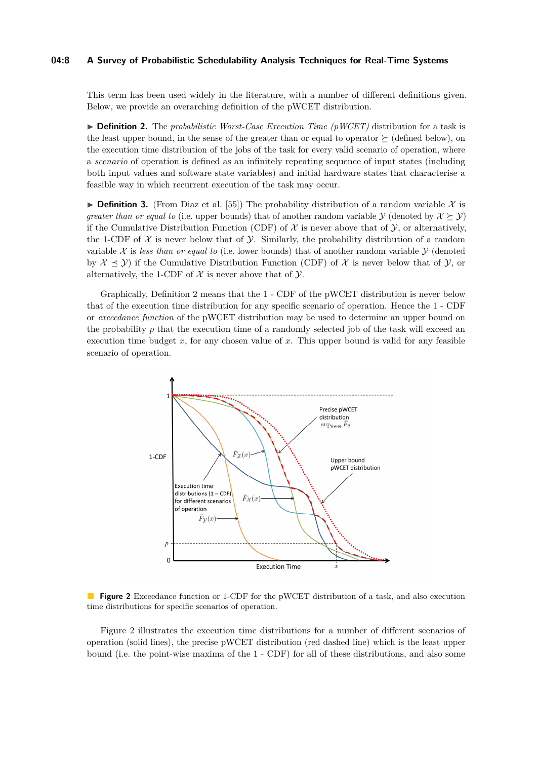#### **04:8 A Survey of Probabilistic Schedulability Analysis Techniques for Real-Time Systems**

This term has been used widely in the literature, with a number of different definitions given. Below, we provide an overarching definition of the pWCET distribution.

<span id="page-7-0"></span>▶ **Definition 2.** The *probabilistic Worst-Case Execution Time (pWCET)* distribution for a task is the least upper bound, in the sense of the greater than or equal to operator  $\succeq$  (defined below), on the execution time distribution of the jobs of the task for every valid scenario of operation, where a *scenario* of operation is defined as an infinitely repeating sequence of input states (including both input values and software state variables) and initial hardware states that characterise a feasible way in which recurrent execution of the task may occur.

<span id="page-7-2"></span>**Definition 3.** (From Diaz et al. [\[55\]](#page-47-5)) The probability distribution of a random variable X is *greater than or equal to* (i.e. upper bounds) that of another random variable  $\mathcal{Y}$  (denoted by  $\mathcal{X} \succeq \mathcal{Y}$ ) if the Cumulative Distribution Function (CDF) of  $\mathcal X$  is never above that of  $\mathcal Y$ , or alternatively, the 1-CDF of  $\mathcal X$  is never below that of  $\mathcal Y$ . Similarly, the probability distribution of a random variable  $X$  is *less than or equal to* (i.e. lower bounds) that of another random variable  $Y$  (denoted by  $\mathcal{X} \preceq \mathcal{Y}$ ) if the Cumulative Distribution Function (CDF) of X is never below that of Y, or alternatively, the 1-CDF of  $\mathcal X$  is never above that of  $\mathcal Y$ .

Graphically, Definition [2](#page-7-0) means that the 1 - CDF of the pWCET distribution is never below that of the execution time distribution for any specific scenario of operation. Hence the 1 - CDF or *exceedance function* of the pWCET distribution may be used to determine an upper bound on the probability *p* that the execution time of a randomly selected job of the task will exceed an execution time budget  $x$ , for any chosen value of  $x$ . This upper bound is valid for any feasible scenario of operation.

<span id="page-7-1"></span>

**Figure 2** Exceedance function or 1-CDF for the pWCET distribution of a task, and also execution time distributions for specific scenarios of operation.

Figure [2](#page-7-1) illustrates the execution time distributions for a number of different scenarios of operation (solid lines), the precise pWCET distribution (red dashed line) which is the least upper bound (i.e. the point-wise maxima of the 1 - CDF) for all of these distributions, and also some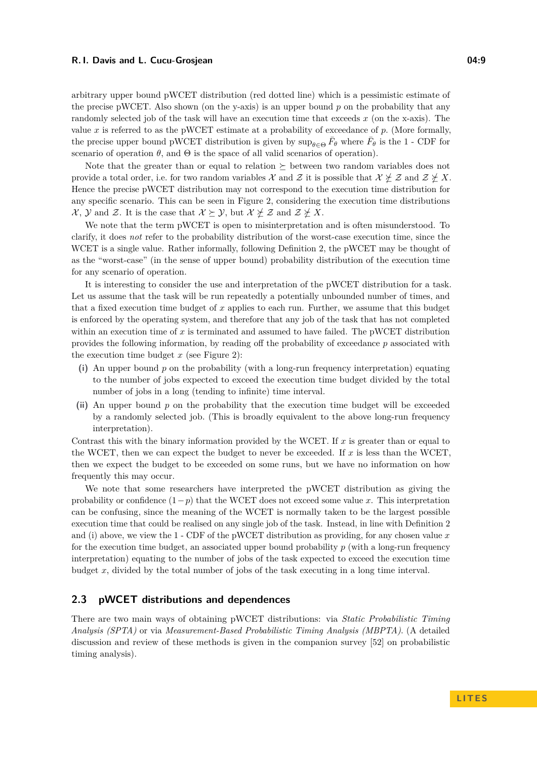arbitrary upper bound pWCET distribution (red dotted line) which is a pessimistic estimate of the precise pWCET. Also shown (on the y-axis) is an upper bound *p* on the probability that any randomly selected job of the task will have an execution time that exceeds *x* (on the x-axis). The value *x* is referred to as the pWCET estimate at a probability of exceedance of *p*. (More formally, the precise upper bound pWCET distribution is given by  $\sup_{\theta \in \Theta} \bar{F}_{\theta}$  where  $\bar{F}_{\theta}$  is the 1 - CDF for scenario of operation  $\theta$ , and  $\Theta$  is the space of all valid scenarios of operation).

Note that the greater than or equal to relation  $\succeq$  between two random variables does not provide a total order, i.e. for two random variables X and Z it is possible that  $\mathcal{X} \neq \mathcal{Z}$  and  $\mathcal{Z} \neq X$ . Hence the precise pWCET distribution may not correspond to the execution time distribution for any specific scenario. This can be seen in Figure [2,](#page-7-1) considering the execution time distributions  $\mathcal{X}, \mathcal{Y}$  and  $\mathcal{Z}.$  It is the case that  $\mathcal{X} \succeq \mathcal{Y}$ , but  $\mathcal{X} \not\subset \mathcal{Z}$  and  $\mathcal{Z} \not\succeq \mathcal{X}.$ 

We note that the term pWCET is open to misinterpretation and is often misunderstood. To clarify, it does *not* refer to the probability distribution of the worst-case execution time, since the WCET is a single value. Rather informally, following Definition [2,](#page-7-0) the pWCET may be thought of as the "worst-case" (in the sense of upper bound) probability distribution of the execution time for any scenario of operation.

It is interesting to consider the use and interpretation of the pWCET distribution for a task. Let us assume that the task will be run repeatedly a potentially unbounded number of times, and that a fixed execution time budget of *x* applies to each run. Further, we assume that this budget is enforced by the operating system, and therefore that any job of the task that has not completed within an execution time of  $x$  is terminated and assumed to have failed. The pWCET distribution provides the following information, by reading off the probability of exceedance *p* associated with the execution time budget *x* (see Figure [2\)](#page-7-1):

- **(i)** An upper bound *p* on the probability (with a long-run frequency interpretation) equating to the number of jobs expected to exceed the execution time budget divided by the total number of jobs in a long (tending to infinite) time interval.
- **(ii)** An upper bound *p* on the probability that the execution time budget will be exceeded by a randomly selected job. (This is broadly equivalent to the above long-run frequency interpretation).

Contrast this with the binary information provided by the WCET. If *x* is greater than or equal to the WCET, then we can expect the budget to never be exceeded. If  $x$  is less than the WCET, then we expect the budget to be exceeded on some runs, but we have no information on how frequently this may occur.

We note that some researchers have interpreted the pWCET distribution as giving the probability or confidence  $(1-p)$  that the WCET does not exceed some value x. This interpretation can be confusing, since the meaning of the WCET is normally taken to be the largest possible execution time that could be realised on any single job of the task. Instead, in line with Definition [2](#page-7-0) and (i) above, we view the 1 - CDF of the pWCET distribution as providing, for any chosen value *x* for the execution time budget, an associated upper bound probability *p* (with a long-run frequency interpretation) equating to the number of jobs of the task expected to exceed the execution time budget *x*, divided by the total number of jobs of the task executing in a long time interval.

### <span id="page-8-0"></span>**2.3 pWCET distributions and dependences**

There are two main ways of obtaining pWCET distributions: via *Static Probabilistic Timing Analysis (SPTA)* or via *Measurement-Based Probabilistic Timing Analysis (MBPTA)*. (A detailed discussion and review of these methods is given in the companion survey [\[52\]](#page-47-3) on probabilistic timing analysis).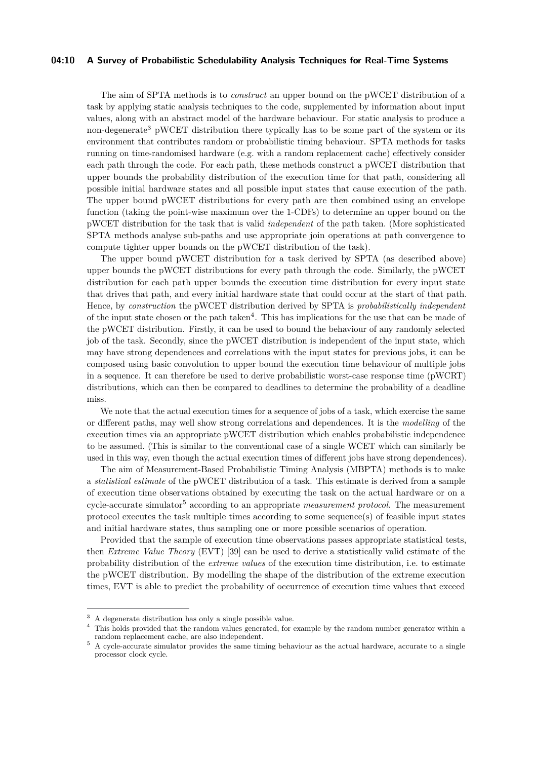### **04:10 A Survey of Probabilistic Schedulability Analysis Techniques for Real-Time Systems**

The aim of SPTA methods is to *construct* an upper bound on the pWCET distribution of a task by applying static analysis techniques to the code, supplemented by information about input values, along with an abstract model of the hardware behaviour. For static analysis to produce a non-degenerate[3](#page-9-0) pWCET distribution there typically has to be some part of the system or its environment that contributes random or probabilistic timing behaviour. SPTA methods for tasks running on time-randomised hardware (e.g. with a random replacement cache) effectively consider each path through the code. For each path, these methods construct a pWCET distribution that upper bounds the probability distribution of the execution time for that path, considering all possible initial hardware states and all possible input states that cause execution of the path. The upper bound pWCET distributions for every path are then combined using an envelope function (taking the point-wise maximum over the 1-CDFs) to determine an upper bound on the pWCET distribution for the task that is valid *independent* of the path taken. (More sophisticated SPTA methods analyse sub-paths and use appropriate join operations at path convergence to compute tighter upper bounds on the pWCET distribution of the task).

The upper bound pWCET distribution for a task derived by SPTA (as described above) upper bounds the pWCET distributions for every path through the code. Similarly, the pWCET distribution for each path upper bounds the execution time distribution for every input state that drives that path, and every initial hardware state that could occur at the start of that path. Hence, by *construction* the pWCET distribution derived by SPTA is *probabilistically independent* of the input state chosen or the path taken<sup>[4](#page-9-1)</sup>. This has implications for the use that can be made of the pWCET distribution. Firstly, it can be used to bound the behaviour of any randomly selected job of the task. Secondly, since the pWCET distribution is independent of the input state, which may have strong dependences and correlations with the input states for previous jobs, it can be composed using basic convolution to upper bound the execution time behaviour of multiple jobs in a sequence. It can therefore be used to derive probabilistic worst-case response time (pWCRT) distributions, which can then be compared to deadlines to determine the probability of a deadline miss.

We note that the actual execution times for a sequence of jobs of a task, which exercise the same or different paths, may well show strong correlations and dependences. It is the *modelling* of the execution times via an appropriate pWCET distribution which enables probabilistic independence to be assumed. (This is similar to the conventional case of a single WCET which can similarly be used in this way, even though the actual execution times of different jobs have strong dependences).

The aim of Measurement-Based Probabilistic Timing Analysis (MBPTA) methods is to make a *statistical estimate* of the pWCET distribution of a task. This estimate is derived from a sample of execution time observations obtained by executing the task on the actual hardware or on a cycle-accurate simulator[5](#page-9-2) according to an appropriate *measurement protocol*. The measurement protocol executes the task multiple times according to some sequence(s) of feasible input states and initial hardware states, thus sampling one or more possible scenarios of operation.

Provided that the sample of execution time observations passes appropriate statistical tests, then *Extreme Value Theory* (EVT) [\[39\]](#page-47-18) can be used to derive a statistically valid estimate of the probability distribution of the *extreme values* of the execution time distribution, i.e. to estimate the pWCET distribution. By modelling the shape of the distribution of the extreme execution times, EVT is able to predict the probability of occurrence of execution time values that exceed

<span id="page-9-0"></span><sup>3</sup> A degenerate distribution has only a single possible value.

<span id="page-9-1"></span><sup>4</sup> This holds provided that the random values generated, for example by the random number generator within a random replacement cache, are also independent.

<span id="page-9-2"></span><sup>&</sup>lt;sup>5</sup> A cycle-accurate simulator provides the same timing behaviour as the actual hardware, accurate to a single processor clock cycle.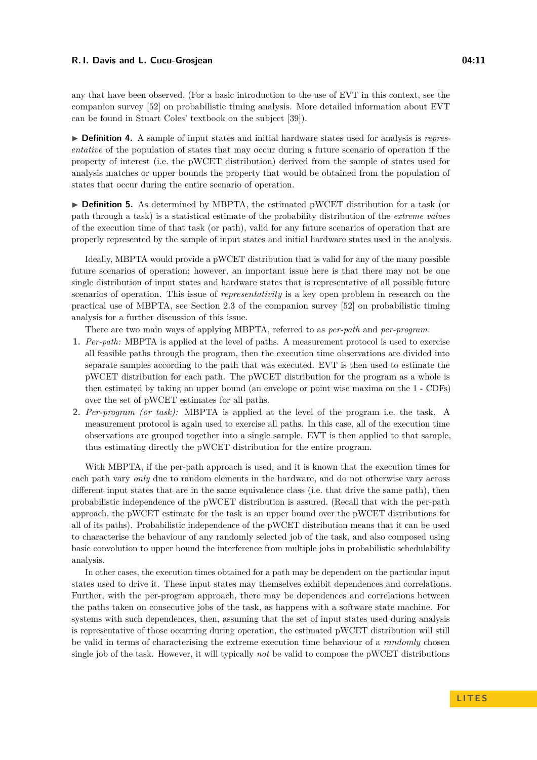any that have been observed. (For a basic introduction to the use of EVT in this context, see the companion survey [\[52\]](#page-47-3) on probabilistic timing analysis. More detailed information about EVT can be found in Stuart Coles' textbook on the subject [\[39\]](#page-47-18)).

▶ **Definition 4.** A sample of input states and initial hardware states used for analysis is *representative* of the population of states that may occur during a future scenario of operation if the property of interest (i.e. the pWCET distribution) derived from the sample of states used for analysis matches or upper bounds the property that would be obtained from the population of states that occur during the entire scenario of operation.

► **Definition 5.** As determined by MBPTA, the estimated pWCET distribution for a task (or path through a task) is a statistical estimate of the probability distribution of the *extreme values* of the execution time of that task (or path), valid for any future scenarios of operation that are properly represented by the sample of input states and initial hardware states used in the analysis.

Ideally, MBPTA would provide a pWCET distribution that is valid for any of the many possible future scenarios of operation; however, an important issue here is that there may not be one single distribution of input states and hardware states that is representative of all possible future scenarios of operation. This issue of *representativity* is a key open problem in research on the practical use of MBPTA, see Section 2.3 of the companion survey [\[52\]](#page-47-3) on probabilistic timing analysis for a further discussion of this issue.

There are two main ways of applying MBPTA, referred to as *per-path* and *per-program*:

- **1.** *Per-path:* MBPTA is applied at the level of paths. A measurement protocol is used to exercise all feasible paths through the program, then the execution time observations are divided into separate samples according to the path that was executed. EVT is then used to estimate the pWCET distribution for each path. The pWCET distribution for the program as a whole is then estimated by taking an upper bound (an envelope or point wise maxima on the 1 - CDFs) over the set of pWCET estimates for all paths.
- **2.** *Per-program (or task):* MBPTA is applied at the level of the program i.e. the task. A measurement protocol is again used to exercise all paths. In this case, all of the execution time observations are grouped together into a single sample. EVT is then applied to that sample, thus estimating directly the pWCET distribution for the entire program.

With MBPTA, if the per-path approach is used, and it is known that the execution times for each path vary *only* due to random elements in the hardware, and do not otherwise vary across different input states that are in the same equivalence class (i.e. that drive the same path), then probabilistic independence of the pWCET distribution is assured. (Recall that with the per-path approach, the pWCET estimate for the task is an upper bound over the pWCET distributions for all of its paths). Probabilistic independence of the pWCET distribution means that it can be used to characterise the behaviour of any randomly selected job of the task, and also composed using basic convolution to upper bound the interference from multiple jobs in probabilistic schedulability analysis.

In other cases, the execution times obtained for a path may be dependent on the particular input states used to drive it. These input states may themselves exhibit dependences and correlations. Further, with the per-program approach, there may be dependences and correlations between the paths taken on consecutive jobs of the task, as happens with a software state machine. For systems with such dependences, then, assuming that the set of input states used during analysis is representative of those occurring during operation, the estimated pWCET distribution will still be valid in terms of characterising the extreme execution time behaviour of a *randomly* chosen single job of the task. However, it will typically *not* be valid to compose the pWCET distributions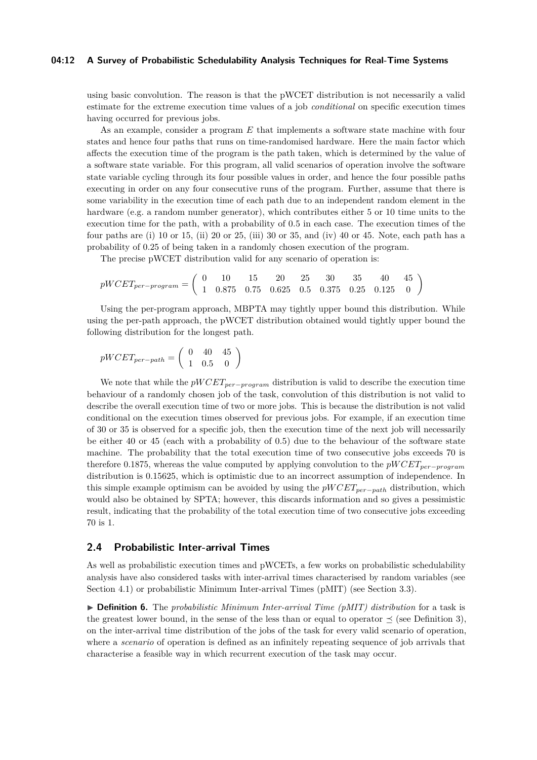#### **04:12 A Survey of Probabilistic Schedulability Analysis Techniques for Real-Time Systems**

using basic convolution. The reason is that the pWCET distribution is not necessarily a valid estimate for the extreme execution time values of a job *conditional* on specific execution times having occurred for previous jobs.

As an example, consider a program *E* that implements a software state machine with four states and hence four paths that runs on time-randomised hardware. Here the main factor which affects the execution time of the program is the path taken, which is determined by the value of a software state variable. For this program, all valid scenarios of operation involve the software state variable cycling through its four possible values in order, and hence the four possible paths executing in order on any four consecutive runs of the program. Further, assume that there is some variability in the execution time of each path due to an independent random element in the hardware (e.g. a random number generator), which contributes either 5 or 10 time units to the execution time for the path, with a probability of 0.5 in each case. The execution times of the four paths are (i) 10 or 15, (ii) 20 or 25, (iii) 30 or 35, and (iv) 40 or 45. Note, each path has a probability of 0.25 of being taken in a randomly chosen execution of the program.

The precise pWCET distribution valid for any scenario of operation is:

$$
pWCEPT_{per-program} = \left(\begin{array}{cccccc} 0 & 10 & 15 & 20 & 25 & 30 & 35 & 40 & 45 \\ 1 & 0.875 & 0.75 & 0.625 & 0.5 & 0.375 & 0.25 & 0.125 & 0 \end{array}\right)
$$

Using the per-program approach, MBPTA may tightly upper bound this distribution. While using the per-path approach, the pWCET distribution obtained would tightly upper bound the following distribution for the longest path.

$$
pWCET_{per-path} = \left(\begin{array}{cc} 0 & 40 & 45 \\ 1 & 0.5 & 0 \end{array}\right)
$$

We note that while the *pW CETper*−*program* distribution is valid to describe the execution time behaviour of a randomly chosen job of the task, convolution of this distribution is not valid to describe the overall execution time of two or more jobs. This is because the distribution is not valid conditional on the execution times observed for previous jobs. For example, if an execution time of 30 or 35 is observed for a specific job, then the execution time of the next job will necessarily be either 40 or 45 (each with a probability of 0.5) due to the behaviour of the software state machine. The probability that the total execution time of two consecutive jobs exceeds 70 is therefore 0.1875, whereas the value computed by applying convolution to the *pW CETper*−*program* distribution is 0.15625, which is optimistic due to an incorrect assumption of independence. In this simple example optimism can be avoided by using the *pW CETper*−*path* distribution, which would also be obtained by SPTA; however, this discards information and so gives a pessimistic result, indicating that the probability of the total execution time of two consecutive jobs exceeding 70 is 1.

### **2.4 Probabilistic Inter-arrival Times**

As well as probabilistic execution times and pWCETs, a few works on probabilistic schedulability analysis have also considered tasks with inter-arrival times characterised by random variables (see Section [4.1\)](#page-22-1) or probabilistic Minimum Inter-arrival Times (pMIT) (see Section [3.3\)](#page-19-0).

I **Definition 6.** The *probabilistic Minimum Inter-arrival Time (pMIT) distribution* for a task is the greatest lower bound, in the sense of the less than or equal to operator  $\preceq$  (see Definition [3\)](#page-7-2), on the inter-arrival time distribution of the jobs of the task for every valid scenario of operation, where a *scenario* of operation is defined as an infinitely repeating sequence of job arrivals that characterise a feasible way in which recurrent execution of the task may occur.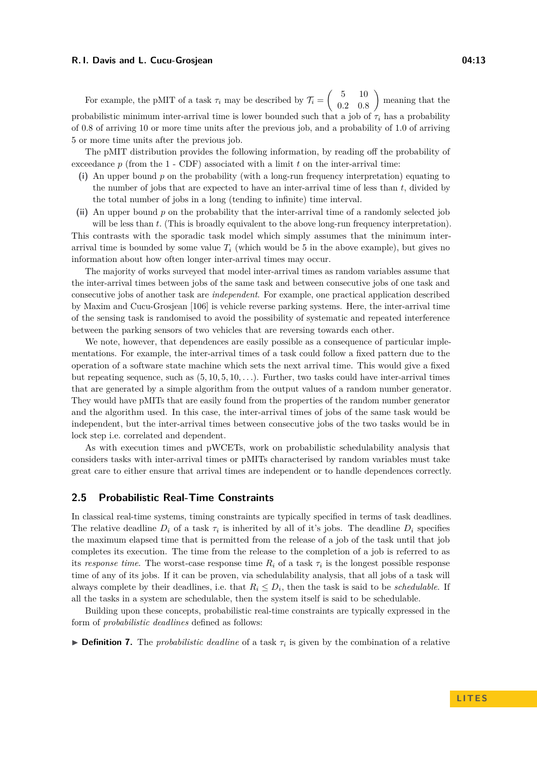For example, the pMIT of a task  $\tau_i$  may be described by  $\mathcal{T}_i = \begin{pmatrix} 5 & 10 \\ 0.3 & 0.5 \end{pmatrix}$ 0*.*2 0*.*8 meaning that the probabilistic minimum inter-arrival time is lower bounded such that a job of  $\tau_i$  has a probability of 0.8 of arriving 10 or more time units after the previous job, and a probability of 1.0 of arriving 5 or more time units after the previous job.

The pMIT distribution provides the following information, by reading off the probability of exceedance  $p$  (from the  $1$  - CDF) associated with a limit  $t$  on the inter-arrival time:

- **(i)** An upper bound *p* on the probability (with a long-run frequency interpretation) equating to the number of jobs that are expected to have an inter-arrival time of less than *t*, divided by the total number of jobs in a long (tending to infinite) time interval.
- **(ii)** An upper bound *p* on the probability that the inter-arrival time of a randomly selected job will be less than *t*. (This is broadly equivalent to the above long-run frequency interpretation). This contrasts with the sporadic task model which simply assumes that the minimum inter-

arrival time is bounded by some value  $T_i$  (which would be 5 in the above example), but gives no information about how often longer inter-arrival times may occur.

The majority of works surveyed that model inter-arrival times as random variables assume that the inter-arrival times between jobs of the same task and between consecutive jobs of one task and consecutive jobs of another task are *independent*. For example, one practical application described by Maxim and Cucu-Grosjean [\[106\]](#page-50-1) is vehicle reverse parking systems. Here, the inter-arrival time of the sensing task is randomised to avoid the possibility of systematic and repeated interference between the parking sensors of two vehicles that are reversing towards each other.

We note, however, that dependences are easily possible as a consequence of particular implementations. For example, the inter-arrival times of a task could follow a fixed pattern due to the operation of a software state machine which sets the next arrival time. This would give a fixed but repeating sequence, such as  $(5, 10, 5, 10, \ldots)$ . Further, two tasks could have inter-arrival times that are generated by a simple algorithm from the output values of a random number generator. They would have pMITs that are easily found from the properties of the random number generator and the algorithm used. In this case, the inter-arrival times of jobs of the same task would be independent, but the inter-arrival times between consecutive jobs of the two tasks would be in lock step i.e. correlated and dependent.

As with execution times and pWCETs, work on probabilistic schedulability analysis that considers tasks with inter-arrival times or pMITs characterised by random variables must take great care to either ensure that arrival times are independent or to handle dependences correctly.

### <span id="page-12-0"></span>**2.5 Probabilistic Real-Time Constraints**

In classical real-time systems, timing constraints are typically specified in terms of task deadlines. The relative deadline  $D_i$  of a task  $\tau_i$  is inherited by all of it's jobs. The deadline  $D_i$  specifies the maximum elapsed time that is permitted from the release of a job of the task until that job completes its execution. The time from the release to the completion of a job is referred to as its *response time*. The worst-case response time  $R_i$  of a task  $\tau_i$  is the longest possible response time of any of its jobs. If it can be proven, via schedulability analysis, that all jobs of a task will always complete by their deadlines, i.e. that  $R_i \leq D_i$ , then the task is said to be *schedulable*. If all the tasks in a system are schedulable, then the system itself is said to be schedulable.

Building upon these concepts, probabilistic real-time constraints are typically expressed in the form of *probabilistic deadlines* defined as follows:

**Definition 7.** The *probabilistic deadline* of a task  $\tau_i$  is given by the combination of a relative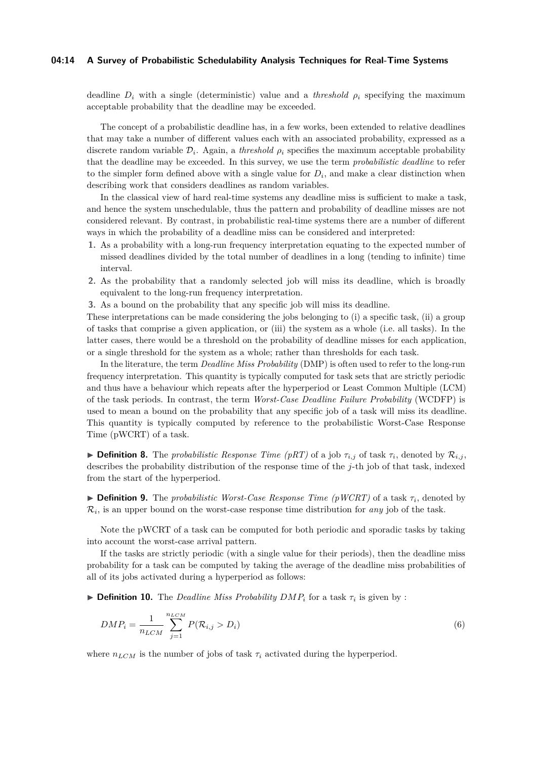### **04:14 A Survey of Probabilistic Schedulability Analysis Techniques for Real-Time Systems**

deadline  $D_i$  with a single (deterministic) value and a *threshold*  $\rho_i$  specifying the maximum acceptable probability that the deadline may be exceeded.

The concept of a probabilistic deadline has, in a few works, been extended to relative deadlines that may take a number of different values each with an associated probability, expressed as a discrete random variable  $\mathcal{D}_i$ . Again, a *threshold*  $\rho_i$  specifies the maximum acceptable probability that the deadline may be exceeded. In this survey, we use the term *probabilistic deadline* to refer to the simpler form defined above with a single value for  $D_i$ , and make a clear distinction when describing work that considers deadlines as random variables.

In the classical view of hard real-time systems any deadline miss is sufficient to make a task, and hence the system unschedulable, thus the pattern and probability of deadline misses are not considered relevant. By contrast, in probabilistic real-time systems there are a number of different ways in which the probability of a deadline miss can be considered and interpreted:

- **1.** As a probability with a long-run frequency interpretation equating to the expected number of missed deadlines divided by the total number of deadlines in a long (tending to infinite) time interval.
- **2.** As the probability that a randomly selected job will miss its deadline, which is broadly equivalent to the long-run frequency interpretation.
- **3.** As a bound on the probability that any specific job will miss its deadline.

These interpretations can be made considering the jobs belonging to (i) a specific task, (ii) a group of tasks that comprise a given application, or (iii) the system as a whole (i.e. all tasks). In the latter cases, there would be a threshold on the probability of deadline misses for each application, or a single threshold for the system as a whole; rather than thresholds for each task.

In the literature, the term *Deadline Miss Probability* (DMP) is often used to refer to the long-run frequency interpretation. This quantity is typically computed for task sets that are strictly periodic and thus have a behaviour which repeats after the hyperperiod or Least Common Multiple (LCM) of the task periods. In contrast, the term *Worst-Case Deadline Failure Probability* (WCDFP) is used to mean a bound on the probability that any specific job of a task will miss its deadline. This quantity is typically computed by reference to the probabilistic Worst-Case Response Time (pWCRT) of a task.

**Definition 8.** The *probabilistic Response Time (pRT)* of a job  $\tau_{i,j}$  of task  $\tau_i$ , denoted by  $\mathcal{R}_{i,j}$ , describes the probability distribution of the response time of the *j*-th job of that task, indexed from the start of the hyperperiod.

 $\triangleright$  **Definition 9.** The *probabilistic Worst-Case Response Time (pWCRT)* of a task  $\tau_i$ , denoted by  $\mathcal{R}_i$ , is an upper bound on the worst-case response time distribution for *any* job of the task.

Note the pWCRT of a task can be computed for both periodic and sporadic tasks by taking into account the worst-case arrival pattern.

If the tasks are strictly periodic (with a single value for their periods), then the deadline miss probability for a task can be computed by taking the average of the deadline miss probabilities of all of its jobs activated during a hyperperiod as follows:

**Definition 10.** The *Deadline Miss Probability DMP<sub>i</sub>* for a task  $\tau_i$  is given by :

$$
DMP_i = \frac{1}{n_{LCM}} \sum_{j=1}^{n_{LCM}} P(\mathcal{R}_{i,j} > D_i)
$$
 (6)

where  $n_{LCM}$  is the number of jobs of task  $\tau_i$  activated during the hyperperiod.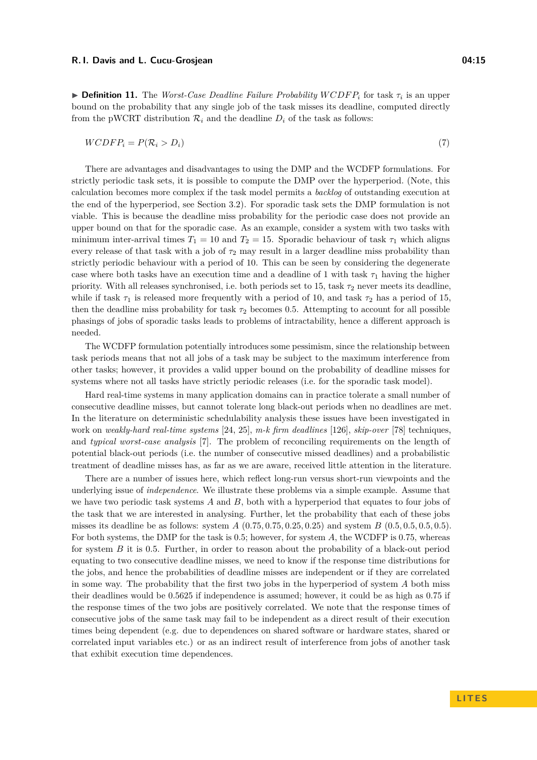$\blacktriangleright$  **Definition 11.** The *Worst-Case Deadline Failure Probability WCDFP<sub>i</sub> for task*  $\tau_i$  *is an upper* bound on the probability that any single job of the task misses its deadline, computed directly from the pWCRT distribution  $\mathcal{R}_i$  and the deadline  $D_i$  of the task as follows:

$$
WCDFP_i = P(\mathcal{R}_i > D_i) \tag{7}
$$

There are advantages and disadvantages to using the DMP and the WCDFP formulations. For strictly periodic task sets, it is possible to compute the DMP over the hyperperiod. (Note, this calculation becomes more complex if the task model permits a *backlog* of outstanding execution at the end of the hyperperiod, see Section [3.2\)](#page-17-0). For sporadic task sets the DMP formulation is not viable. This is because the deadline miss probability for the periodic case does not provide an upper bound on that for the sporadic case. As an example, consider a system with two tasks with minimum inter-arrival times  $T_1 = 10$  and  $T_2 = 15$ . Sporadic behaviour of task  $\tau_1$  which aligns every release of that task with a job of  $\tau_2$  may result in a larger deadline miss probability than strictly periodic behaviour with a period of 10. This can be seen by considering the degenerate case where both tasks have an execution time and a deadline of 1 with task  $\tau_1$  having the higher priority. With all releases synchronised, i.e. both periods set to 15, task  $\tau_2$  never meets its deadline, while if task  $\tau_1$  is released more frequently with a period of 10, and task  $\tau_2$  has a period of 15, then the deadline miss probability for task  $\tau_2$  becomes 0.5. Attempting to account for all possible phasings of jobs of sporadic tasks leads to problems of intractability, hence a different approach is needed.

The WCDFP formulation potentially introduces some pessimism, since the relationship between task periods means that not all jobs of a task may be subject to the maximum interference from other tasks; however, it provides a valid upper bound on the probability of deadline misses for systems where not all tasks have strictly periodic releases (i.e. for the sporadic task model).

Hard real-time systems in many application domains can in practice tolerate a small number of consecutive deadline misses, but cannot tolerate long black-out periods when no deadlines are met. In the literature on deterministic schedulability analysis these issues have been investigated in work on *weakly-hard real-time systems* [\[24,](#page-46-17) [25\]](#page-46-18), *m-k firm deadlines* [\[126\]](#page-50-20), *skip-over* [\[78\]](#page-48-20) techniques, and *typical worst-case analysis* [\[7\]](#page-45-6). The problem of reconciling requirements on the length of potential black-out periods (i.e. the number of consecutive missed deadlines) and a probabilistic treatment of deadline misses has, as far as we are aware, received little attention in the literature.

There are a number of issues here, which reflect long-run versus short-run viewpoints and the underlying issue of *independence*. We illustrate these problems via a simple example. Assume that we have two periodic task systems *A* and *B*, both with a hyperperiod that equates to four jobs of the task that we are interested in analysing. Further, let the probability that each of these jobs misses its deadline be as follows: system *A* (0*.*75*,* 0*.*75*,* 0*.*25*,* 0*.*25) and system *B* (0*.*5*,* 0*.*5*,* 0*.*5*,* 0*.*5). For both systems, the DMP for the task is 0*.*5; however, for system *A*, the WCDFP is 0*.*75, whereas for system *B* it is 0*.*5. Further, in order to reason about the probability of a black-out period equating to two consecutive deadline misses, we need to know if the response time distributions for the jobs, and hence the probabilities of deadline misses are independent or if they are correlated in some way. The probability that the first two jobs in the hyperperiod of system *A* both miss their deadlines would be 0*.*5625 if independence is assumed; however, it could be as high as 0*.*75 if the response times of the two jobs are positively correlated. We note that the response times of consecutive jobs of the same task may fail to be independent as a direct result of their execution times being dependent (e.g. due to dependences on shared software or hardware states, shared or correlated input variables etc.) or as an indirect result of interference from jobs of another task that exhibit execution time dependences.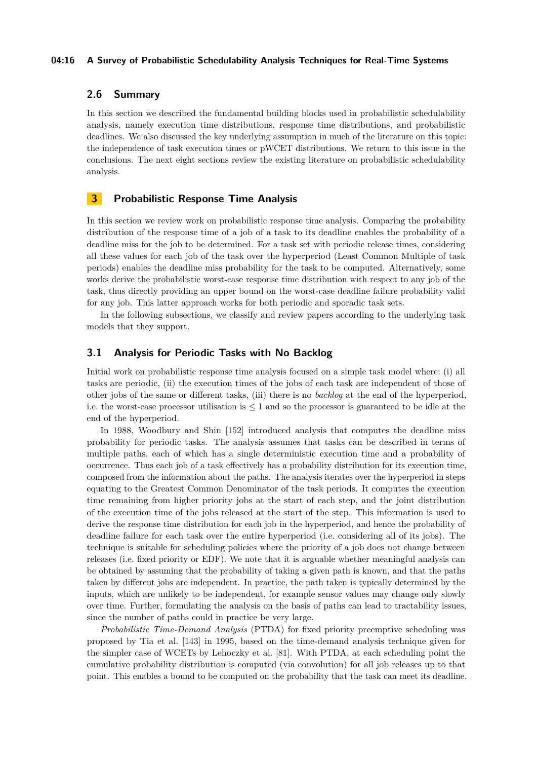### **04:16 A Survey of Probabilistic Schedulability Analysis Techniques for Real-Time Systems**

### **2.6 Summary**

In this section we described the fundamental building blocks used in probabilistic schedulability analysis, namely execution time distributions, response time distributions, and probabilistic deadlines. We also discussed the key underlying assumption in much of the literature on this topic: the independence of task execution times or pWCET distributions. We return to this issue in the conclusions. The next eight sections review the existing literature on probabilistic schedulability analysis.

### <span id="page-15-0"></span>**3 Probabilistic Response Time Analysis**

In this section we review work on probabilistic response time analysis. Comparing the probability distribution of the response time of a job of a task to its deadline enables the probability of a deadline miss for the job to be determined. For a task set with periodic release times, considering all these values for each job of the task over the hyperperiod (Least Common Multiple of task periods) enables the deadline miss probability for the task to be computed. Alternatively, some works derive the probabilistic worst-case response time distribution with respect to any job of the task, thus directly providing an upper bound on the worst-case deadline failure probability valid for any job. This latter approach works for both periodic and sporadic task sets.

In the following subsections, we classify and review papers according to the underlying task models that they support.

### <span id="page-15-1"></span>**3.1 Analysis for Periodic Tasks with No Backlog**

Initial work on probabilistic response time analysis focused on a simple task model where: (i) all tasks are periodic, (ii) the execution times of the jobs of each task are independent of those of other jobs of the same or different tasks, (iii) there is no *backlog* at the end of the hyperperiod, i.e. the worst-case processor utilisation is ≤ 1 and so the processor is guaranteed to be idle at the end of the hyperperiod.

In 1988, Woodbury and Shin [\[152\]](#page-52-2) introduced analysis that computes the deadline miss probability for periodic tasks. The analysis assumes that tasks can be described in terms of multiple paths, each of which has a single deterministic execution time and a probability of occurrence. Thus each job of a task effectively has a probability distribution for its execution time, composed from the information about the paths. The analysis iterates over the hyperperiod in steps equating to the Greatest Common Denominator of the task periods. It computes the execution time remaining from higher priority jobs at the start of each step, and the joint distribution of the execution time of the jobs released at the start of the step. This information is used to derive the response time distribution for each job in the hyperperiod, and hence the probability of deadline failure for each task over the entire hyperperiod (i.e. considering all of its jobs). The technique is suitable for scheduling policies where the priority of a job does not change between releases (i.e. fixed priority or EDF). We note that it is arguable whether meaningful analysis can be obtained by assuming that the probability of taking a given path is known, and that the paths taken by different jobs are independent. In practice, the path taken is typically determined by the inputs, which are unlikely to be independent, for example sensor values may change only slowly over time. Further, formulating the analysis on the basis of paths can lead to tractability issues, since the number of paths could in practice be very large.

*Probabilistic Time-Demand Analysis* (PTDA) for fixed priority preemptive scheduling was proposed by Tia et al. [\[143\]](#page-51-2) in 1995, based on the time-demand analysis technique given for the simpler case of WCETs by Lehoczky et al. [\[81\]](#page-48-21). With PTDA, at each scheduling point the cumulative probability distribution is computed (via convolution) for all job releases up to that point. This enables a bound to be computed on the probability that the task can meet its deadline.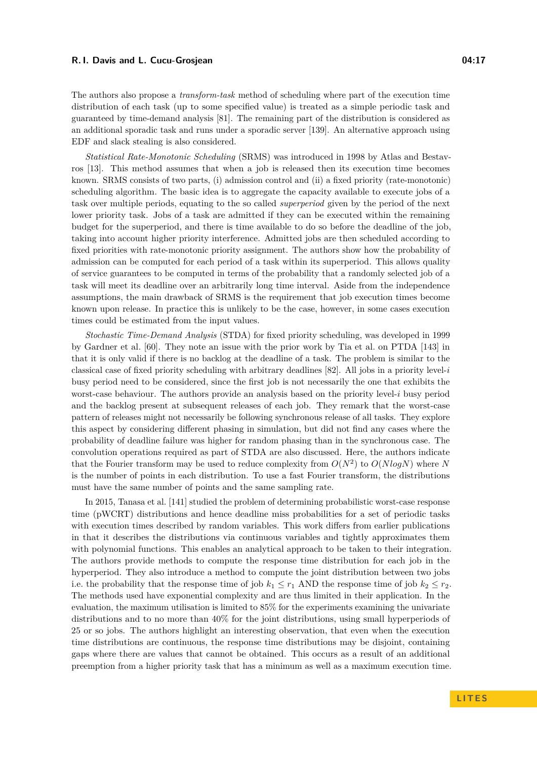The authors also propose a *transform-task* method of scheduling where part of the execution time distribution of each task (up to some specified value) is treated as a simple periodic task and guaranteed by time-demand analysis [\[81\]](#page-48-21). The remaining part of the distribution is considered as an additional sporadic task and runs under a sporadic server [\[139\]](#page-51-19). An alternative approach using EDF and slack stealing is also considered.

*Statistical Rate-Monotonic Scheduling* (SRMS) was introduced in 1998 by Atlas and Bestavros [\[13\]](#page-46-3). This method assumes that when a job is released then its execution time becomes known. SRMS consists of two parts, (i) admission control and (ii) a fixed priority (rate-monotonic) scheduling algorithm. The basic idea is to aggregate the capacity available to execute jobs of a task over multiple periods, equating to the so called *superperiod* given by the period of the next lower priority task. Jobs of a task are admitted if they can be executed within the remaining budget for the superperiod, and there is time available to do so before the deadline of the job, taking into account higher priority interference. Admitted jobs are then scheduled according to fixed priorities with rate-monotonic priority assignment. The authors show how the probability of admission can be computed for each period of a task within its superperiod. This allows quality of service guarantees to be computed in terms of the probability that a randomly selected job of a task will meet its deadline over an arbitrarily long time interval. Aside from the independence assumptions, the main drawback of SRMS is the requirement that job execution times become known upon release. In practice this is unlikely to be the case, however, in some cases execution times could be estimated from the input values.

*Stochastic Time-Demand Analysis* (STDA) for fixed priority scheduling, was developed in 1999 by Gardner et al. [\[60\]](#page-48-3). They note an issue with the prior work by Tia et al. on PTDA [\[143\]](#page-51-2) in that it is only valid if there is no backlog at the deadline of a task. The problem is similar to the classical case of fixed priority scheduling with arbitrary deadlines [\[82\]](#page-49-18). All jobs in a priority level-*i* busy period need to be considered, since the first job is not necessarily the one that exhibits the worst-case behaviour. The authors provide an analysis based on the priority level-*i* busy period and the backlog present at subsequent releases of each job. They remark that the worst-case pattern of releases might not necessarily be following synchronous release of all tasks. They explore this aspect by considering different phasing in simulation, but did not find any cases where the probability of deadline failure was higher for random phasing than in the synchronous case. The convolution operations required as part of STDA are also discussed. Here, the authors indicate that the Fourier transform may be used to reduce complexity from  $O(N^2)$  to  $O(N \log N)$  where N is the number of points in each distribution. To use a fast Fourier transform, the distributions must have the same number of points and the same sampling rate.

In 2015, Tanasa et al. [\[141\]](#page-51-3) studied the problem of determining probabilistic worst-case response time (pWCRT) distributions and hence deadline miss probabilities for a set of periodic tasks with execution times described by random variables. This work differs from earlier publications in that it describes the distributions via continuous variables and tightly approximates them with polynomial functions. This enables an analytical approach to be taken to their integration. The authors provide methods to compute the response time distribution for each job in the hyperperiod. They also introduce a method to compute the joint distribution between two jobs i.e. the probability that the response time of job  $k_1 \leq r_1$  AND the response time of job  $k_2 \leq r_2$ . The methods used have exponential complexity and are thus limited in their application. In the evaluation, the maximum utilisation is limited to 85% for the experiments examining the univariate distributions and to no more than 40% for the joint distributions, using small hyperperiods of 25 or so jobs. The authors highlight an interesting observation, that even when the execution time distributions are continuous, the response time distributions may be disjoint, containing gaps where there are values that cannot be obtained. This occurs as a result of an additional preemption from a higher priority task that has a minimum as well as a maximum execution time.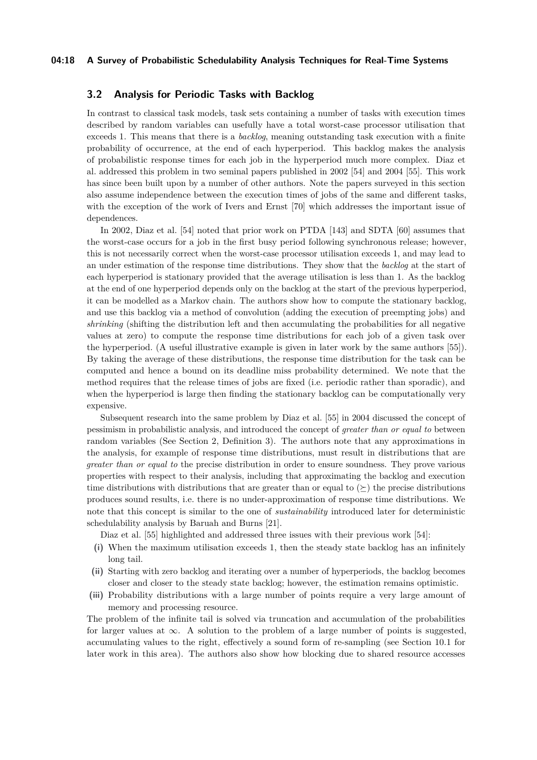### **04:18 A Survey of Probabilistic Schedulability Analysis Techniques for Real-Time Systems**

### <span id="page-17-0"></span>**3.2 Analysis for Periodic Tasks with Backlog**

In contrast to classical task models, task sets containing a number of tasks with execution times described by random variables can usefully have a total worst-case processor utilisation that exceeds 1. This means that there is a *backlog*, meaning outstanding task execution with a finite probability of occurrence, at the end of each hyperperiod. This backlog makes the analysis of probabilistic response times for each job in the hyperperiod much more complex. Diaz et al. addressed this problem in two seminal papers published in 2002 [\[54\]](#page-47-4) and 2004 [\[55\]](#page-47-5). This work has since been built upon by a number of other authors. Note the papers surveyed in this section also assume independence between the execution times of jobs of the same and different tasks, with the exception of the work of Ivers and Ernst [\[70\]](#page-48-5) which addresses the important issue of dependences.

In 2002, Diaz et al. [\[54\]](#page-47-4) noted that prior work on PTDA [\[143\]](#page-51-2) and SDTA [\[60\]](#page-48-3) assumes that the worst-case occurs for a job in the first busy period following synchronous release; however, this is not necessarily correct when the worst-case processor utilisation exceeds 1, and may lead to an under estimation of the response time distributions. They show that the *backlog* at the start of each hyperperiod is stationary provided that the average utilisation is less than 1. As the backlog at the end of one hyperperiod depends only on the backlog at the start of the previous hyperperiod, it can be modelled as a Markov chain. The authors show how to compute the stationary backlog, and use this backlog via a method of convolution (adding the execution of preempting jobs) and *shrinking* (shifting the distribution left and then accumulating the probabilities for all negative values at zero) to compute the response time distributions for each job of a given task over the hyperperiod. (A useful illustrative example is given in later work by the same authors [\[55\]](#page-47-5)). By taking the average of these distributions, the response time distribution for the task can be computed and hence a bound on its deadline miss probability determined. We note that the method requires that the release times of jobs are fixed (i.e. periodic rather than sporadic), and when the hyperperiod is large then finding the stationary backlog can be computationally very expensive.

Subsequent research into the same problem by Diaz et al. [\[55\]](#page-47-5) in 2004 discussed the concept of pessimism in probabilistic analysis, and introduced the concept of *greater than or equal to* between random variables (See Section [2,](#page-4-1) Definition [3\)](#page-7-2). The authors note that any approximations in the analysis, for example of response time distributions, must result in distributions that are *greater than or equal to* the precise distribution in order to ensure soundness. They prove various properties with respect to their analysis, including that approximating the backlog and execution time distributions with distributions that are greater than or equal to  $(\succeq)$  the precise distributions produces sound results, i.e. there is no under-approximation of response time distributions. We note that this concept is similar to the one of *sustainability* introduced later for deterministic schedulability analysis by Baruah and Burns [\[21\]](#page-46-19).

Diaz et al. [\[55\]](#page-47-5) highlighted and addressed three issues with their previous work [\[54\]](#page-47-4):

- **(i)** When the maximum utilisation exceeds 1, then the steady state backlog has an infinitely long tail.
- **(ii)** Starting with zero backlog and iterating over a number of hyperperiods, the backlog becomes closer and closer to the steady state backlog; however, the estimation remains optimistic.
- **(iii)** Probability distributions with a large number of points require a very large amount of memory and processing resource.

The problem of the infinite tail is solved via truncation and accumulation of the probabilities for larger values at  $\infty$ . A solution to the problem of a large number of points is suggested, accumulating values to the right, effectively a sound form of re-sampling (see Section [10.1](#page-41-1) for later work in this area). The authors also show how blocking due to shared resource accesses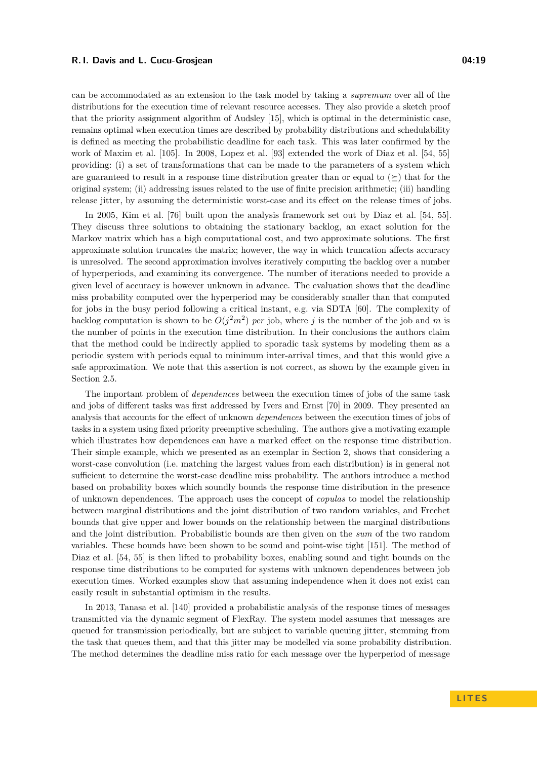can be accommodated as an extension to the task model by taking a *supremum* over all of the distributions for the execution time of relevant resource accesses. They also provide a sketch proof that the priority assignment algorithm of Audsley [\[15\]](#page-46-20), which is optimal in the deterministic case, remains optimal when execution times are described by probability distributions and schedulability is defined as meeting the probabilistic deadline for each task. This was later confirmed by the work of Maxim et al. [\[105\]](#page-50-0). In 2008, Lopez et al. [\[93\]](#page-49-4) extended the work of Diaz et al. [\[54,](#page-47-4) [55\]](#page-47-5) providing: (i) a set of transformations that can be made to the parameters of a system which are guaranteed to result in a response time distribution greater than or equal to  $(\succ)$  that for the original system; (ii) addressing issues related to the use of finite precision arithmetic; (iii) handling release jitter, by assuming the deterministic worst-case and its effect on the release times of jobs.

In 2005, Kim et al. [\[76\]](#page-48-4) built upon the analysis framework set out by Diaz et al. [\[54,](#page-47-4) [55\]](#page-47-5). They discuss three solutions to obtaining the stationary backlog, an exact solution for the Markov matrix which has a high computational cost, and two approximate solutions. The first approximate solution truncates the matrix; however, the way in which truncation affects accuracy is unresolved. The second approximation involves iteratively computing the backlog over a number of hyperperiods, and examining its convergence. The number of iterations needed to provide a given level of accuracy is however unknown in advance. The evaluation shows that the deadline miss probability computed over the hyperperiod may be considerably smaller than that computed for jobs in the busy period following a critical instant, e.g. via SDTA [\[60\]](#page-48-3). The complexity of backlog computation is shown to be  $O(j^2m^2)$  *per* job, where *j* is the number of the job and *m* is the number of points in the execution time distribution. In their conclusions the authors claim that the method could be indirectly applied to sporadic task systems by modeling them as a periodic system with periods equal to minimum inter-arrival times, and that this would give a safe approximation. We note that this assertion is not correct, as shown by the example given in Section [2.5.](#page-12-0)

The important problem of *dependences* between the execution times of jobs of the same task and jobs of different tasks was first addressed by Ivers and Ernst [\[70\]](#page-48-5) in 2009. They presented an analysis that accounts for the effect of unknown *dependences* between the execution times of jobs of tasks in a system using fixed priority preemptive scheduling. The authors give a motivating example which illustrates how dependences can have a marked effect on the response time distribution. Their simple example, which we presented as an exemplar in Section [2,](#page-4-1) shows that considering a worst-case convolution (i.e. matching the largest values from each distribution) is in general not sufficient to determine the worst-case deadline miss probability. The authors introduce a method based on probability boxes which soundly bounds the response time distribution in the presence of unknown dependences. The approach uses the concept of *copulas* to model the relationship between marginal distributions and the joint distribution of two random variables, and Frechet bounds that give upper and lower bounds on the relationship between the marginal distributions and the joint distribution. Probabilistic bounds are then given on the *sum* of the two random variables. These bounds have been shown to be sound and point-wise tight [\[151\]](#page-52-5). The method of Diaz et al. [\[54,](#page-47-4) [55\]](#page-47-5) is then lifted to probability boxes, enabling sound and tight bounds on the response time distributions to be computed for systems with unknown dependences between job execution times. Worked examples show that assuming independence when it does not exist can easily result in substantial optimism in the results.

In 2013, Tanasa et al. [\[140\]](#page-51-4) provided a probabilistic analysis of the response times of messages transmitted via the dynamic segment of FlexRay. The system model assumes that messages are queued for transmission periodically, but are subject to variable queuing jitter, stemming from the task that queues them, and that this jitter may be modelled via some probability distribution. The method determines the deadline miss ratio for each message over the hyperperiod of message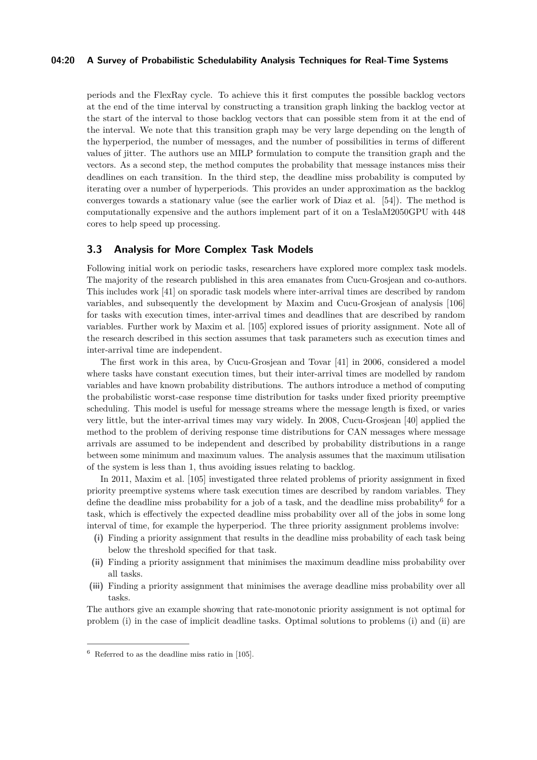### **04:20 A Survey of Probabilistic Schedulability Analysis Techniques for Real-Time Systems**

periods and the FlexRay cycle. To achieve this it first computes the possible backlog vectors at the end of the time interval by constructing a transition graph linking the backlog vector at the start of the interval to those backlog vectors that can possible stem from it at the end of the interval. We note that this transition graph may be very large depending on the length of the hyperperiod, the number of messages, and the number of possibilities in terms of different values of jitter. The authors use an MILP formulation to compute the transition graph and the vectors. As a second step, the method computes the probability that message instances miss their deadlines on each transition. In the third step, the deadline miss probability is computed by iterating over a number of hyperperiods. This provides an under approximation as the backlog converges towards a stationary value (see the earlier work of Diaz et al. [\[54\]](#page-47-4)). The method is computationally expensive and the authors implement part of it on a TeslaM2050GPU with 448 cores to help speed up processing.

### <span id="page-19-0"></span>**3.3 Analysis for More Complex Task Models**

Following initial work on periodic tasks, researchers have explored more complex task models. The majority of the research published in this area emanates from Cucu-Grosjean and co-authors. This includes work [\[41\]](#page-47-6) on sporadic task models where inter-arrival times are described by random variables, and subsequently the development by Maxim and Cucu-Grosjean of analysis [\[106\]](#page-50-1) for tasks with execution times, inter-arrival times and deadlines that are described by random variables. Further work by Maxim et al. [\[105\]](#page-50-0) explored issues of priority assignment. Note all of the research described in this section assumes that task parameters such as execution times and inter-arrival time are independent.

The first work in this area, by Cucu-Grosjean and Tovar [\[41\]](#page-47-6) in 2006, considered a model where tasks have constant execution times, but their inter-arrival times are modelled by random variables and have known probability distributions. The authors introduce a method of computing the probabilistic worst-case response time distribution for tasks under fixed priority preemptive scheduling. This model is useful for message streams where the message length is fixed, or varies very little, but the inter-arrival times may vary widely. In 2008, Cucu-Grosjean [\[40\]](#page-47-7) applied the method to the problem of deriving response time distributions for CAN messages where message arrivals are assumed to be independent and described by probability distributions in a range between some minimum and maximum values. The analysis assumes that the maximum utilisation of the system is less than 1, thus avoiding issues relating to backlog.

In 2011, Maxim et al. [\[105\]](#page-50-0) investigated three related problems of priority assignment in fixed priority preemptive systems where task execution times are described by random variables. They define the deadline miss probability for a job of a task, and the deadline miss probability<sup>[6](#page-19-1)</sup> for a task, which is effectively the expected deadline miss probability over all of the jobs in some long interval of time, for example the hyperperiod. The three priority assignment problems involve:

- **(i)** Finding a priority assignment that results in the deadline miss probability of each task being below the threshold specified for that task.
- **(ii)** Finding a priority assignment that minimises the maximum deadline miss probability over all tasks.
- **(iii)** Finding a priority assignment that minimises the average deadline miss probability over all tasks.

The authors give an example showing that rate-monotonic priority assignment is not optimal for problem (i) in the case of implicit deadline tasks. Optimal solutions to problems (i) and (ii) are

<span id="page-19-1"></span> $6$  Referred to as the deadline miss ratio in [\[105\]](#page-50-0).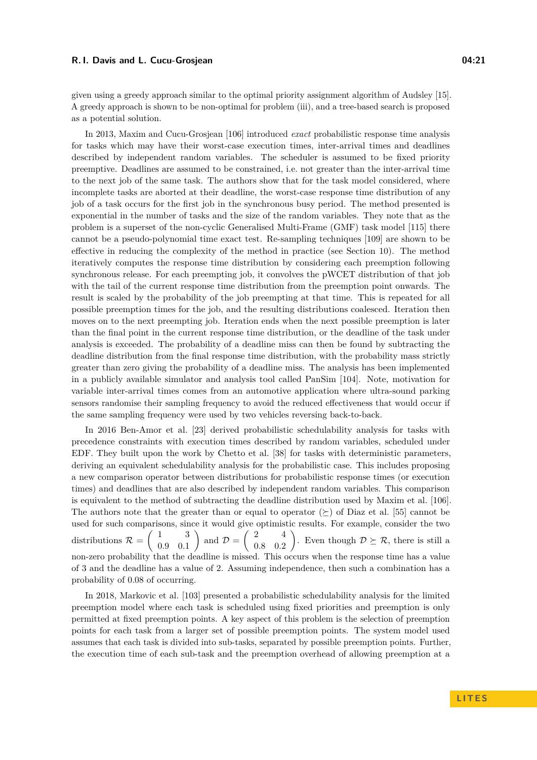given using a greedy approach similar to the optimal priority assignment algorithm of Audsley [\[15\]](#page-46-20). A greedy approach is shown to be non-optimal for problem (iii), and a tree-based search is proposed as a potential solution.

In 2013, Maxim and Cucu-Grosjean [\[106\]](#page-50-1) introduced *exact* probabilistic response time analysis for tasks which may have their worst-case execution times, inter-arrival times and deadlines described by independent random variables. The scheduler is assumed to be fixed priority preemptive. Deadlines are assumed to be constrained, i.e. not greater than the inter-arrival time to the next job of the same task. The authors show that for the task model considered, where incomplete tasks are aborted at their deadline, the worst-case response time distribution of any job of a task occurs for the first job in the synchronous busy period. The method presented is exponential in the number of tasks and the size of the random variables. They note that as the problem is a superset of the non-cyclic Generalised Multi-Frame (GMF) task model [\[115\]](#page-50-21) there cannot be a pseudo-polynomial time exact test. Re-sampling techniques [\[109\]](#page-50-18) are shown to be effective in reducing the complexity of the method in practice (see Section [10\)](#page-41-0). The method iteratively computes the response time distribution by considering each preemption following synchronous release. For each preempting job, it convolves the pWCET distribution of that job with the tail of the current response time distribution from the preemption point onwards. The result is scaled by the probability of the job preempting at that time. This is repeated for all possible preemption times for the job, and the resulting distributions coalesced. Iteration then moves on to the next preempting job. Iteration ends when the next possible preemption is later than the final point in the current response time distribution, or the deadline of the task under analysis is exceeded. The probability of a deadline miss can then be found by subtracting the deadline distribution from the final response time distribution, with the probability mass strictly greater than zero giving the probability of a deadline miss. The analysis has been implemented in a publicly available simulator and analysis tool called PanSim [\[104\]](#page-50-2). Note, motivation for variable inter-arrival times comes from an automotive application where ultra-sound parking sensors randomise their sampling frequency to avoid the reduced effectiveness that would occur if the same sampling frequency were used by two vehicles reversing back-to-back.

In 2016 Ben-Amor et al. [\[23\]](#page-46-4) derived probabilistic schedulability analysis for tasks with precedence constraints with execution times described by random variables, scheduled under EDF. They built upon the work by Chetto et al. [\[38\]](#page-47-19) for tasks with deterministic parameters, deriving an equivalent schedulability analysis for the probabilistic case. This includes proposing a new comparison operator between distributions for probabilistic response times (or execution times) and deadlines that are also described by independent random variables. This comparison is equivalent to the method of subtracting the deadline distribution used by Maxim et al. [\[106\]](#page-50-1). The authors note that the greater than or equal to operator  $(\succeq)$  of Diaz et al. [\[55\]](#page-47-5) cannot be used for such comparisons, since it would give optimistic results. For example, consider the two distributions  $\mathcal{R} = \begin{pmatrix} 1 & 3 \\ 0 & 0 \\ 0 & 1 \end{pmatrix}$ 0*.*9 0*.*1 ) and  $\mathcal{D} = \begin{pmatrix} 2 & 4 \\ 0 & 2 \end{pmatrix}$ 0*.*8 0*.*2 ). Even though  $\mathcal{D} \succeq \mathcal{R}$ , there is still a non-zero probability that the deadline is missed. This occurs when the response time has a value of 3 and the deadline has a value of 2. Assuming independence, then such a combination has a probability of 0*.*08 of occurring.

In 2018, Markovic et al. [\[103\]](#page-49-5) presented a probabilistic schedulability analysis for the limited preemption model where each task is scheduled using fixed priorities and preemption is only permitted at fixed preemption points. A key aspect of this problem is the selection of preemption points for each task from a larger set of possible preemption points. The system model used assumes that each task is divided into sub-tasks, separated by possible preemption points. Further, the execution time of each sub-task and the preemption overhead of allowing preemption at a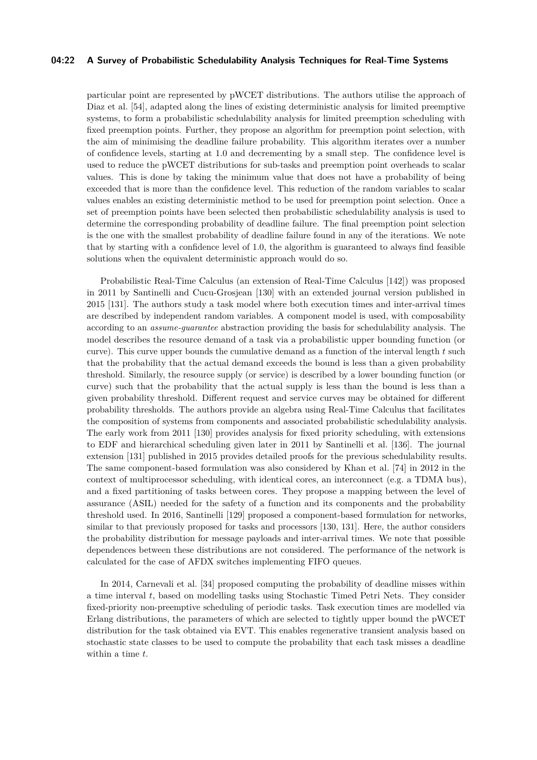### **04:22 A Survey of Probabilistic Schedulability Analysis Techniques for Real-Time Systems**

particular point are represented by pWCET distributions. The authors utilise the approach of Diaz et al. [\[54\]](#page-47-4), adapted along the lines of existing deterministic analysis for limited preemptive systems, to form a probabilistic schedulability analysis for limited preemption scheduling with fixed preemption points. Further, they propose an algorithm for preemption point selection, with the aim of minimising the deadline failure probability. This algorithm iterates over a number of confidence levels, starting at 1.0 and decrementing by a small step. The confidence level is used to reduce the pWCET distributions for sub-tasks and preemption point overheads to scalar values. This is done by taking the minimum value that does not have a probability of being exceeded that is more than the confidence level. This reduction of the random variables to scalar values enables an existing deterministic method to be used for preemption point selection. Once a set of preemption points have been selected then probabilistic schedulability analysis is used to determine the corresponding probability of deadline failure. The final preemption point selection is the one with the smallest probability of deadline failure found in any of the iterations. We note that by starting with a confidence level of 1.0, the algorithm is guaranteed to always find feasible solutions when the equivalent deterministic approach would do so.

Probabilistic Real-Time Calculus (an extension of Real-Time Calculus [\[142\]](#page-51-20)) was proposed in 2011 by Santinelli and Cucu-Grosjean [\[130\]](#page-51-5) with an extended journal version published in 2015 [\[131\]](#page-51-6). The authors study a task model where both execution times and inter-arrival times are described by independent random variables. A component model is used, with composability according to an *assume-guarantee* abstraction providing the basis for schedulability analysis. The model describes the resource demand of a task via a probabilistic upper bounding function (or curve). This curve upper bounds the cumulative demand as a function of the interval length *t* such that the probability that the actual demand exceeds the bound is less than a given probability threshold. Similarly, the resource supply (or service) is described by a lower bounding function (or curve) such that the probability that the actual supply is less than the bound is less than a given probability threshold. Different request and service curves may be obtained for different probability thresholds. The authors provide an algebra using Real-Time Calculus that facilitates the composition of systems from components and associated probabilistic schedulability analysis. The early work from 2011 [\[130\]](#page-51-5) provides analysis for fixed priority scheduling, with extensions to EDF and hierarchical scheduling given later in 2011 by Santinelli et al. [\[136\]](#page-51-7). The journal extension [\[131\]](#page-51-6) published in 2015 provides detailed proofs for the previous schedulability results. The same component-based formulation was also considered by Khan et al. [\[74\]](#page-48-6) in 2012 in the context of multiprocessor scheduling, with identical cores, an interconnect (e.g. a TDMA bus), and a fixed partitioning of tasks between cores. They propose a mapping between the level of assurance (ASIL) needed for the safety of a function and its components and the probability threshold used. In 2016, Santinelli [\[129\]](#page-51-8) proposed a component-based formulation for networks, similar to that previously proposed for tasks and processors [\[130,](#page-51-5) [131\]](#page-51-6). Here, the author considers the probability distribution for message payloads and inter-arrival times. We note that possible dependences between these distributions are not considered. The performance of the network is calculated for the case of AFDX switches implementing FIFO queues.

In 2014, Carnevali et al. [\[34\]](#page-47-8) proposed computing the probability of deadline misses within a time interval *t*, based on modelling tasks using Stochastic Timed Petri Nets. They consider fixed-priority non-preemptive scheduling of periodic tasks. Task execution times are modelled via Erlang distributions, the parameters of which are selected to tightly upper bound the pWCET distribution for the task obtained via EVT. This enables regenerative transient analysis based on stochastic state classes to be used to compute the probability that each task misses a deadline within a time *t*.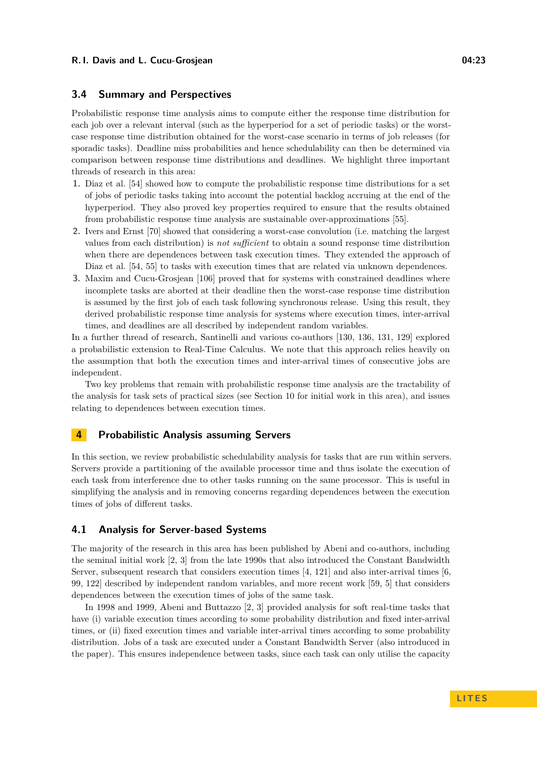### **3.4 Summary and Perspectives**

Probabilistic response time analysis aims to compute either the response time distribution for each job over a relevant interval (such as the hyperperiod for a set of periodic tasks) or the worstcase response time distribution obtained for the worst-case scenario in terms of job releases (for sporadic tasks). Deadline miss probabilities and hence schedulability can then be determined via comparison between response time distributions and deadlines. We highlight three important threads of research in this area:

- **1.** Diaz et al. [\[54\]](#page-47-4) showed how to compute the probabilistic response time distributions for a set of jobs of periodic tasks taking into account the potential backlog accruing at the end of the hyperperiod. They also proved key properties required to ensure that the results obtained from probabilistic response time analysis are sustainable over-approximations [\[55\]](#page-47-5).
- **2.** Ivers and Ernst [\[70\]](#page-48-5) showed that considering a worst-case convolution (i.e. matching the largest values from each distribution) is *not sufficient* to obtain a sound response time distribution when there are dependences between task execution times. They extended the approach of Diaz et al. [\[54,](#page-47-4) [55\]](#page-47-5) to tasks with execution times that are related via unknown dependences.
- **3.** Maxim and Cucu-Grosjean [\[106\]](#page-50-1) proved that for systems with constrained deadlines where incomplete tasks are aborted at their deadline then the worst-case response time distribution is assumed by the first job of each task following synchronous release. Using this result, they derived probabilistic response time analysis for systems where execution times, inter-arrival times, and deadlines are all described by independent random variables.

In a further thread of research, Santinelli and various co-authors [\[130,](#page-51-5) [136,](#page-51-7) [131,](#page-51-6) [129\]](#page-51-8) explored a probabilistic extension to Real-Time Calculus. We note that this approach relies heavily on the assumption that both the execution times and inter-arrival times of consecutive jobs are independent.

Two key problems that remain with probabilistic response time analysis are the tractability of the analysis for task sets of practical sizes (see Section [10](#page-41-0) for initial work in this area), and issues relating to dependences between execution times.

### <span id="page-22-0"></span>**4 Probabilistic Analysis assuming Servers**

In this section, we review probabilistic schedulability analysis for tasks that are run within servers. Servers provide a partitioning of the available processor time and thus isolate the execution of each task from interference due to other tasks running on the same processor. This is useful in simplifying the analysis and in removing concerns regarding dependences between the execution times of jobs of different tasks.

### <span id="page-22-1"></span>**4.1 Analysis for Server-based Systems**

The majority of the research in this area has been published by Abeni and co-authors, including the seminal initial work [\[2,](#page-45-0) [3\]](#page-45-1) from the late 1990s that also introduced the Constant Bandwidth Server, subsequent research that considers execution times [\[4,](#page-45-2) [121\]](#page-50-5) and also inter-arrival times [\[6,](#page-45-3) [99,](#page-49-6) [122\]](#page-50-3) described by independent random variables, and more recent work [\[59,](#page-48-8) [5\]](#page-45-4) that considers dependences between the execution times of jobs of the same task.

In 1998 and 1999, Abeni and Buttazzo [\[2,](#page-45-0) [3\]](#page-45-1) provided analysis for soft real-time tasks that have (i) variable execution times according to some probability distribution and fixed inter-arrival times, or (ii) fixed execution times and variable inter-arrival times according to some probability distribution. Jobs of a task are executed under a Constant Bandwidth Server (also introduced in the paper). This ensures independence between tasks, since each task can only utilise the capacity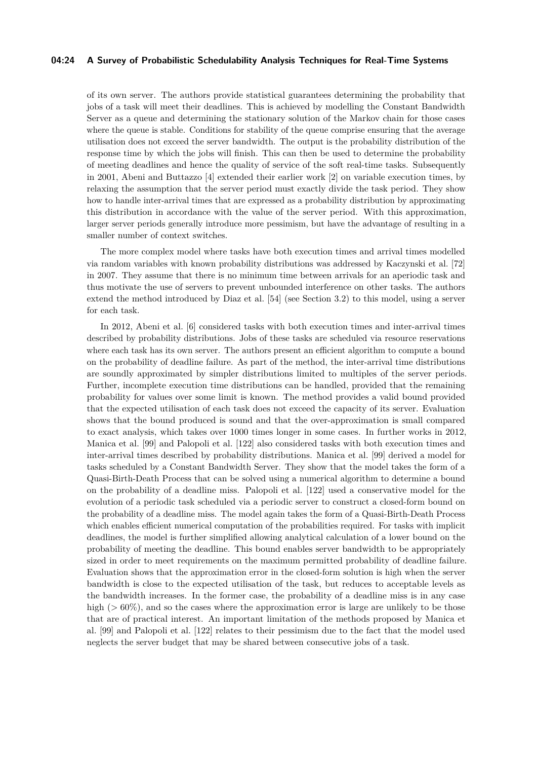### **04:24 A Survey of Probabilistic Schedulability Analysis Techniques for Real-Time Systems**

of its own server. The authors provide statistical guarantees determining the probability that jobs of a task will meet their deadlines. This is achieved by modelling the Constant Bandwidth Server as a queue and determining the stationary solution of the Markov chain for those cases where the queue is stable. Conditions for stability of the queue comprise ensuring that the average utilisation does not exceed the server bandwidth. The output is the probability distribution of the response time by which the jobs will finish. This can then be used to determine the probability of meeting deadlines and hence the quality of service of the soft real-time tasks. Subsequently in 2001, Abeni and Buttazzo [\[4\]](#page-45-2) extended their earlier work [\[2\]](#page-45-0) on variable execution times, by relaxing the assumption that the server period must exactly divide the task period. They show how to handle inter-arrival times that are expressed as a probability distribution by approximating this distribution in accordance with the value of the server period. With this approximation, larger server periods generally introduce more pessimism, but have the advantage of resulting in a smaller number of context switches.

The more complex model where tasks have both execution times and arrival times modelled via random variables with known probability distributions was addressed by Kaczynski et al. [\[72\]](#page-48-7) in 2007. They assume that there is no minimum time between arrivals for an aperiodic task and thus motivate the use of servers to prevent unbounded interference on other tasks. The authors extend the method introduced by Diaz et al. [\[54\]](#page-47-4) (see Section [3.2\)](#page-17-0) to this model, using a server for each task.

In 2012, Abeni et al. [\[6\]](#page-45-3) considered tasks with both execution times and inter-arrival times described by probability distributions. Jobs of these tasks are scheduled via resource reservations where each task has its own server. The authors present an efficient algorithm to compute a bound on the probability of deadline failure. As part of the method, the inter-arrival time distributions are soundly approximated by simpler distributions limited to multiples of the server periods. Further, incomplete execution time distributions can be handled, provided that the remaining probability for values over some limit is known. The method provides a valid bound provided that the expected utilisation of each task does not exceed the capacity of its server. Evaluation shows that the bound produced is sound and that the over-approximation is small compared to exact analysis, which takes over 1000 times longer in some cases. In further works in 2012, Manica et al. [\[99\]](#page-49-6) and Palopoli et al. [\[122\]](#page-50-3) also considered tasks with both execution times and inter-arrival times described by probability distributions. Manica et al. [\[99\]](#page-49-6) derived a model for tasks scheduled by a Constant Bandwidth Server. They show that the model takes the form of a Quasi-Birth-Death Process that can be solved using a numerical algorithm to determine a bound on the probability of a deadline miss. Palopoli et al. [\[122\]](#page-50-3) used a conservative model for the evolution of a periodic task scheduled via a periodic server to construct a closed-form bound on the probability of a deadline miss. The model again takes the form of a Quasi-Birth-Death Process which enables efficient numerical computation of the probabilities required. For tasks with implicit deadlines, the model is further simplified allowing analytical calculation of a lower bound on the probability of meeting the deadline. This bound enables server bandwidth to be appropriately sized in order to meet requirements on the maximum permitted probability of deadline failure. Evaluation shows that the approximation error in the closed-form solution is high when the server bandwidth is close to the expected utilisation of the task, but reduces to acceptable levels as the bandwidth increases. In the former case, the probability of a deadline miss is in any case high ( $>60\%$ ), and so the cases where the approximation error is large are unlikely to be those that are of practical interest. An important limitation of the methods proposed by Manica et al. [\[99\]](#page-49-6) and Palopoli et al. [\[122\]](#page-50-3) relates to their pessimism due to the fact that the model used neglects the server budget that may be shared between consecutive jobs of a task.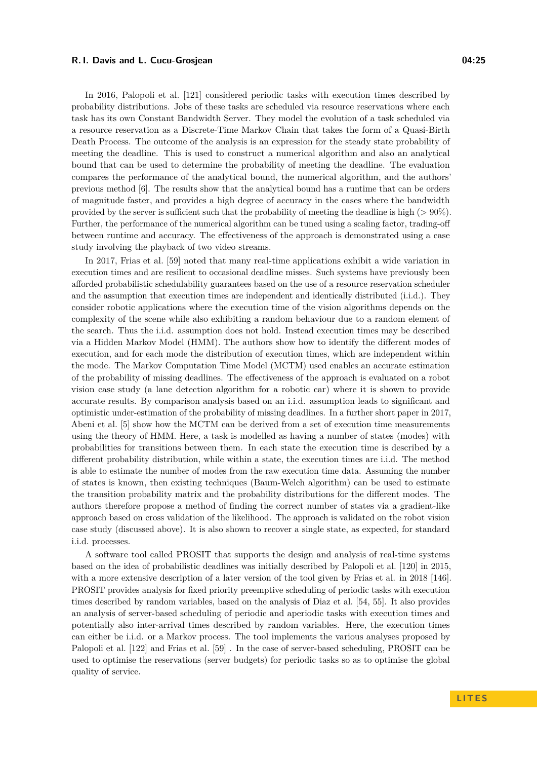In 2016, Palopoli et al. [\[121\]](#page-50-5) considered periodic tasks with execution times described by probability distributions. Jobs of these tasks are scheduled via resource reservations where each task has its own Constant Bandwidth Server. They model the evolution of a task scheduled via a resource reservation as a Discrete-Time Markov Chain that takes the form of a Quasi-Birth Death Process. The outcome of the analysis is an expression for the steady state probability of meeting the deadline. This is used to construct a numerical algorithm and also an analytical bound that can be used to determine the probability of meeting the deadline. The evaluation compares the performance of the analytical bound, the numerical algorithm, and the authors' previous method [\[6\]](#page-45-3). The results show that the analytical bound has a runtime that can be orders of magnitude faster, and provides a high degree of accuracy in the cases where the bandwidth provided by the server is sufficient such that the probability of meeting the deadline is high (*>* 90%). Further, the performance of the numerical algorithm can be tuned using a scaling factor, trading-off between runtime and accuracy. The effectiveness of the approach is demonstrated using a case study involving the playback of two video streams.

In 2017, Frias et al. [\[59\]](#page-48-8) noted that many real-time applications exhibit a wide variation in execution times and are resilient to occasional deadline misses. Such systems have previously been afforded probabilistic schedulability guarantees based on the use of a resource reservation scheduler and the assumption that execution times are independent and identically distributed (i.i.d.). They consider robotic applications where the execution time of the vision algorithms depends on the complexity of the scene while also exhibiting a random behaviour due to a random element of the search. Thus the i.i.d. assumption does not hold. Instead execution times may be described via a Hidden Markov Model (HMM). The authors show how to identify the different modes of execution, and for each mode the distribution of execution times, which are independent within the mode. The Markov Computation Time Model (MCTM) used enables an accurate estimation of the probability of missing deadlines. The effectiveness of the approach is evaluated on a robot vision case study (a lane detection algorithm for a robotic car) where it is shown to provide accurate results. By comparison analysis based on an i.i.d. assumption leads to significant and optimistic under-estimation of the probability of missing deadlines. In a further short paper in 2017, Abeni et al. [\[5\]](#page-45-4) show how the MCTM can be derived from a set of execution time measurements using the theory of HMM. Here, a task is modelled as having a number of states (modes) with probabilities for transitions between them. In each state the execution time is described by a different probability distribution, while within a state, the execution times are i.i.d. The method is able to estimate the number of modes from the raw execution time data. Assuming the number of states is known, then existing techniques (Baum-Welch algorithm) can be used to estimate the transition probability matrix and the probability distributions for the different modes. The authors therefore propose a method of finding the correct number of states via a gradient-like approach based on cross validation of the likelihood. The approach is validated on the robot vision case study (discussed above). It is also shown to recover a single state, as expected, for standard i.i.d. processes.

A software tool called PROSIT that supports the design and analysis of real-time systems based on the idea of probabilistic deadlines was initially described by Palopoli et al. [\[120\]](#page-50-4) in 2015, with a more extensive description of a later version of the tool given by Frias et al. in 2018 [\[146\]](#page-51-9). PROSIT provides analysis for fixed priority preemptive scheduling of periodic tasks with execution times described by random variables, based on the analysis of Diaz et al. [\[54,](#page-47-4) [55\]](#page-47-5). It also provides an analysis of server-based scheduling of periodic and aperiodic tasks with execution times and potentially also inter-arrival times described by random variables. Here, the execution times can either be i.i.d. or a Markov process. The tool implements the various analyses proposed by Palopoli et al. [\[122\]](#page-50-3) and Frias et al. [\[59\]](#page-48-8) . In the case of server-based scheduling, PROSIT can be used to optimise the reservations (server budgets) for periodic tasks so as to optimise the global quality of service.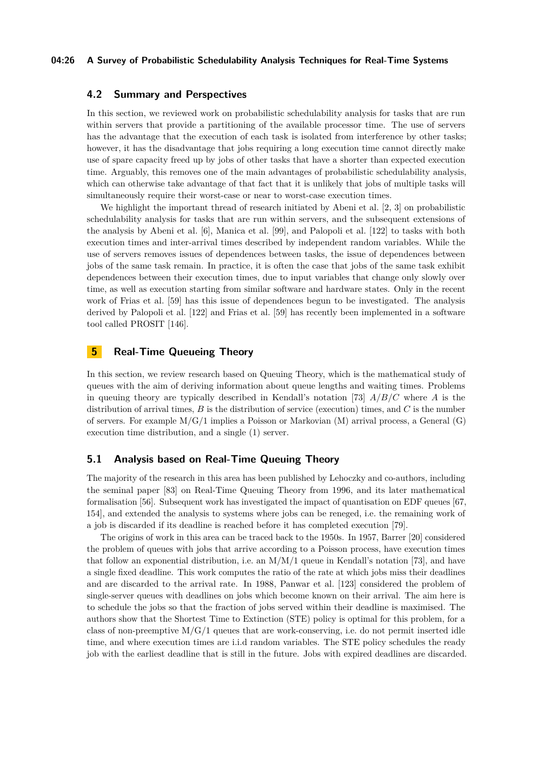### **04:26 A Survey of Probabilistic Schedulability Analysis Techniques for Real-Time Systems**

### **4.2 Summary and Perspectives**

In this section, we reviewed work on probabilistic schedulability analysis for tasks that are run within servers that provide a partitioning of the available processor time. The use of servers has the advantage that the execution of each task is isolated from interference by other tasks; however, it has the disadvantage that jobs requiring a long execution time cannot directly make use of spare capacity freed up by jobs of other tasks that have a shorter than expected execution time. Arguably, this removes one of the main advantages of probabilistic schedulability analysis, which can otherwise take advantage of that fact that it is unlikely that jobs of multiple tasks will simultaneously require their worst-case or near to worst-case execution times.

We highlight the important thread of research initiated by Abeni et al. [\[2,](#page-45-0) [3\]](#page-45-1) on probabilistic schedulability analysis for tasks that are run within servers, and the subsequent extensions of the analysis by Abeni et al. [\[6\]](#page-45-3), Manica et al. [\[99\]](#page-49-6), and Palopoli et al. [\[122\]](#page-50-3) to tasks with both execution times and inter-arrival times described by independent random variables. While the use of servers removes issues of dependences between tasks, the issue of dependences between jobs of the same task remain. In practice, it is often the case that jobs of the same task exhibit dependences between their execution times, due to input variables that change only slowly over time, as well as execution starting from similar software and hardware states. Only in the recent work of Frias et al. [\[59\]](#page-48-8) has this issue of dependences begun to be investigated. The analysis derived by Palopoli et al. [\[122\]](#page-50-3) and Frias et al. [\[59\]](#page-48-8) has recently been implemented in a software tool called PROSIT [\[146\]](#page-51-9).

## <span id="page-25-0"></span>**5 Real-Time Queueing Theory**

In this section, we review research based on Queuing Theory, which is the mathematical study of queues with the aim of deriving information about queue lengths and waiting times. Problems in queuing theory are typically described in Kendall's notation [\[73\]](#page-48-22) *A/B/C* where *A* is the distribution of arrival times, *B* is the distribution of service (execution) times, and *C* is the number of servers. For example  $M/G/1$  implies a Poisson or Markovian (M) arrival process, a General (G) execution time distribution, and a single (1) server.

### <span id="page-25-1"></span>**5.1 Analysis based on Real-Time Queuing Theory**

The majority of the research in this area has been published by Lehoczky and co-authors, including the seminal paper [\[83\]](#page-49-7) on Real-Time Queuing Theory from 1996, and its later mathematical formalisation [\[56\]](#page-47-9). Subsequent work has investigated the impact of quantisation on EDF queues [\[67,](#page-48-9) [154\]](#page-52-3), and extended the analysis to systems where jobs can be reneged, i.e. the remaining work of a job is discarded if its deadline is reached before it has completed execution [\[79\]](#page-48-11).

The origins of work in this area can be traced back to the 1950s. In 1957, Barrer [\[20\]](#page-46-5) considered the problem of queues with jobs that arrive according to a Poisson process, have execution times that follow an exponential distribution, i.e. an  $M/M/1$  queue in Kendall's notation [\[73\]](#page-48-22), and have a single fixed deadline. This work computes the ratio of the rate at which jobs miss their deadlines and are discarded to the arrival rate. In 1988, Panwar et al. [\[123\]](#page-50-6) considered the problem of single-server queues with deadlines on jobs which become known on their arrival. The aim here is to schedule the jobs so that the fraction of jobs served within their deadline is maximised. The authors show that the Shortest Time to Extinction (STE) policy is optimal for this problem, for a class of non-preemptive  $M/G/1$  queues that are work-conserving, i.e. do not permit inserted idle time, and where execution times are i.i.d random variables. The STE policy schedules the ready job with the earliest deadline that is still in the future. Jobs with expired deadlines are discarded.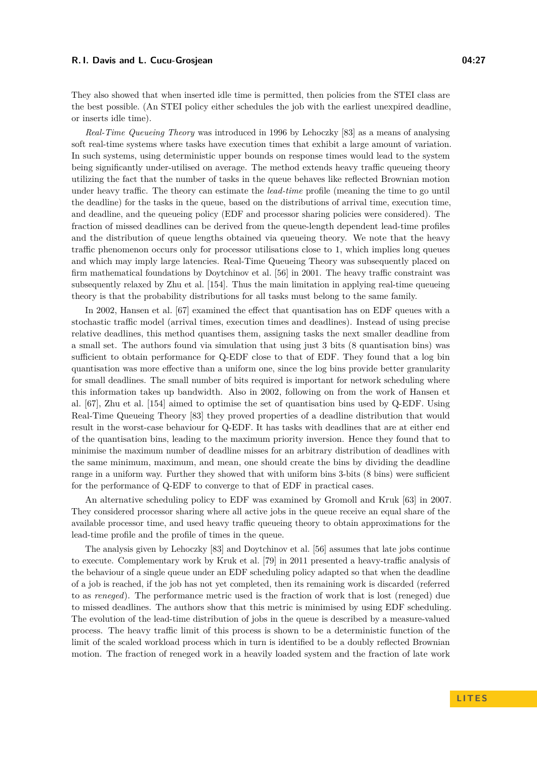They also showed that when inserted idle time is permitted, then policies from the STEI class are the best possible. (An STEI policy either schedules the job with the earliest unexpired deadline, or inserts idle time).

*Real-Time Queueing Theory* was introduced in 1996 by Lehoczky [\[83\]](#page-49-7) as a means of analysing soft real-time systems where tasks have execution times that exhibit a large amount of variation. In such systems, using deterministic upper bounds on response times would lead to the system being significantly under-utilised on average. The method extends heavy traffic queueing theory utilizing the fact that the number of tasks in the queue behaves like reflected Brownian motion under heavy traffic. The theory can estimate the *lead-time* profile (meaning the time to go until the deadline) for the tasks in the queue, based on the distributions of arrival time, execution time, and deadline, and the queueing policy (EDF and processor sharing policies were considered). The fraction of missed deadlines can be derived from the queue-length dependent lead-time profiles and the distribution of queue lengths obtained via queueing theory. We note that the heavy traffic phenomenon occurs only for processor utilisations close to 1, which implies long queues and which may imply large latencies. Real-Time Queueing Theory was subsequently placed on firm mathematical foundations by Doytchinov et al. [\[56\]](#page-47-9) in 2001. The heavy traffic constraint was subsequently relaxed by Zhu et al. [\[154\]](#page-52-3). Thus the main limitation in applying real-time queueing theory is that the probability distributions for all tasks must belong to the same family.

In 2002, Hansen et al. [\[67\]](#page-48-9) examined the effect that quantisation has on EDF queues with a stochastic traffic model (arrival times, execution times and deadlines). Instead of using precise relative deadlines, this method quantises them, assigning tasks the next smaller deadline from a small set. The authors found via simulation that using just 3 bits (8 quantisation bins) was sufficient to obtain performance for Q-EDF close to that of EDF. They found that a log bin quantisation was more effective than a uniform one, since the log bins provide better granularity for small deadlines. The small number of bits required is important for network scheduling where this information takes up bandwidth. Also in 2002, following on from the work of Hansen et al. [\[67\]](#page-48-9), Zhu et al. [\[154\]](#page-52-3) aimed to optimise the set of quantisation bins used by Q-EDF. Using Real-Time Queueing Theory [\[83\]](#page-49-7) they proved properties of a deadline distribution that would result in the worst-case behaviour for Q-EDF. It has tasks with deadlines that are at either end of the quantisation bins, leading to the maximum priority inversion. Hence they found that to minimise the maximum number of deadline misses for an arbitrary distribution of deadlines with the same minimum, maximum, and mean, one should create the bins by dividing the deadline range in a uniform way. Further they showed that with uniform bins 3-bits (8 bins) were sufficient for the performance of Q-EDF to converge to that of EDF in practical cases.

An alternative scheduling policy to EDF was examined by Gromoll and Kruk [\[63\]](#page-48-10) in 2007. They considered processor sharing where all active jobs in the queue receive an equal share of the available processor time, and used heavy traffic queueing theory to obtain approximations for the lead-time profile and the profile of times in the queue.

The analysis given by Lehoczky [\[83\]](#page-49-7) and Doytchinov et al. [\[56\]](#page-47-9) assumes that late jobs continue to execute. Complementary work by Kruk et al. [\[79\]](#page-48-11) in 2011 presented a heavy-traffic analysis of the behaviour of a single queue under an EDF scheduling policy adapted so that when the deadline of a job is reached, if the job has not yet completed, then its remaining work is discarded (referred to as *reneged*). The performance metric used is the fraction of work that is lost (reneged) due to missed deadlines. The authors show that this metric is minimised by using EDF scheduling. The evolution of the lead-time distribution of jobs in the queue is described by a measure-valued process. The heavy traffic limit of this process is shown to be a deterministic function of the limit of the scaled workload process which in turn is identified to be a doubly reflected Brownian motion. The fraction of reneged work in a heavily loaded system and the fraction of late work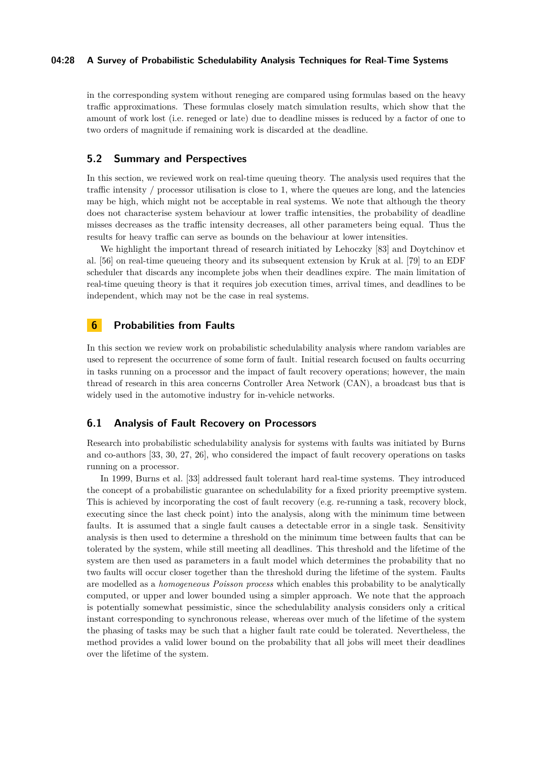### **04:28 A Survey of Probabilistic Schedulability Analysis Techniques for Real-Time Systems**

in the corresponding system without reneging are compared using formulas based on the heavy traffic approximations. These formulas closely match simulation results, which show that the amount of work lost (i.e. reneged or late) due to deadline misses is reduced by a factor of one to two orders of magnitude if remaining work is discarded at the deadline.

### **5.2 Summary and Perspectives**

In this section, we reviewed work on real-time queuing theory. The analysis used requires that the traffic intensity / processor utilisation is close to 1, where the queues are long, and the latencies may be high, which might not be acceptable in real systems. We note that although the theory does not characterise system behaviour at lower traffic intensities, the probability of deadline misses decreases as the traffic intensity decreases, all other parameters being equal. Thus the results for heavy traffic can serve as bounds on the behaviour at lower intensities.

We highlight the important thread of research initiated by Lehoczky [\[83\]](#page-49-7) and Doytchinov et al. [\[56\]](#page-47-9) on real-time queueing theory and its subsequent extension by Kruk at al. [\[79\]](#page-48-11) to an EDF scheduler that discards any incomplete jobs when their deadlines expire. The main limitation of real-time queuing theory is that it requires job execution times, arrival times, and deadlines to be independent, which may not be the case in real systems.

### <span id="page-27-0"></span>**6 Probabilities from Faults**

In this section we review work on probabilistic schedulability analysis where random variables are used to represent the occurrence of some form of fault. Initial research focused on faults occurring in tasks running on a processor and the impact of fault recovery operations; however, the main thread of research in this area concerns Controller Area Network (CAN), a broadcast bus that is widely used in the automotive industry for in-vehicle networks.

### <span id="page-27-1"></span>**6.1 Analysis of Fault Recovery on Processors**

Research into probabilistic schedulability analysis for systems with faults was initiated by Burns and co-authors [\[33,](#page-46-6) [30,](#page-46-7) [27,](#page-46-8) [26\]](#page-46-9), who considered the impact of fault recovery operations on tasks running on a processor.

In 1999, Burns et al. [\[33\]](#page-46-6) addressed fault tolerant hard real-time systems. They introduced the concept of a probabilistic guarantee on schedulability for a fixed priority preemptive system. This is achieved by incorporating the cost of fault recovery (e.g. re-running a task, recovery block, executing since the last check point) into the analysis, along with the minimum time between faults. It is assumed that a single fault causes a detectable error in a single task. Sensitivity analysis is then used to determine a threshold on the minimum time between faults that can be tolerated by the system, while still meeting all deadlines. This threshold and the lifetime of the system are then used as parameters in a fault model which determines the probability that no two faults will occur closer together than the threshold during the lifetime of the system. Faults are modelled as a *homogeneous Poisson process* which enables this probability to be analytically computed, or upper and lower bounded using a simpler approach. We note that the approach is potentially somewhat pessimistic, since the schedulability analysis considers only a critical instant corresponding to synchronous release, whereas over much of the lifetime of the system the phasing of tasks may be such that a higher fault rate could be tolerated. Nevertheless, the method provides a valid lower bound on the probability that all jobs will meet their deadlines over the lifetime of the system.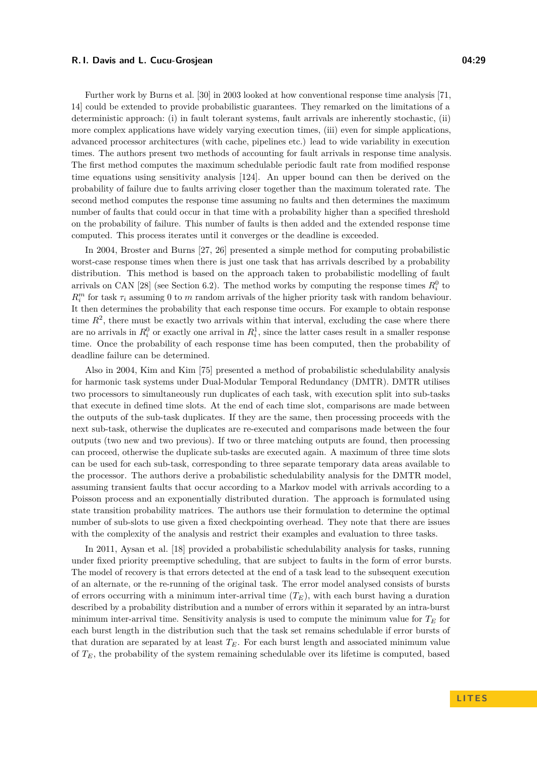Further work by Burns et al. [\[30\]](#page-46-7) in 2003 looked at how conventional response time analysis [\[71,](#page-48-23) [14\]](#page-46-21) could be extended to provide probabilistic guarantees. They remarked on the limitations of a deterministic approach: (i) in fault tolerant systems, fault arrivals are inherently stochastic, (ii) more complex applications have widely varying execution times, (iii) even for simple applications, advanced processor architectures (with cache, pipelines etc.) lead to wide variability in execution times. The authors present two methods of accounting for fault arrivals in response time analysis. The first method computes the maximum schedulable periodic fault rate from modified response time equations using sensitivity analysis [\[124\]](#page-50-22). An upper bound can then be derived on the probability of failure due to faults arriving closer together than the maximum tolerated rate. The second method computes the response time assuming no faults and then determines the maximum number of faults that could occur in that time with a probability higher than a specified threshold on the probability of failure. This number of faults is then added and the extended response time computed. This process iterates until it converges or the deadline is exceeded.

In 2004, Broster and Burns [\[27,](#page-46-8) [26\]](#page-46-9) presented a simple method for computing probabilistic worst-case response times when there is just one task that has arrivals described by a probability distribution. This method is based on the approach taken to probabilistic modelling of fault arrivals on CAN [\[28\]](#page-46-11) (see Section [6.2\)](#page-29-0). The method works by computing the response times  $R_i^0$  to  $R_i^m$  for task  $\tau_i$  assuming 0 to *m* random arrivals of the higher priority task with random behaviour. It then determines the probability that each response time occurs. For example to obtain response time  $R<sup>2</sup>$ , there must be exactly two arrivals within that interval, excluding the case where there are no arrivals in  $R_i^0$  or exactly one arrival in  $R_i^1$ , since the latter cases result in a smaller response time. Once the probability of each response time has been computed, then the probability of deadline failure can be determined.

Also in 2004, Kim and Kim [\[75\]](#page-48-12) presented a method of probabilistic schedulability analysis for harmonic task systems under Dual-Modular Temporal Redundancy (DMTR). DMTR utilises two processors to simultaneously run duplicates of each task, with execution split into sub-tasks that execute in defined time slots. At the end of each time slot, comparisons are made between the outputs of the sub-task duplicates. If they are the same, then processing proceeds with the next sub-task, otherwise the duplicates are re-executed and comparisons made between the four outputs (two new and two previous). If two or three matching outputs are found, then processing can proceed, otherwise the duplicate sub-tasks are executed again. A maximum of three time slots can be used for each sub-task, corresponding to three separate temporary data areas available to the processor. The authors derive a probabilistic schedulability analysis for the DMTR model, assuming transient faults that occur according to a Markov model with arrivals according to a Poisson process and an exponentially distributed duration. The approach is formulated using state transition probability matrices. The authors use their formulation to determine the optimal number of sub-slots to use given a fixed checkpointing overhead. They note that there are issues with the complexity of the analysis and restrict their examples and evaluation to three tasks.

In 2011, Aysan et al. [\[18\]](#page-46-10) provided a probabilistic schedulability analysis for tasks, running under fixed priority preemptive scheduling, that are subject to faults in the form of error bursts. The model of recovery is that errors detected at the end of a task lead to the subsequent execution of an alternate, or the re-running of the original task. The error model analysed consists of bursts of errors occurring with a minimum inter-arrival time  $(T_E)$ , with each burst having a duration described by a probability distribution and a number of errors within it separated by an intra-burst minimum inter-arrival time. Sensitivity analysis is used to compute the minimum value for  $T_E$  for each burst length in the distribution such that the task set remains schedulable if error bursts of that duration are separated by at least  $T_E$ . For each burst length and associated minimum value of *TE*, the probability of the system remaining schedulable over its lifetime is computed, based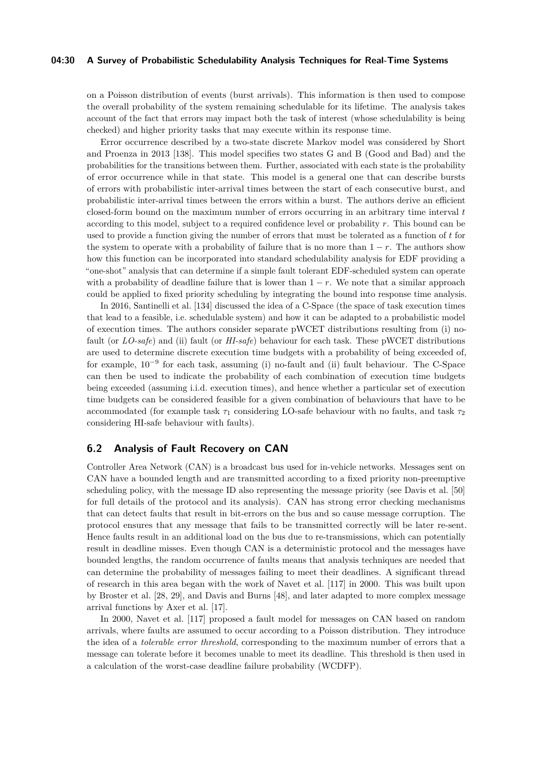#### **04:30 A Survey of Probabilistic Schedulability Analysis Techniques for Real-Time Systems**

on a Poisson distribution of events (burst arrivals). This information is then used to compose the overall probability of the system remaining schedulable for its lifetime. The analysis takes account of the fact that errors may impact both the task of interest (whose schedulability is being checked) and higher priority tasks that may execute within its response time.

Error occurrence described by a two-state discrete Markov model was considered by Short and Proenza in 2013 [\[138\]](#page-51-10). This model specifies two states G and B (Good and Bad) and the probabilities for the transitions between them. Further, associated with each state is the probability of error occurrence while in that state. This model is a general one that can describe bursts of errors with probabilistic inter-arrival times between the start of each consecutive burst, and probabilistic inter-arrival times between the errors within a burst. The authors derive an efficient closed-form bound on the maximum number of errors occurring in an arbitrary time interval *t* according to this model, subject to a required confidence level or probability *r*. This bound can be used to provide a function giving the number of errors that must be tolerated as a function of *t* for the system to operate with a probability of failure that is no more than  $1 - r$ . The authors show how this function can be incorporated into standard schedulability analysis for EDF providing a "one-shot" analysis that can determine if a simple fault tolerant EDF-scheduled system can operate with a probability of deadline failure that is lower than  $1 - r$ . We note that a similar approach could be applied to fixed priority scheduling by integrating the bound into response time analysis.

In 2016, Santinelli et al. [\[134\]](#page-51-11) discussed the idea of a C-Space (the space of task execution times that lead to a feasible, i.e. schedulable system) and how it can be adapted to a probabilistic model of execution times. The authors consider separate pWCET distributions resulting from (i) nofault (or *LO-safe*) and (ii) fault (or *HI-safe*) behaviour for each task. These pWCET distributions are used to determine discrete execution time budgets with a probability of being exceeded of, for example,  $10^{-9}$  for each task, assuming (i) no-fault and (ii) fault behaviour. The C-Space can then be used to indicate the probability of each combination of execution time budgets being exceeded (assuming i.i.d. execution times), and hence whether a particular set of execution time budgets can be considered feasible for a given combination of behaviours that have to be accommodated (for example task  $\tau_1$  considering LO-safe behaviour with no faults, and task  $\tau_2$ considering HI-safe behaviour with faults).

### <span id="page-29-0"></span>**6.2 Analysis of Fault Recovery on CAN**

Controller Area Network (CAN) is a broadcast bus used for in-vehicle networks. Messages sent on CAN have a bounded length and are transmitted according to a fixed priority non-preemptive scheduling policy, with the message ID also representing the message priority (see Davis et al. [\[50\]](#page-47-20) for full details of the protocol and its analysis). CAN has strong error checking mechanisms that can detect faults that result in bit-errors on the bus and so cause message corruption. The protocol ensures that any message that fails to be transmitted correctly will be later re-sent. Hence faults result in an additional load on the bus due to re-transmissions, which can potentially result in deadline misses. Even though CAN is a deterministic protocol and the messages have bounded lengths, the random occurrence of faults means that analysis techniques are needed that can determine the probability of messages failing to meet their deadlines. A significant thread of research in this area began with the work of Navet et al. [\[117\]](#page-50-7) in 2000. This was built upon by Broster et al. [\[28,](#page-46-11) [29\]](#page-46-12), and Davis and Burns [\[48\]](#page-47-10), and later adapted to more complex message arrival functions by Axer et al. [\[17\]](#page-46-14).

In 2000, Navet et al. [\[117\]](#page-50-7) proposed a fault model for messages on CAN based on random arrivals, where faults are assumed to occur according to a Poisson distribution. They introduce the idea of a *tolerable error threshold*, corresponding to the maximum number of errors that a message can tolerate before it becomes unable to meet its deadline. This threshold is then used in a calculation of the worst-case deadline failure probability (WCDFP).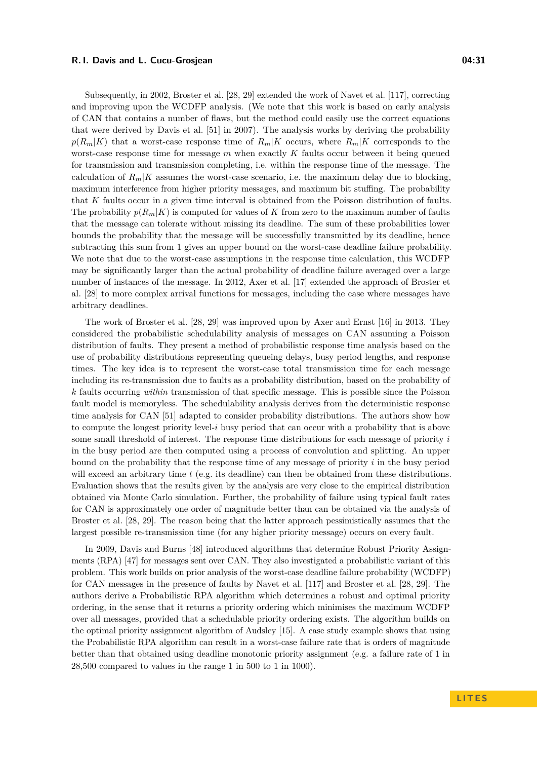Subsequently, in 2002, Broster et al. [\[28,](#page-46-11) [29\]](#page-46-12) extended the work of Navet et al. [\[117\]](#page-50-7), correcting and improving upon the WCDFP analysis. (We note that this work is based on early analysis of CAN that contains a number of flaws, but the method could easily use the correct equations that were derived by Davis et al. [\[51\]](#page-47-21) in 2007). The analysis works by deriving the probability  $p(R_m|K)$  that a worst-case response time of  $R_m|K$  occurs, where  $R_m|K$  corresponds to the worst-case response time for message *m* when exactly *K* faults occur between it being queued for transmission and transmission completing, i.e. within the response time of the message. The calculation of  $R_m|K$  assumes the worst-case scenario, i.e. the maximum delay due to blocking, maximum interference from higher priority messages, and maximum bit stuffing. The probability that *K* faults occur in a given time interval is obtained from the Poisson distribution of faults. The probability  $p(R_m|K)$  is computed for values of K from zero to the maximum number of faults that the message can tolerate without missing its deadline. The sum of these probabilities lower bounds the probability that the message will be successfully transmitted by its deadline, hence subtracting this sum from 1 gives an upper bound on the worst-case deadline failure probability. We note that due to the worst-case assumptions in the response time calculation, this WCDFP may be significantly larger than the actual probability of deadline failure averaged over a large number of instances of the message. In 2012, Axer et al. [\[17\]](#page-46-14) extended the approach of Broster et al. [\[28\]](#page-46-11) to more complex arrival functions for messages, including the case where messages have arbitrary deadlines.

The work of Broster et al. [\[28,](#page-46-11) [29\]](#page-46-12) was improved upon by Axer and Ernst [\[16\]](#page-46-22) in 2013. They considered the probabilistic schedulability analysis of messages on CAN assuming a Poisson distribution of faults. They present a method of probabilistic response time analysis based on the use of probability distributions representing queueing delays, busy period lengths, and response times. The key idea is to represent the worst-case total transmission time for each message including its re-transmission due to faults as a probability distribution, based on the probability of *k* faults occurring *within* transmission of that specific message. This is possible since the Poisson fault model is memoryless. The schedulability analysis derives from the deterministic response time analysis for CAN [\[51\]](#page-47-21) adapted to consider probability distributions. The authors show how to compute the longest priority level-*i* busy period that can occur with a probability that is above some small threshold of interest. The response time distributions for each message of priority *i* in the busy period are then computed using a process of convolution and splitting. An upper bound on the probability that the response time of any message of priority *i* in the busy period will exceed an arbitrary time *t* (e.g. its deadline) can then be obtained from these distributions. Evaluation shows that the results given by the analysis are very close to the empirical distribution obtained via Monte Carlo simulation. Further, the probability of failure using typical fault rates for CAN is approximately one order of magnitude better than can be obtained via the analysis of Broster et al. [\[28,](#page-46-11) [29\]](#page-46-12). The reason being that the latter approach pessimistically assumes that the largest possible re-transmission time (for any higher priority message) occurs on every fault.

In 2009, Davis and Burns [\[48\]](#page-47-10) introduced algorithms that determine Robust Priority Assignments (RPA) [\[47\]](#page-47-22) for messages sent over CAN. They also investigated a probabilistic variant of this problem. This work builds on prior analysis of the worst-case deadline failure probability (WCDFP) for CAN messages in the presence of faults by Navet et al. [\[117\]](#page-50-7) and Broster et al. [\[28,](#page-46-11) [29\]](#page-46-12). The authors derive a Probabilistic RPA algorithm which determines a robust and optimal priority ordering, in the sense that it returns a priority ordering which minimises the maximum WCDFP over all messages, provided that a schedulable priority ordering exists. The algorithm builds on the optimal priority assignment algorithm of Audsley [\[15\]](#page-46-20). A case study example shows that using the Probabilistic RPA algorithm can result in a worst-case failure rate that is orders of magnitude better than that obtained using deadline monotonic priority assignment (e.g. a failure rate of 1 in 28,500 compared to values in the range 1 in 500 to 1 in 1000).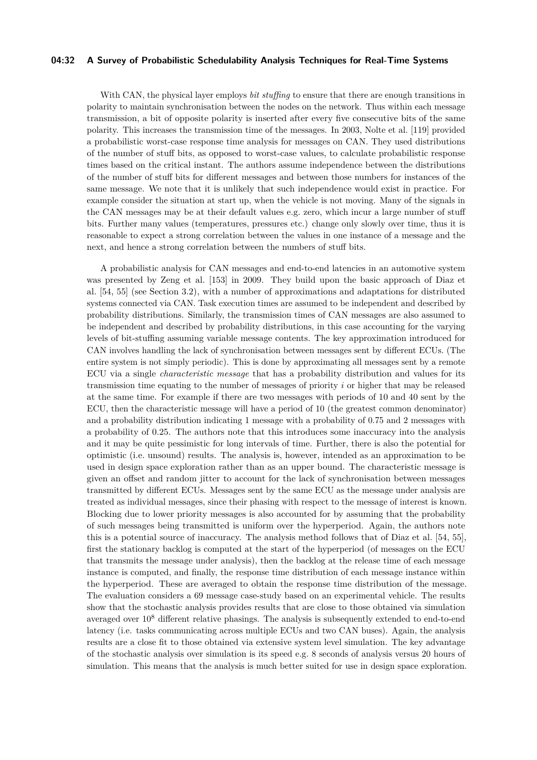#### **04:32 A Survey of Probabilistic Schedulability Analysis Techniques for Real-Time Systems**

With CAN, the physical layer employs *bit stuffing* to ensure that there are enough transitions in polarity to maintain synchronisation between the nodes on the network. Thus within each message transmission, a bit of opposite polarity is inserted after every five consecutive bits of the same polarity. This increases the transmission time of the messages. In 2003, Nolte et al. [\[119\]](#page-50-8) provided a probabilistic worst-case response time analysis for messages on CAN. They used distributions of the number of stuff bits, as opposed to worst-case values, to calculate probabilistic response times based on the critical instant. The authors assume independence between the distributions of the number of stuff bits for different messages and between those numbers for instances of the same message. We note that it is unlikely that such independence would exist in practice. For example consider the situation at start up, when the vehicle is not moving. Many of the signals in the CAN messages may be at their default values e.g. zero, which incur a large number of stuff bits. Further many values (temperatures, pressures etc.) change only slowly over time, thus it is reasonable to expect a strong correlation between the values in one instance of a message and the next, and hence a strong correlation between the numbers of stuff bits.

A probabilistic analysis for CAN messages and end-to-end latencies in an automotive system was presented by Zeng et al. [\[153\]](#page-52-4) in 2009. They build upon the basic approach of Diaz et al. [\[54,](#page-47-4) [55\]](#page-47-5) (see Section [3.2\)](#page-17-0), with a number of approximations and adaptations for distributed systems connected via CAN. Task execution times are assumed to be independent and described by probability distributions. Similarly, the transmission times of CAN messages are also assumed to be independent and described by probability distributions, in this case accounting for the varying levels of bit-stuffing assuming variable message contents. The key approximation introduced for CAN involves handling the lack of synchronisation between messages sent by different ECUs. (The entire system is not simply periodic). This is done by approximating all messages sent by a remote ECU via a single *characteristic message* that has a probability distribution and values for its transmission time equating to the number of messages of priority *i* or higher that may be released at the same time. For example if there are two messages with periods of 10 and 40 sent by the ECU, then the characteristic message will have a period of 10 (the greatest common denominator) and a probability distribution indicating 1 message with a probability of 0.75 and 2 messages with a probability of 0.25. The authors note that this introduces some inaccuracy into the analysis and it may be quite pessimistic for long intervals of time. Further, there is also the potential for optimistic (i.e. unsound) results. The analysis is, however, intended as an approximation to be used in design space exploration rather than as an upper bound. The characteristic message is given an offset and random jitter to account for the lack of synchronisation between messages transmitted by different ECUs. Messages sent by the same ECU as the message under analysis are treated as individual messages, since their phasing with respect to the message of interest is known. Blocking due to lower priority messages is also accounted for by assuming that the probability of such messages being transmitted is uniform over the hyperperiod. Again, the authors note this is a potential source of inaccuracy. The analysis method follows that of Diaz et al. [\[54,](#page-47-4) [55\]](#page-47-5), first the stationary backlog is computed at the start of the hyperperiod (of messages on the ECU that transmits the message under analysis), then the backlog at the release time of each message instance is computed, and finally, the response time distribution of each message instance within the hyperperiod. These are averaged to obtain the response time distribution of the message. The evaluation considers a 69 message case-study based on an experimental vehicle. The results show that the stochastic analysis provides results that are close to those obtained via simulation averaged over 10<sup>8</sup> different relative phasings. The analysis is subsequently extended to end-to-end latency (i.e. tasks communicating across multiple ECUs and two CAN buses). Again, the analysis results are a close fit to those obtained via extensive system level simulation. The key advantage of the stochastic analysis over simulation is its speed e.g. 8 seconds of analysis versus 20 hours of simulation. This means that the analysis is much better suited for use in design space exploration.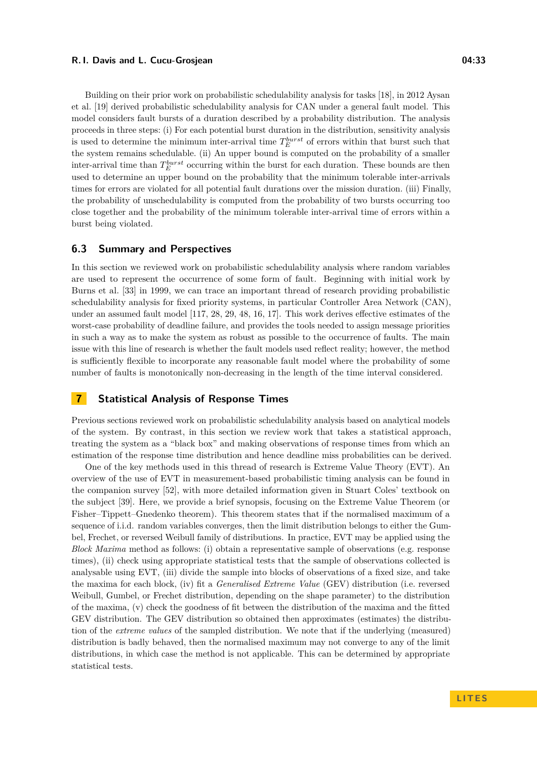Building on their prior work on probabilistic schedulability analysis for tasks [\[18\]](#page-46-10), in 2012 Aysan et al. [\[19\]](#page-46-13) derived probabilistic schedulability analysis for CAN under a general fault model. This model considers fault bursts of a duration described by a probability distribution. The analysis proceeds in three steps: (i) For each potential burst duration in the distribution, sensitivity analysis is used to determine the minimum inter-arrival time  $T_E^{burst}$  of errors within that burst such that the system remains schedulable. (ii) An upper bound is computed on the probability of a smaller inter-arrival time than  $T_E^{burst}$  occurring within the burst for each duration. These bounds are then used to determine an upper bound on the probability that the minimum tolerable inter-arrivals times for errors are violated for all potential fault durations over the mission duration. (iii) Finally, the probability of unschedulability is computed from the probability of two bursts occurring too close together and the probability of the minimum tolerable inter-arrival time of errors within a burst being violated.

### **6.3 Summary and Perspectives**

In this section we reviewed work on probabilistic schedulability analysis where random variables are used to represent the occurrence of some form of fault. Beginning with initial work by Burns et al. [\[33\]](#page-46-6) in 1999, we can trace an important thread of research providing probabilistic schedulability analysis for fixed priority systems, in particular Controller Area Network (CAN), under an assumed fault model [\[117,](#page-50-7) [28,](#page-46-11) [29,](#page-46-12) [48,](#page-47-10) [16,](#page-46-22) [17\]](#page-46-14). This work derives effective estimates of the worst-case probability of deadline failure, and provides the tools needed to assign message priorities in such a way as to make the system as robust as possible to the occurrence of faults. The main issue with this line of research is whether the fault models used reflect reality; however, the method is sufficiently flexible to incorporate any reasonable fault model where the probability of some number of faults is monotonically non-decreasing in the length of the time interval considered.

### <span id="page-32-0"></span>**7 Statistical Analysis of Response Times**

Previous sections reviewed work on probabilistic schedulability analysis based on analytical models of the system. By contrast, in this section we review work that takes a statistical approach, treating the system as a "black box" and making observations of response times from which an estimation of the response time distribution and hence deadline miss probabilities can be derived.

One of the key methods used in this thread of research is Extreme Value Theory (EVT). An overview of the use of EVT in measurement-based probabilistic timing analysis can be found in the companion survey [\[52\]](#page-47-3), with more detailed information given in Stuart Coles' textbook on the subject [\[39\]](#page-47-18). Here, we provide a brief synopsis, focusing on the Extreme Value Theorem (or Fisher–Tippett–Gnedenko theorem). This theorem states that if the normalised maximum of a sequence of i.i.d. random variables converges, then the limit distribution belongs to either the Gumbel, Frechet, or reversed Weibull family of distributions. In practice, EVT may be applied using the *Block Maxima* method as follows: (i) obtain a representative sample of observations (e.g. response times), (ii) check using appropriate statistical tests that the sample of observations collected is analysable using EVT, (iii) divide the sample into blocks of observations of a fixed size, and take the maxima for each block, (iv) fit a *Generalised Extreme Value* (GEV) distribution (i.e. reversed Weibull, Gumbel, or Frechet distribution, depending on the shape parameter) to the distribution of the maxima, (v) check the goodness of fit between the distribution of the maxima and the fitted GEV distribution. The GEV distribution so obtained then approximates (estimates) the distribution of the *extreme values* of the sampled distribution. We note that if the underlying (measured) distribution is badly behaved, then the normalised maximum may not converge to any of the limit distributions, in which case the method is not applicable. This can be determined by appropriate statistical tests.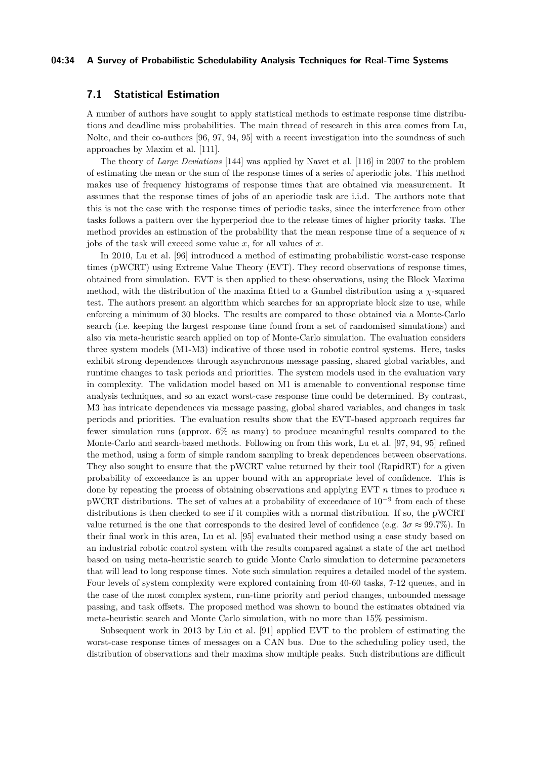### **04:34 A Survey of Probabilistic Schedulability Analysis Techniques for Real-Time Systems**

### <span id="page-33-0"></span>**7.1 Statistical Estimation**

A number of authors have sought to apply statistical methods to estimate response time distributions and deadline miss probabilities. The main thread of research in this area comes from Lu, Nolte, and their co-authors [\[96,](#page-49-8) [97,](#page-49-9) [94,](#page-49-10) [95\]](#page-49-11) with a recent investigation into the soundness of such approaches by Maxim et al. [\[111\]](#page-50-10).

The theory of *Large Deviations* [\[144\]](#page-51-21) was applied by Navet et al. [\[116\]](#page-50-9) in 2007 to the problem of estimating the mean or the sum of the response times of a series of aperiodic jobs. This method makes use of frequency histograms of response times that are obtained via measurement. It assumes that the response times of jobs of an aperiodic task are i.i.d. The authors note that this is not the case with the response times of periodic tasks, since the interference from other tasks follows a pattern over the hyperperiod due to the release times of higher priority tasks. The method provides an estimation of the probability that the mean response time of a sequence of *n* jobs of the task will exceed some value *x*, for all values of *x*.

In 2010, Lu et al. [\[96\]](#page-49-8) introduced a method of estimating probabilistic worst-case response times (pWCRT) using Extreme Value Theory (EVT). They record observations of response times, obtained from simulation. EVT is then applied to these observations, using the Block Maxima method, with the distribution of the maxima fitted to a Gumbel distribution using a *χ*-squared test. The authors present an algorithm which searches for an appropriate block size to use, while enforcing a minimum of 30 blocks. The results are compared to those obtained via a Monte-Carlo search (i.e. keeping the largest response time found from a set of randomised simulations) and also via meta-heuristic search applied on top of Monte-Carlo simulation. The evaluation considers three system models (M1-M3) indicative of those used in robotic control systems. Here, tasks exhibit strong dependences through asynchronous message passing, shared global variables, and runtime changes to task periods and priorities. The system models used in the evaluation vary in complexity. The validation model based on M1 is amenable to conventional response time analysis techniques, and so an exact worst-case response time could be determined. By contrast, M3 has intricate dependences via message passing, global shared variables, and changes in task periods and priorities. The evaluation results show that the EVT-based approach requires far fewer simulation runs (approx. 6% as many) to produce meaningful results compared to the Monte-Carlo and search-based methods. Following on from this work, Lu et al. [\[97,](#page-49-9) [94,](#page-49-10) [95\]](#page-49-11) refined the method, using a form of simple random sampling to break dependences between observations. They also sought to ensure that the pWCRT value returned by their tool (RapidRT) for a given probability of exceedance is an upper bound with an appropriate level of confidence. This is done by repeating the process of obtaining observations and applying EVT *n* times to produce *n* pWCRT distributions. The set of values at a probability of exceedance of 10<sup>-9</sup> from each of these distributions is then checked to see if it complies with a normal distribution. If so, the pWCRT value returned is the one that corresponds to the desired level of confidence (e.g.  $3\sigma \approx 99.7\%$ ). In their final work in this area, Lu et al. [\[95\]](#page-49-11) evaluated their method using a case study based on an industrial robotic control system with the results compared against a state of the art method based on using meta-heuristic search to guide Monte Carlo simulation to determine parameters that will lead to long response times. Note such simulation requires a detailed model of the system. Four levels of system complexity were explored containing from  $40-60$  tasks,  $7-12$  queues, and in the case of the most complex system, run-time priority and period changes, unbounded message passing, and task offsets. The proposed method was shown to bound the estimates obtained via meta-heuristic search and Monte Carlo simulation, with no more than 15% pessimism.

Subsequent work in 2013 by Liu et al. [\[91\]](#page-49-12) applied EVT to the problem of estimating the worst-case response times of messages on a CAN bus. Due to the scheduling policy used, the distribution of observations and their maxima show multiple peaks. Such distributions are difficult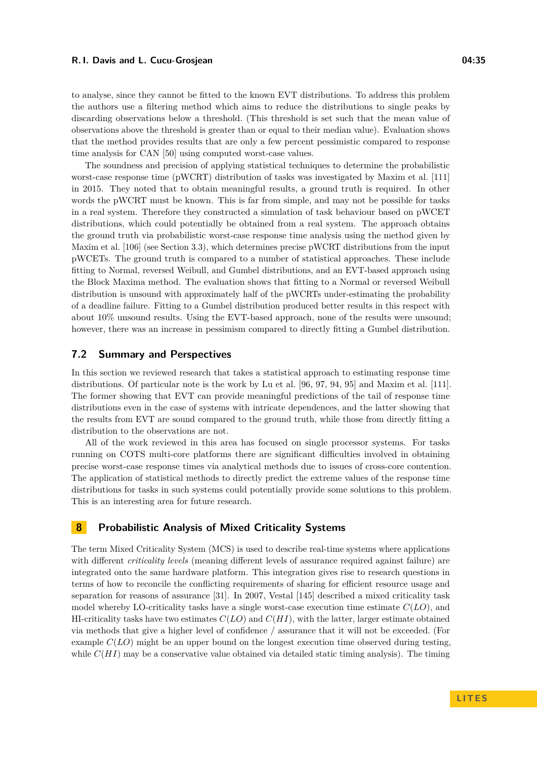to analyse, since they cannot be fitted to the known EVT distributions. To address this problem the authors use a filtering method which aims to reduce the distributions to single peaks by discarding observations below a threshold. (This threshold is set such that the mean value of observations above the threshold is greater than or equal to their median value). Evaluation shows that the method provides results that are only a few percent pessimistic compared to response time analysis for CAN [\[50\]](#page-47-20) using computed worst-case values.

The soundness and precision of applying statistical techniques to determine the probabilistic worst-case response time (pWCRT) distribution of tasks was investigated by Maxim et al. [\[111\]](#page-50-10) in 2015. They noted that to obtain meaningful results, a ground truth is required. In other words the pWCRT must be known. This is far from simple, and may not be possible for tasks in a real system. Therefore they constructed a simulation of task behaviour based on pWCET distributions, which could potentially be obtained from a real system. The approach obtains the ground truth via probabilistic worst-case response time analysis using the method given by Maxim et al. [\[106\]](#page-50-1) (see Section [3.3\)](#page-19-0), which determines precise pWCRT distributions from the input pWCETs. The ground truth is compared to a number of statistical approaches. These include fitting to Normal, reversed Weibull, and Gumbel distributions, and an EVT-based approach using the Block Maxima method. The evaluation shows that fitting to a Normal or reversed Weibull distribution is unsound with approximately half of the pWCRTs under-estimating the probability of a deadline failure. Fitting to a Gumbel distribution produced better results in this respect with about 10% unsound results. Using the EVT-based approach, none of the results were unsound; however, there was an increase in pessimism compared to directly fitting a Gumbel distribution.

### **7.2 Summary and Perspectives**

In this section we reviewed research that takes a statistical approach to estimating response time distributions. Of particular note is the work by Lu et al. [\[96,](#page-49-8) [97,](#page-49-9) [94,](#page-49-10) [95\]](#page-49-11) and Maxim et al. [\[111\]](#page-50-10). The former showing that EVT can provide meaningful predictions of the tail of response time distributions even in the case of systems with intricate dependences, and the latter showing that the results from EVT are sound compared to the ground truth, while those from directly fitting a distribution to the observations are not.

All of the work reviewed in this area has focused on single processor systems. For tasks running on COTS multi-core platforms there are significant difficulties involved in obtaining precise worst-case response times via analytical methods due to issues of cross-core contention. The application of statistical methods to directly predict the extreme values of the response time distributions for tasks in such systems could potentially provide some solutions to this problem. This is an interesting area for future research.

### <span id="page-34-0"></span>**8 Probabilistic Analysis of Mixed Criticality Systems**

The term Mixed Criticality System (MCS) is used to describe real-time systems where applications with different *criticality levels* (meaning different levels of assurance required against failure) are integrated onto the same hardware platform. This integration gives rise to research questions in terms of how to reconcile the conflicting requirements of sharing for efficient resource usage and separation for reasons of assurance [\[31\]](#page-46-23). In 2007, Vestal [\[145\]](#page-51-22) described a mixed criticality task model whereby LO-criticality tasks have a single worst-case execution time estimate *C*(*LO*), and HI-criticality tasks have two estimates *C*(*LO*) and *C*(*HI*), with the latter, larger estimate obtained via methods that give a higher level of confidence / assurance that it will not be exceeded. (For example *C*(*LO*) might be an upper bound on the longest execution time observed during testing, while  $C(HI)$  may be a conservative value obtained via detailed static timing analysis). The timing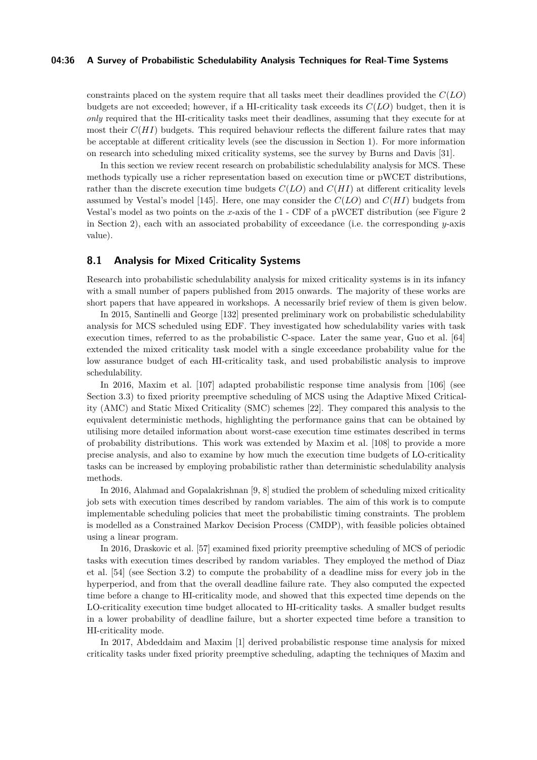### **04:36 A Survey of Probabilistic Schedulability Analysis Techniques for Real-Time Systems**

constraints placed on the system require that all tasks meet their deadlines provided the *C*(*LO*) budgets are not exceeded; however, if a HI-criticality task exceeds its *C*(*LO*) budget, then it is *only* required that the HI-criticality tasks meet their deadlines, assuming that they execute for at most their  $C(HI)$  budgets. This required behaviour reflects the different failure rates that may be acceptable at different criticality levels (see the discussion in Section [1\)](#page-0-0). For more information on research into scheduling mixed criticality systems, see the survey by Burns and Davis [\[31\]](#page-46-23).

In this section we review recent research on probabilistic schedulability analysis for MCS. These methods typically use a richer representation based on execution time or pWCET distributions, rather than the discrete execution time budgets *C*(*LO*) and *C*(*HI*) at different criticality levels assumed by Vestal's model [\[145\]](#page-51-22). Here, one may consider the *C*(*LO*) and *C*(*HI*) budgets from Vestal's model as two points on the *x*-axis of the 1 - CDF of a pWCET distribution (see Figure [2](#page-7-1) in Section [2\)](#page-4-1), each with an associated probability of exceedance (i.e. the corresponding *y*-axis value).

### <span id="page-35-0"></span>**8.1 Analysis for Mixed Criticality Systems**

Research into probabilistic schedulability analysis for mixed criticality systems is in its infancy with a small number of papers published from 2015 onwards. The majority of these works are short papers that have appeared in workshops. A necessarily brief review of them is given below.

In 2015, Santinelli and George [\[132\]](#page-51-12) presented preliminary work on probabilistic schedulability analysis for MCS scheduled using EDF. They investigated how schedulability varies with task execution times, referred to as the probabilistic C-space. Later the same year, Guo et al. [\[64\]](#page-48-13) extended the mixed criticality task model with a single exceedance probability value for the low assurance budget of each HI-criticality task, and used probabilistic analysis to improve schedulability.

In 2016, Maxim et al. [\[107\]](#page-50-11) adapted probabilistic response time analysis from [\[106\]](#page-50-1) (see Section [3.3\)](#page-19-0) to fixed priority preemptive scheduling of MCS using the Adaptive Mixed Criticality (AMC) and Static Mixed Criticality (SMC) schemes [\[22\]](#page-46-24). They compared this analysis to the equivalent deterministic methods, highlighting the performance gains that can be obtained by utilising more detailed information about worst-case execution time estimates described in terms of probability distributions. This work was extended by Maxim et al. [\[108\]](#page-50-12) to provide a more precise analysis, and also to examine by how much the execution time budgets of LO-criticality tasks can be increased by employing probabilistic rather than deterministic schedulability analysis methods.

In 2016, Alahmad and Gopalakrishnan [\[9,](#page-46-15) [8\]](#page-46-16) studied the problem of scheduling mixed criticality job sets with execution times described by random variables. The aim of this work is to compute implementable scheduling policies that meet the probabilistic timing constraints. The problem is modelled as a Constrained Markov Decision Process (CMDP), with feasible policies obtained using a linear program.

In 2016, Draskovic et al. [\[57\]](#page-47-11) examined fixed priority preemptive scheduling of MCS of periodic tasks with execution times described by random variables. They employed the method of Diaz et al. [\[54\]](#page-47-4) (see Section [3.2\)](#page-17-0) to compute the probability of a deadline miss for every job in the hyperperiod, and from that the overall deadline failure rate. They also computed the expected time before a change to HI-criticality mode, and showed that this expected time depends on the LO-criticality execution time budget allocated to HI-criticality tasks. A smaller budget results in a lower probability of deadline failure, but a shorter expected time before a transition to HI-criticality mode.

In 2017, Abdeddaim and Maxim [\[1\]](#page-45-5) derived probabilistic response time analysis for mixed criticality tasks under fixed priority preemptive scheduling, adapting the techniques of Maxim and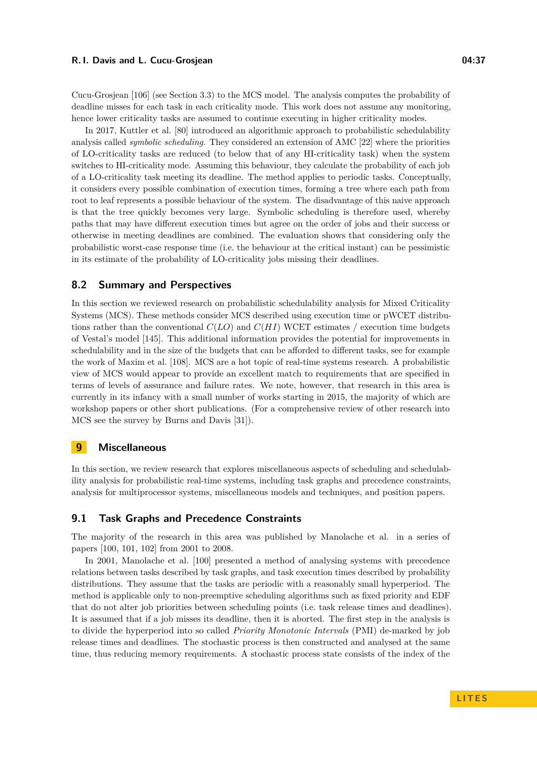Cucu-Grosjean [\[106\]](#page-50-1) (see Section [3.3\)](#page-19-0) to the MCS model. The analysis computes the probability of deadline misses for each task in each criticality mode. This work does not assume any monitoring, hence lower criticality tasks are assumed to continue executing in higher criticality modes.

In 2017, Kuttler et al. [\[80\]](#page-48-14) introduced an algorithmic approach to probabilistic schedulability analysis called *symbolic scheduling*. They considered an extension of AMC [\[22\]](#page-46-24) where the priorities of LO-criticality tasks are reduced (to below that of any HI-criticality task) when the system switches to HI-criticality mode. Assuming this behaviour, they calculate the probability of each job of a LO-criticality task meeting its deadline. The method applies to periodic tasks. Conceptually, it considers every possible combination of execution times, forming a tree where each path from root to leaf represents a possible behaviour of the system. The disadvantage of this naive approach is that the tree quickly becomes very large. Symbolic scheduling is therefore used, whereby paths that may have different execution times but agree on the order of jobs and their success or otherwise in meeting deadlines are combined. The evaluation shows that considering only the probabilistic worst-case response time (i.e. the behaviour at the critical instant) can be pessimistic in its estimate of the probability of LO-criticality jobs missing their deadlines.

### **8.2 Summary and Perspectives**

In this section we reviewed research on probabilistic schedulability analysis for Mixed Criticality Systems (MCS). These methods consider MCS described using execution time or pWCET distributions rather than the conventional  $C(LO)$  and  $C(HI)$  WCET estimates / execution time budgets of Vestal's model [\[145\]](#page-51-22). This additional information provides the potential for improvements in schedulability and in the size of the budgets that can be afforded to different tasks, see for example the work of Maxim et al. [\[108\]](#page-50-12). MCS are a hot topic of real-time systems research. A probabilistic view of MCS would appear to provide an excellent match to requirements that are specified in terms of levels of assurance and failure rates. We note, however, that research in this area is currently in its infancy with a small number of works starting in 2015, the majority of which are workshop papers or other short publications. (For a comprehensive review of other research into MCS see the survey by Burns and Davis [\[31\]](#page-46-23)).

### <span id="page-36-0"></span>**9 Miscellaneous**

In this section, we review research that explores miscellaneous aspects of scheduling and schedulability analysis for probabilistic real-time systems, including task graphs and precedence constraints, analysis for multiprocessor systems, miscellaneous models and techniques, and position papers.

### <span id="page-36-1"></span>**9.1 Task Graphs and Precedence Constraints**

The majority of the research in this area was published by Manolache et al. in a series of papers [\[100,](#page-49-13) [101,](#page-49-14) [102\]](#page-49-15) from 2001 to 2008.

In 2001, Manolache et al. [\[100\]](#page-49-13) presented a method of analysing systems with precedence relations between tasks described by task graphs, and task execution times described by probability distributions. They assume that the tasks are periodic with a reasonably small hyperperiod. The method is applicable only to non-preemptive scheduling algorithms such as fixed priority and EDF that do not alter job priorities between scheduling points (i.e. task release times and deadlines). It is assumed that if a job misses its deadline, then it is aborted. The first step in the analysis is to divide the hyperperiod into so called *Priority Monotonic Intervals* (PMI) de-marked by job release times and deadlines. The stochastic process is then constructed and analysed at the same time, thus reducing memory requirements. A stochastic process state consists of the index of the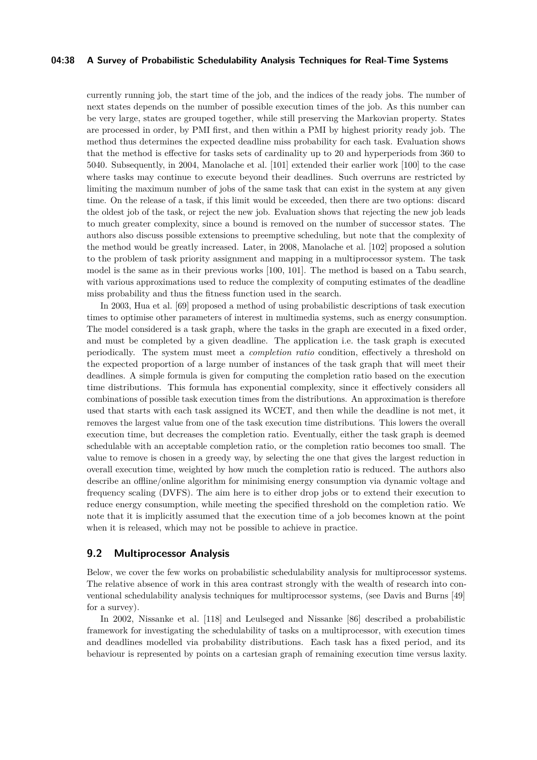### **04:38 A Survey of Probabilistic Schedulability Analysis Techniques for Real-Time Systems**

currently running job, the start time of the job, and the indices of the ready jobs. The number of next states depends on the number of possible execution times of the job. As this number can be very large, states are grouped together, while still preserving the Markovian property. States are processed in order, by PMI first, and then within a PMI by highest priority ready job. The method thus determines the expected deadline miss probability for each task. Evaluation shows that the method is effective for tasks sets of cardinality up to 20 and hyperperiods from 360 to 5040. Subsequently, in 2004, Manolache et al. [\[101\]](#page-49-14) extended their earlier work [\[100\]](#page-49-13) to the case where tasks may continue to execute beyond their deadlines. Such overruns are restricted by limiting the maximum number of jobs of the same task that can exist in the system at any given time. On the release of a task, if this limit would be exceeded, then there are two options: discard the oldest job of the task, or reject the new job. Evaluation shows that rejecting the new job leads to much greater complexity, since a bound is removed on the number of successor states. The authors also discuss possible extensions to preemptive scheduling, but note that the complexity of the method would be greatly increased. Later, in 2008, Manolache et al. [\[102\]](#page-49-15) proposed a solution to the problem of task priority assignment and mapping in a multiprocessor system. The task model is the same as in their previous works [\[100,](#page-49-13) [101\]](#page-49-14). The method is based on a Tabu search, with various approximations used to reduce the complexity of computing estimates of the deadline miss probability and thus the fitness function used in the search.

In 2003, Hua et al. [\[69\]](#page-48-15) proposed a method of using probabilistic descriptions of task execution times to optimise other parameters of interest in multimedia systems, such as energy consumption. The model considered is a task graph, where the tasks in the graph are executed in a fixed order, and must be completed by a given deadline. The application i.e. the task graph is executed periodically. The system must meet a *completion ratio* condition, effectively a threshold on the expected proportion of a large number of instances of the task graph that will meet their deadlines. A simple formula is given for computing the completion ratio based on the execution time distributions. This formula has exponential complexity, since it effectively considers all combinations of possible task execution times from the distributions. An approximation is therefore used that starts with each task assigned its WCET, and then while the deadline is not met, it removes the largest value from one of the task execution time distributions. This lowers the overall execution time, but decreases the completion ratio. Eventually, either the task graph is deemed schedulable with an acceptable completion ratio, or the completion ratio becomes too small. The value to remove is chosen in a greedy way, by selecting the one that gives the largest reduction in overall execution time, weighted by how much the completion ratio is reduced. The authors also describe an offline/online algorithm for minimising energy consumption via dynamic voltage and frequency scaling (DVFS). The aim here is to either drop jobs or to extend their execution to reduce energy consumption, while meeting the specified threshold on the completion ratio. We note that it is implicitly assumed that the execution time of a job becomes known at the point when it is released, which may not be possible to achieve in practice.

### <span id="page-37-0"></span>**9.2 Multiprocessor Analysis**

Below, we cover the few works on probabilistic schedulability analysis for multiprocessor systems. The relative absence of work in this area contrast strongly with the wealth of research into conventional schedulability analysis techniques for multiprocessor systems, (see Davis and Burns [\[49\]](#page-47-16) for a survey).

In 2002, Nissanke et al. [\[118\]](#page-50-13) and Leulseged and Nissanke [\[86\]](#page-49-16) described a probabilistic framework for investigating the schedulability of tasks on a multiprocessor, with execution times and deadlines modelled via probability distributions. Each task has a fixed period, and its behaviour is represented by points on a cartesian graph of remaining execution time versus laxity.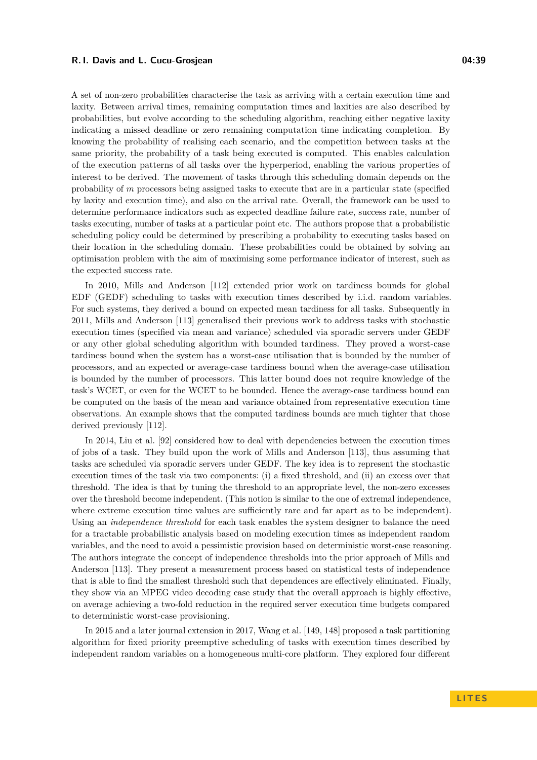A set of non-zero probabilities characterise the task as arriving with a certain execution time and laxity. Between arrival times, remaining computation times and laxities are also described by probabilities, but evolve according to the scheduling algorithm, reaching either negative laxity indicating a missed deadline or zero remaining computation time indicating completion. By knowing the probability of realising each scenario, and the competition between tasks at the same priority, the probability of a task being executed is computed. This enables calculation of the execution patterns of all tasks over the hyperperiod, enabling the various properties of interest to be derived. The movement of tasks through this scheduling domain depends on the probability of *m* processors being assigned tasks to execute that are in a particular state (specified by laxity and execution time), and also on the arrival rate. Overall, the framework can be used to determine performance indicators such as expected deadline failure rate, success rate, number of tasks executing, number of tasks at a particular point etc. The authors propose that a probabilistic scheduling policy could be determined by prescribing a probability to executing tasks based on their location in the scheduling domain. These probabilities could be obtained by solving an optimisation problem with the aim of maximising some performance indicator of interest, such as the expected success rate.

In 2010, Mills and Anderson [\[112\]](#page-50-15) extended prior work on tardiness bounds for global EDF (GEDF) scheduling to tasks with execution times described by i.i.d. random variables. For such systems, they derived a bound on expected mean tardiness for all tasks. Subsequently in 2011, Mills and Anderson [\[113\]](#page-50-14) generalised their previous work to address tasks with stochastic execution times (specified via mean and variance) scheduled via sporadic servers under GEDF or any other global scheduling algorithm with bounded tardiness. They proved a worst-case tardiness bound when the system has a worst-case utilisation that is bounded by the number of processors, and an expected or average-case tardiness bound when the average-case utilisation is bounded by the number of processors. This latter bound does not require knowledge of the task's WCET, or even for the WCET to be bounded. Hence the average-case tardiness bound can be computed on the basis of the mean and variance obtained from representative execution time observations. An example shows that the computed tardiness bounds are much tighter that those derived previously [\[112\]](#page-50-15).

In 2014, Liu et al. [\[92\]](#page-49-17) considered how to deal with dependencies between the execution times of jobs of a task. They build upon the work of Mills and Anderson [\[113\]](#page-50-14), thus assuming that tasks are scheduled via sporadic servers under GEDF. The key idea is to represent the stochastic execution times of the task via two components: (i) a fixed threshold, and (ii) an excess over that threshold. The idea is that by tuning the threshold to an appropriate level, the non-zero excesses over the threshold become independent. (This notion is similar to the one of extremal independence, where extreme execution time values are sufficiently rare and far apart as to be independent). Using an *independence threshold* for each task enables the system designer to balance the need for a tractable probabilistic analysis based on modeling execution times as independent random variables, and the need to avoid a pessimistic provision based on deterministic worst-case reasoning. The authors integrate the concept of independence thresholds into the prior approach of Mills and Anderson [\[113\]](#page-50-14). They present a measurement process based on statistical tests of independence that is able to find the smallest threshold such that dependences are effectively eliminated. Finally, they show via an MPEG video decoding case study that the overall approach is highly effective, on average achieving a two-fold reduction in the required server execution time budgets compared to deterministic worst-case provisioning.

In 2015 and a later journal extension in 2017, Wang et al. [\[149,](#page-51-13) [148\]](#page-51-14) proposed a task partitioning algorithm for fixed priority preemptive scheduling of tasks with execution times described by independent random variables on a homogeneous multi-core platform. They explored four different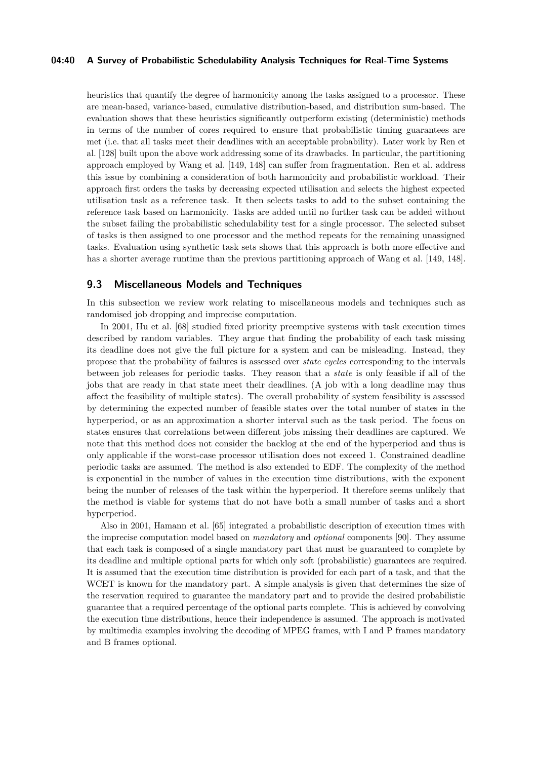### **04:40 A Survey of Probabilistic Schedulability Analysis Techniques for Real-Time Systems**

heuristics that quantify the degree of harmonicity among the tasks assigned to a processor. These are mean-based, variance-based, cumulative distribution-based, and distribution sum-based. The evaluation shows that these heuristics significantly outperform existing (deterministic) methods in terms of the number of cores required to ensure that probabilistic timing guarantees are met (i.e. that all tasks meet their deadlines with an acceptable probability). Later work by Ren et al. [\[128\]](#page-51-15) built upon the above work addressing some of its drawbacks. In particular, the partitioning approach employed by Wang et al. [\[149,](#page-51-13) [148\]](#page-51-14) can suffer from fragmentation. Ren et al. address this issue by combining a consideration of both harmonicity and probabilistic workload. Their approach first orders the tasks by decreasing expected utilisation and selects the highest expected utilisation task as a reference task. It then selects tasks to add to the subset containing the reference task based on harmonicity. Tasks are added until no further task can be added without the subset failing the probabilistic schedulability test for a single processor. The selected subset of tasks is then assigned to one processor and the method repeats for the remaining unassigned tasks. Evaluation using synthetic task sets shows that this approach is both more effective and has a shorter average runtime than the previous partitioning approach of Wang et al. [\[149,](#page-51-13) [148\]](#page-51-14).

### <span id="page-39-0"></span>**9.3 Miscellaneous Models and Techniques**

In this subsection we review work relating to miscellaneous models and techniques such as randomised job dropping and imprecise computation.

In 2001, Hu et al. [\[68\]](#page-48-16) studied fixed priority preemptive systems with task execution times described by random variables. They argue that finding the probability of each task missing its deadline does not give the full picture for a system and can be misleading. Instead, they propose that the probability of failures is assessed over *state cycles* corresponding to the intervals between job releases for periodic tasks. They reason that a *state* is only feasible if all of the jobs that are ready in that state meet their deadlines. (A job with a long deadline may thus affect the feasibility of multiple states). The overall probability of system feasibility is assessed by determining the expected number of feasible states over the total number of states in the hyperperiod, or as an approximation a shorter interval such as the task period. The focus on states ensures that correlations between different jobs missing their deadlines are captured. We note that this method does not consider the backlog at the end of the hyperperiod and thus is only applicable if the worst-case processor utilisation does not exceed 1. Constrained deadline periodic tasks are assumed. The method is also extended to EDF. The complexity of the method is exponential in the number of values in the execution time distributions, with the exponent being the number of releases of the task within the hyperperiod. It therefore seems unlikely that the method is viable for systems that do not have both a small number of tasks and a short hyperperiod.

Also in 2001, Hamann et al. [\[65\]](#page-48-17) integrated a probabilistic description of execution times with the imprecise computation model based on *mandatory* and *optional* components [\[90\]](#page-49-19). They assume that each task is composed of a single mandatory part that must be guaranteed to complete by its deadline and multiple optional parts for which only soft (probabilistic) guarantees are required. It is assumed that the execution time distribution is provided for each part of a task, and that the WCET is known for the mandatory part. A simple analysis is given that determines the size of the reservation required to guarantee the mandatory part and to provide the desired probabilistic guarantee that a required percentage of the optional parts complete. This is achieved by convolving the execution time distributions, hence their independence is assumed. The approach is motivated by multimedia examples involving the decoding of MPEG frames, with I and P frames mandatory and B frames optional.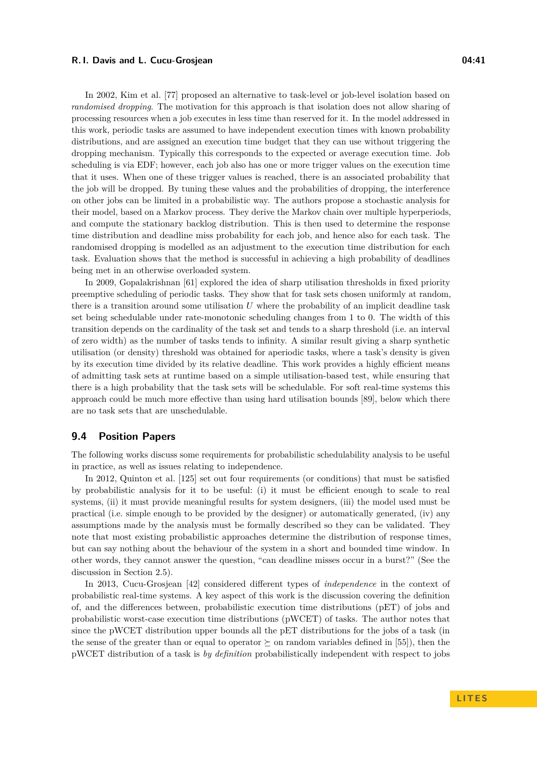In 2002, Kim et al. [\[77\]](#page-48-18) proposed an alternative to task-level or job-level isolation based on *randomised dropping*. The motivation for this approach is that isolation does not allow sharing of processing resources when a job executes in less time than reserved for it. In the model addressed in this work, periodic tasks are assumed to have independent execution times with known probability distributions, and are assigned an execution time budget that they can use without triggering the dropping mechanism. Typically this corresponds to the expected or average execution time. Job scheduling is via EDF; however, each job also has one or more trigger values on the execution time that it uses. When one of these trigger values is reached, there is an associated probability that the job will be dropped. By tuning these values and the probabilities of dropping, the interference on other jobs can be limited in a probabilistic way. The authors propose a stochastic analysis for their model, based on a Markov process. They derive the Markov chain over multiple hyperperiods, and compute the stationary backlog distribution. This is then used to determine the response time distribution and deadline miss probability for each job, and hence also for each task. The randomised dropping is modelled as an adjustment to the execution time distribution for each task. Evaluation shows that the method is successful in achieving a high probability of deadlines being met in an otherwise overloaded system.

In 2009, Gopalakrishnan [\[61\]](#page-48-19) explored the idea of sharp utilisation thresholds in fixed priority preemptive scheduling of periodic tasks. They show that for task sets chosen uniformly at random, there is a transition around some utilisation *U* where the probability of an implicit deadline task set being schedulable under rate-monotonic scheduling changes from 1 to 0. The width of this transition depends on the cardinality of the task set and tends to a sharp threshold (i.e. an interval of zero width) as the number of tasks tends to infinity. A similar result giving a sharp synthetic utilisation (or density) threshold was obtained for aperiodic tasks, where a task's density is given by its execution time divided by its relative deadline. This work provides a highly efficient means of admitting task sets at runtime based on a simple utilisation-based test, while ensuring that there is a high probability that the task sets will be schedulable. For soft real-time systems this approach could be much more effective than using hard utilisation bounds [\[89\]](#page-49-20), below which there are no task sets that are unschedulable.

### <span id="page-40-0"></span>**9.4 Position Papers**

The following works discuss some requirements for probabilistic schedulability analysis to be useful in practice, as well as issues relating to independence.

In 2012, Quinton et al. [\[125\]](#page-50-16) set out four requirements (or conditions) that must be satisfied by probabilistic analysis for it to be useful: (i) it must be efficient enough to scale to real systems, (ii) it must provide meaningful results for system designers, (iii) the model used must be practical (i.e. simple enough to be provided by the designer) or automatically generated, (iv) any assumptions made by the analysis must be formally described so they can be validated. They note that most existing probabilistic approaches determine the distribution of response times, but can say nothing about the behaviour of the system in a short and bounded time window. In other words, they cannot answer the question, "can deadline misses occur in a burst?" (See the discussion in Section [2.5\)](#page-12-0).

In 2013, Cucu-Grosjean [\[42\]](#page-47-12) considered different types of *independence* in the context of probabilistic real-time systems. A key aspect of this work is the discussion covering the definition of, and the differences between, probabilistic execution time distributions (pET) of jobs and probabilistic worst-case execution time distributions (pWCET) of tasks. The author notes that since the pWCET distribution upper bounds all the pET distributions for the jobs of a task (in the sense of the greater than or equal to operator  $\succeq$  on random variables defined in [\[55\]](#page-47-5)), then the pWCET distribution of a task is *by definition* probabilistically independent with respect to jobs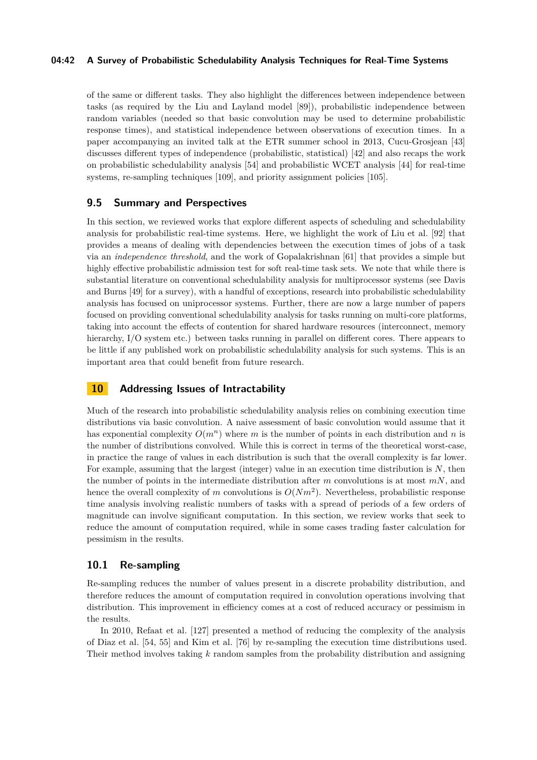### **04:42 A Survey of Probabilistic Schedulability Analysis Techniques for Real-Time Systems**

of the same or different tasks. They also highlight the differences between independence between tasks (as required by the Liu and Layland model [\[89\]](#page-49-20)), probabilistic independence between random variables (needed so that basic convolution may be used to determine probabilistic response times), and statistical independence between observations of execution times. In a paper accompanying an invited talk at the ETR summer school in 2013, Cucu-Grosjean [\[43\]](#page-47-13) discusses different types of independence (probabilistic, statistical) [\[42\]](#page-47-12) and also recaps the work on probabilistic schedulability analysis [\[54\]](#page-47-4) and probabilistic WCET analysis [\[44\]](#page-47-2) for real-time systems, re-sampling techniques [\[109\]](#page-50-18), and priority assignment policies [\[105\]](#page-50-0).

### **9.5 Summary and Perspectives**

In this section, we reviewed works that explore different aspects of scheduling and schedulability analysis for probabilistic real-time systems. Here, we highlight the work of Liu et al. [\[92\]](#page-49-17) that provides a means of dealing with dependencies between the execution times of jobs of a task via an *independence threshold*, and the work of Gopalakrishnan [\[61\]](#page-48-19) that provides a simple but highly effective probabilistic admission test for soft real-time task sets. We note that while there is substantial literature on conventional schedulability analysis for multiprocessor systems (see Davis and Burns [\[49\]](#page-47-16) for a survey), with a handful of exceptions, research into probabilistic schedulability analysis has focused on uniprocessor systems. Further, there are now a large number of papers focused on providing conventional schedulability analysis for tasks running on multi-core platforms, taking into account the effects of contention for shared hardware resources (interconnect, memory hierarchy, I/O system etc.) between tasks running in parallel on different cores. There appears to be little if any published work on probabilistic schedulability analysis for such systems. This is an important area that could benefit from future research.

### <span id="page-41-0"></span>**10 Addressing Issues of Intractability**

Much of the research into probabilistic schedulability analysis relies on combining execution time distributions via basic convolution. A naive assessment of basic convolution would assume that it has exponential complexity  $O(m^n)$  where *m* is the number of points in each distribution and *n* is the number of distributions convolved. While this is correct in terms of the theoretical worst-case, in practice the range of values in each distribution is such that the overall complexity is far lower. For example, assuming that the largest (integer) value in an execution time distribution is *N*, then the number of points in the intermediate distribution after *m* convolutions is at most *mN*, and hence the overall complexity of *m* convolutions is  $O(Nm^2)$ . Nevertheless, probabilistic response time analysis involving realistic numbers of tasks with a spread of periods of a few orders of magnitude can involve significant computation. In this section, we review works that seek to reduce the amount of computation required, while in some cases trading faster calculation for pessimism in the results.

### <span id="page-41-1"></span>**10.1 Re-sampling**

Re-sampling reduces the number of values present in a discrete probability distribution, and therefore reduces the amount of computation required in convolution operations involving that distribution. This improvement in efficiency comes at a cost of reduced accuracy or pessimism in the results.

In 2010, Refaat et al. [\[127\]](#page-51-16) presented a method of reducing the complexity of the analysis of Diaz et al. [\[54,](#page-47-4) [55\]](#page-47-5) and Kim et al. [\[76\]](#page-48-4) by re-sampling the execution time distributions used. Their method involves taking *k* random samples from the probability distribution and assigning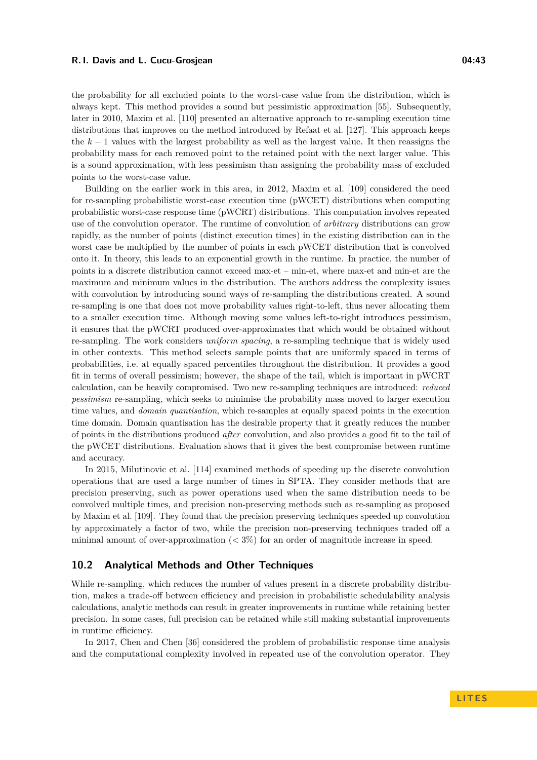the probability for all excluded points to the worst-case value from the distribution, which is always kept. This method provides a sound but pessimistic approximation [\[55\]](#page-47-5). Subsequently, later in 2010, Maxim et al. [\[110\]](#page-50-17) presented an alternative approach to re-sampling execution time distributions that improves on the method introduced by Refaat et al. [\[127\]](#page-51-16). This approach keeps the  $k-1$  values with the largest probability as well as the largest value. It then reassigns the probability mass for each removed point to the retained point with the next larger value. This is a sound approximation, with less pessimism than assigning the probability mass of excluded points to the worst-case value.

Building on the earlier work in this area, in 2012, Maxim et al. [\[109\]](#page-50-18) considered the need for re-sampling probabilistic worst-case execution time (pWCET) distributions when computing probabilistic worst-case response time (pWCRT) distributions. This computation involves repeated use of the convolution operator. The runtime of convolution of *arbitrary* distributions can grow rapidly, as the number of points (distinct execution times) in the existing distribution can in the worst case be multiplied by the number of points in each pWCET distribution that is convolved onto it. In theory, this leads to an exponential growth in the runtime. In practice, the number of points in a discrete distribution cannot exceed max-et – min-et, where max-et and min-et are the maximum and minimum values in the distribution. The authors address the complexity issues with convolution by introducing sound ways of re-sampling the distributions created. A sound re-sampling is one that does not move probability values right-to-left, thus never allocating them to a smaller execution time. Although moving some values left-to-right introduces pessimism, it ensures that the pWCRT produced over-approximates that which would be obtained without re-sampling. The work considers *uniform spacing*, a re-sampling technique that is widely used in other contexts. This method selects sample points that are uniformly spaced in terms of probabilities, i.e. at equally spaced percentiles throughout the distribution. It provides a good fit in terms of overall pessimism; however, the shape of the tail, which is important in pWCRT calculation, can be heavily compromised. Two new re-sampling techniques are introduced: *reduced pessimism* re-sampling, which seeks to minimise the probability mass moved to larger execution time values, and *domain quantisation*, which re-samples at equally spaced points in the execution time domain. Domain quantisation has the desirable property that it greatly reduces the number of points in the distributions produced *after* convolution, and also provides a good fit to the tail of the pWCET distributions. Evaluation shows that it gives the best compromise between runtime and accuracy.

In 2015, Milutinovic et al. [\[114\]](#page-50-19) examined methods of speeding up the discrete convolution operations that are used a large number of times in SPTA. They consider methods that are precision preserving, such as power operations used when the same distribution needs to be convolved multiple times, and precision non-preserving methods such as re-sampling as proposed by Maxim et al. [\[109\]](#page-50-18). They found that the precision preserving techniques speeded up convolution by approximately a factor of two, while the precision non-preserving techniques traded off a minimal amount of over-approximation  $( $3\%$ ) for an order of magnitude increase in speed.$ 

### <span id="page-42-0"></span>**10.2 Analytical Methods and Other Techniques**

While re-sampling, which reduces the number of values present in a discrete probability distribution, makes a trade-off between efficiency and precision in probabilistic schedulability analysis calculations, analytic methods can result in greater improvements in runtime while retaining better precision. In some cases, full precision can be retained while still making substantial improvements in runtime efficiency.

In 2017, Chen and Chen [\[36\]](#page-47-14) considered the problem of probabilistic response time analysis and the computational complexity involved in repeated use of the convolution operator. They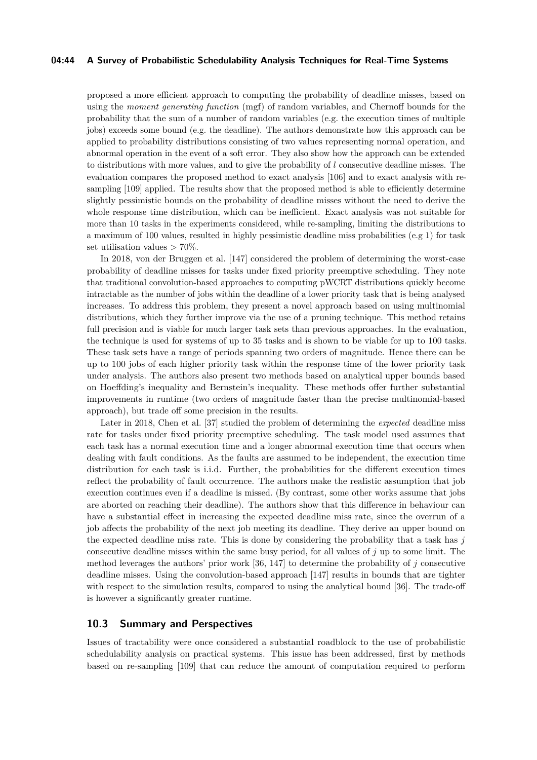### **04:44 A Survey of Probabilistic Schedulability Analysis Techniques for Real-Time Systems**

proposed a more efficient approach to computing the probability of deadline misses, based on using the *moment generating function* (mgf) of random variables, and Chernoff bounds for the probability that the sum of a number of random variables (e.g. the execution times of multiple jobs) exceeds some bound (e.g. the deadline). The authors demonstrate how this approach can be applied to probability distributions consisting of two values representing normal operation, and abnormal operation in the event of a soft error. They also show how the approach can be extended to distributions with more values, and to give the probability of *l* consecutive deadline misses. The evaluation compares the proposed method to exact analysis [\[106\]](#page-50-1) and to exact analysis with resampling [\[109\]](#page-50-18) applied. The results show that the proposed method is able to efficiently determine slightly pessimistic bounds on the probability of deadline misses without the need to derive the whole response time distribution, which can be inefficient. Exact analysis was not suitable for more than 10 tasks in the experiments considered, while re-sampling, limiting the distributions to a maximum of 100 values, resulted in highly pessimistic deadline miss probabilities (e.g 1) for task set utilisation values *>* 70%.

In 2018, von der Bruggen et al. [\[147\]](#page-51-17) considered the problem of determining the worst-case probability of deadline misses for tasks under fixed priority preemptive scheduling. They note that traditional convolution-based approaches to computing pWCRT distributions quickly become intractable as the number of jobs within the deadline of a lower priority task that is being analysed increases. To address this problem, they present a novel approach based on using multinomial distributions, which they further improve via the use of a pruning technique. This method retains full precision and is viable for much larger task sets than previous approaches. In the evaluation, the technique is used for systems of up to 35 tasks and is shown to be viable for up to 100 tasks. These task sets have a range of periods spanning two orders of magnitude. Hence there can be up to 100 jobs of each higher priority task within the response time of the lower priority task under analysis. The authors also present two methods based on analytical upper bounds based on Hoeffding's inequality and Bernstein's inequality. These methods offer further substantial improvements in runtime (two orders of magnitude faster than the precise multinomial-based approach), but trade off some precision in the results.

Later in 2018, Chen et al. [\[37\]](#page-47-15) studied the problem of determining the *expected* deadline miss rate for tasks under fixed priority preemptive scheduling. The task model used assumes that each task has a normal execution time and a longer abnormal execution time that occurs when dealing with fault conditions. As the faults are assumed to be independent, the execution time distribution for each task is i.i.d. Further, the probabilities for the different execution times reflect the probability of fault occurrence. The authors make the realistic assumption that job execution continues even if a deadline is missed. (By contrast, some other works assume that jobs are aborted on reaching their deadline). The authors show that this difference in behaviour can have a substantial effect in increasing the expected deadline miss rate, since the overrun of a job affects the probability of the next job meeting its deadline. They derive an upper bound on the expected deadline miss rate. This is done by considering the probability that a task has *j* consecutive deadline misses within the same busy period, for all values of  $j$  up to some limit. The method leverages the authors' prior work [\[36,](#page-47-14) [147\]](#page-51-17) to determine the probability of *j* consecutive deadline misses. Using the convolution-based approach [\[147\]](#page-51-17) results in bounds that are tighter with respect to the simulation results, compared to using the analytical bound [\[36\]](#page-47-14). The trade-off is however a significantly greater runtime.

### **10.3 Summary and Perspectives**

Issues of tractability were once considered a substantial roadblock to the use of probabilistic schedulability analysis on practical systems. This issue has been addressed, first by methods based on re-sampling [\[109\]](#page-50-18) that can reduce the amount of computation required to perform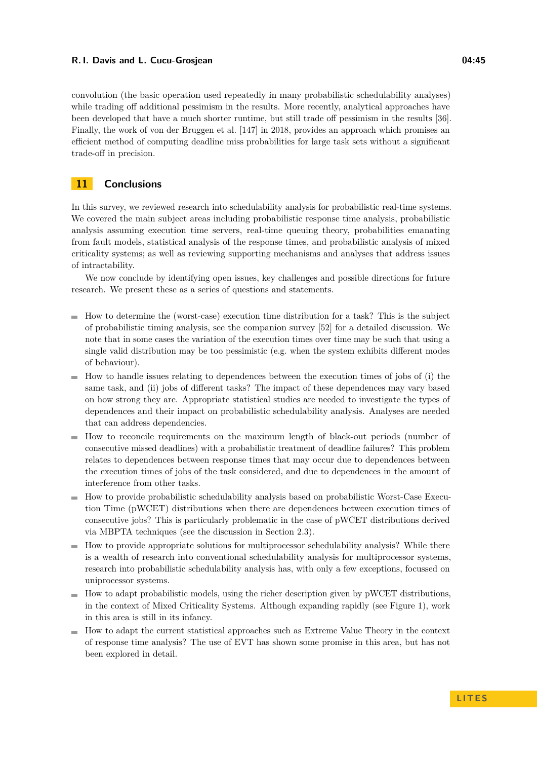convolution (the basic operation used repeatedly in many probabilistic schedulability analyses) while trading off additional pessimism in the results. More recently, analytical approaches have been developed that have a much shorter runtime, but still trade off pessimism in the results [\[36\]](#page-47-14). Finally, the work of von der Bruggen et al. [\[147\]](#page-51-17) in 2018, provides an approach which promises an efficient method of computing deadline miss probabilities for large task sets without a significant trade-off in precision.

# **11 Conclusions**

In this survey, we reviewed research into schedulability analysis for probabilistic real-time systems. We covered the main subject areas including probabilistic response time analysis, probabilistic analysis assuming execution time servers, real-time queuing theory, probabilities emanating from fault models, statistical analysis of the response times, and probabilistic analysis of mixed criticality systems; as well as reviewing supporting mechanisms and analyses that address issues of intractability.

We now conclude by identifying open issues, key challenges and possible directions for future research. We present these as a series of questions and statements.

- $\blacksquare$  How to determine the (worst-case) execution time distribution for a task? This is the subject of probabilistic timing analysis, see the companion survey [\[52\]](#page-47-3) for a detailed discussion. We note that in some cases the variation of the execution times over time may be such that using a single valid distribution may be too pessimistic (e.g. when the system exhibits different modes of behaviour).
- $\blacksquare$  How to handle issues relating to dependences between the execution times of jobs of (i) the same task, and (ii) jobs of different tasks? The impact of these dependences may vary based on how strong they are. Appropriate statistical studies are needed to investigate the types of dependences and their impact on probabilistic schedulability analysis. Analyses are needed that can address dependencies.
- $\blacksquare$  How to reconcile requirements on the maximum length of black-out periods (number of consecutive missed deadlines) with a probabilistic treatment of deadline failures? This problem relates to dependences between response times that may occur due to dependences between the execution times of jobs of the task considered, and due to dependences in the amount of interference from other tasks.
- How to provide probabilistic schedulability analysis based on probabilistic Worst-Case Execum. tion Time (pWCET) distributions when there are dependences between execution times of consecutive jobs? This is particularly problematic in the case of pWCET distributions derived via MBPTA techniques (see the discussion in Section [2.3\)](#page-8-0).
- $\blacksquare$  How to provide appropriate solutions for multiprocessor schedulability analysis? While there is a wealth of research into conventional schedulability analysis for multiprocessor systems, research into probabilistic schedulability analysis has, with only a few exceptions, focussed on uniprocessor systems.
- $\blacksquare$  How to adapt probabilistic models, using the richer description given by pWCET distributions, in the context of Mixed Criticality Systems. Although expanding rapidly (see Figure [1\)](#page-4-0), work in this area is still in its infancy.
- $\blacksquare$  How to adapt the current statistical approaches such as Extreme Value Theory in the context of response time analysis? The use of EVT has shown some promise in this area, but has not been explored in detail.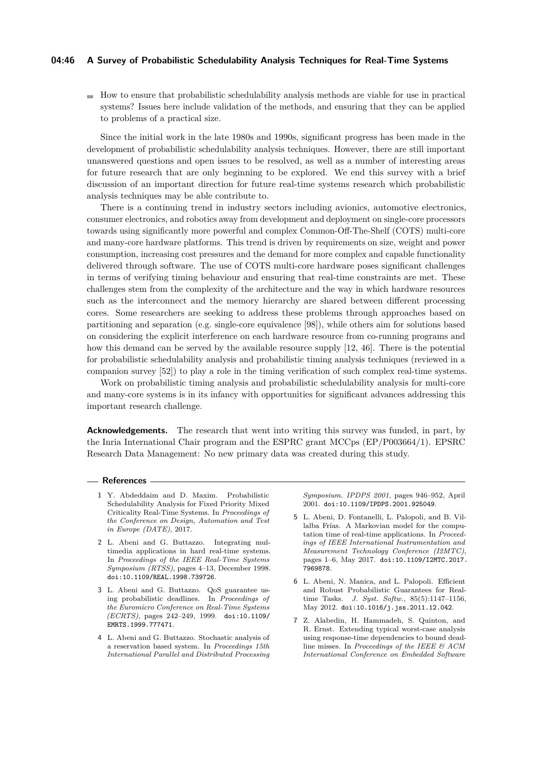### **04:46 A Survey of Probabilistic Schedulability Analysis Techniques for Real-Time Systems**

 $\blacksquare$  How to ensure that probabilistic schedulability analysis methods are viable for use in practical systems? Issues here include validation of the methods, and ensuring that they can be applied to problems of a practical size.

Since the initial work in the late 1980s and 1990s, significant progress has been made in the development of probabilistic schedulability analysis techniques. However, there are still important unanswered questions and open issues to be resolved, as well as a number of interesting areas for future research that are only beginning to be explored. We end this survey with a brief discussion of an important direction for future real-time systems research which probabilistic analysis techniques may be able contribute to.

There is a continuing trend in industry sectors including avionics, automotive electronics, consumer electronics, and robotics away from development and deployment on single-core processors towards using significantly more powerful and complex Common-Off-The-Shelf (COTS) multi-core and many-core hardware platforms. This trend is driven by requirements on size, weight and power consumption, increasing cost pressures and the demand for more complex and capable functionality delivered through software. The use of COTS multi-core hardware poses significant challenges in terms of verifying timing behaviour and ensuring that real-time constraints are met. These challenges stem from the complexity of the architecture and the way in which hardware resources such as the interconnect and the memory hierarchy are shared between different processing cores. Some researchers are seeking to address these problems through approaches based on partitioning and separation (e.g. single-core equivalence [\[98\]](#page-49-21)), while others aim for solutions based on considering the explicit interference on each hardware resource from co-running programs and how this demand can be served by the available resource supply [\[12,](#page-46-25) [46\]](#page-47-23). There is the potential for probabilistic schedulability analysis and probabilistic timing analysis techniques (reviewed in a companion survey [\[52\]](#page-47-3)) to play a role in the timing verification of such complex real-time systems.

Work on probabilistic timing analysis and probabilistic schedulability analysis for multi-core and many-core systems is in its infancy with opportunities for significant advances addressing this important research challenge.

**Acknowledgements.** The research that went into writing this survey was funded, in part, by the Inria International Chair program and the ESPRC grant MCCps (EP/P003664/1). EPSRC Research Data Management: No new primary data was created during this study.

### **References**

- <span id="page-45-5"></span>**1** Y. Abdeddaim and D. Maxim. Probabilistic Schedulability Analysis for Fixed Priority Mixed Criticality Real-Time Systems. In *Proceedings of the Conference on Design, Automation and Test in Europe (DATE)*, 2017.
- <span id="page-45-0"></span>**2** L. Abeni and G. Buttazzo. Integrating multimedia applications in hard real-time systems. In *Proceedings of the IEEE Real-Time Systems Symposium (RTSS)*, pages 4–13, December 1998. [doi:10.1109/REAL.1998.739726](http://dx.doi.org/10.1109/REAL.1998.739726).
- <span id="page-45-1"></span>**3** L. Abeni and G. Buttazzo. QoS guarantee using probabilistic deadlines. In *Proceedings of the Euromicro Conference on Real-Time Systems (ECRTS)*, pages 242–249, 1999. [doi:10.1109/](http://dx.doi.org/10.1109/EMRTS.1999.777471) [EMRTS.1999.777471](http://dx.doi.org/10.1109/EMRTS.1999.777471).
- <span id="page-45-2"></span>**4** L. Abeni and G. Buttazzo. Stochastic analysis of a reservation based system. In *Proceedings 15th International Parallel and Distributed Processing*

*Symposium. IPDPS 2001*, pages 946–952, April 2001. [doi:10.1109/IPDPS.2001.925049](http://dx.doi.org/10.1109/IPDPS.2001.925049).

- <span id="page-45-4"></span>**5** L. Abeni, D. Fontanelli, L. Palopoli, and B. Villalba Frías. A Markovian model for the computation time of real-time applications. In *Proceedings of IEEE International Instrumentation and Measurement Technology Conference (I2MTC)*, pages 1–6, May 2017. [doi:10.1109/I2MTC.2017.](http://dx.doi.org/10.1109/I2MTC.2017.7969878) [7969878](http://dx.doi.org/10.1109/I2MTC.2017.7969878).
- <span id="page-45-3"></span>**6** L. Abeni, N. Manica, and L. Palopoli. Efficient and Robust Probabilistic Guarantees for Realtime Tasks. *J. Syst. Softw.*, 85(5):1147–1156, May 2012. [doi:10.1016/j.jss.2011.12.042](http://dx.doi.org/10.1016/j.jss.2011.12.042).
- <span id="page-45-6"></span>**7** Z. Alabedin, H. Hammadeh, S. Quinton, and R. Ernst. Extending typical worst-case analysis using response-time dependencies to bound deadline misses. In *Proceedings of the IEEE & ACM International Conference on Embedded Software*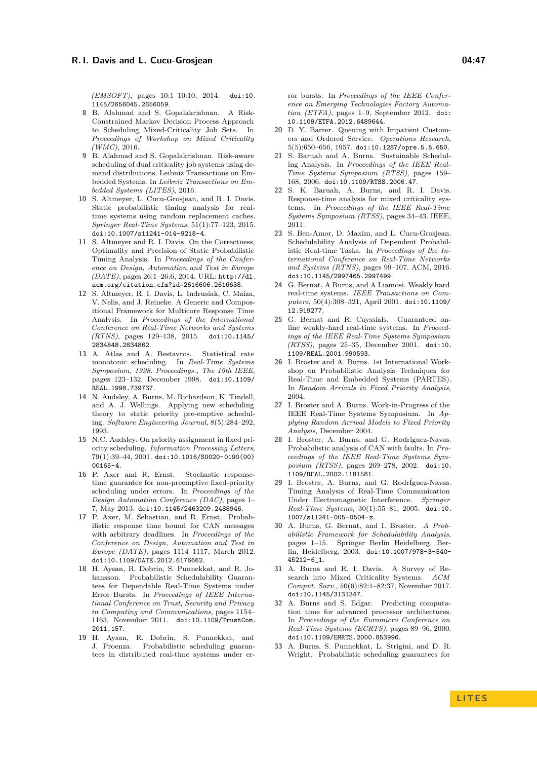*(EMSOFT)*, pages 10:1–10:10, 2014. [doi:10.](http://dx.doi.org/10.1145/2656045.2656059) [1145/2656045.2656059](http://dx.doi.org/10.1145/2656045.2656059).

- <span id="page-46-16"></span>**8** B. Alahmad and S. Gopalakrishnan. A Risk-Constrained Markov Decision Process Approach to Scheduling Mixed-Criticality Job Sets. In *Proceedings of Workshop on Mixed Criticality (WMC)*, 2016.
- <span id="page-46-15"></span>**9** B. Alahmad and S. Gopalakrishnan. Risk-aware scheduling of dual criticality job systems using demand distributions. Leibniz Transactions on Embedded Systems. In *Leibniz Transactions on Embedded Systems (LITES)*, 2016.
- <span id="page-46-1"></span>**10** S. Altmeyer, L. Cucu-Grosjean, and R. I. Davis. Static probabilistic timing analysis for realtime systems using random replacement caches. *Springer Real-Time Systems*, 51(1):77–123, 2015. [doi:10.1007/s11241-014-9218-4](http://dx.doi.org/10.1007/s11241-014-9218-4).
- <span id="page-46-0"></span>**11** S. Altmeyer and R. I. Davis. On the Correctness, Optimality and Precision of Static Probabilistic Timing Analysis. In *Proceedings of the Conference on Design, Automation and Test in Europe (DATE)*, pages 26:1–26:6, 2014. URL: [http://dl.](http://dl.acm.org/citation.cfm?id=2616606.2616638) [acm.org/citation.cfm?id=2616606.2616638](http://dl.acm.org/citation.cfm?id=2616606.2616638).
- <span id="page-46-25"></span>**12** S. Altmeyer, R. I. Davis, L. Indrusiak, C. Maiza, V. Nelis, and J. Reineke. A Generic and Compositional Framework for Multicore Response Time Analysis. In *Proceedings of the International Conference on Real-Time Networks and Systems (RTNS)*, pages 129–138, 2015. [doi:10.1145/](http://dx.doi.org/10.1145/2834848.2834862) [2834848.2834862](http://dx.doi.org/10.1145/2834848.2834862).
- <span id="page-46-3"></span>**13** A. Atlas and A. Bestavros. Statistical rate monotonic scheduling. In *Real-Time Systems Symposium, 1998. Proceedings., The 19th IEEE*, pages 123–132, December 1998. [doi:10.1109/](http://dx.doi.org/10.1109/REAL.1998.739737) [REAL.1998.739737](http://dx.doi.org/10.1109/REAL.1998.739737).
- <span id="page-46-21"></span>**14** N. Audsley, A. Burns, M. Richardson, K. Tindell, and A. J. Wellings. Applying new scheduling theory to static priority pre-emptive scheduling. *Software Engineering Journal*, 8(5):284–292, 1993.
- <span id="page-46-20"></span>**15** N.C. Audsley. On priority assignment in fixed priority scheduling. *Information Processing Letters*, 79(1):39–44, 2001. [doi:10.1016/S0020-0190\(00\)](http://dx.doi.org/10.1016/S0020-0190(00)00165-4) [00165-4](http://dx.doi.org/10.1016/S0020-0190(00)00165-4).
- <span id="page-46-22"></span>**16** P. Axer and R. Ernst. Stochastic responsetime guarantee for non-preemptive fixed-priority scheduling under errors. In *Proceedings of the Design Automation Conference (DAC)*, pages 1– 7, May 2013. [doi:10.1145/2463209.2488946](http://dx.doi.org/10.1145/2463209.2488946).
- <span id="page-46-14"></span>**17** P. Axer, M. Sebastian, and R. Ernst. Probabilistic response time bound for CAN messages with arbitrary deadlines. In *Proceedings of the Conference on Design, Automation and Test in Europe (DATE)*, pages 1114–1117, March 2012. [doi:10.1109/DATE.2012.6176662](http://dx.doi.org/10.1109/DATE.2012.6176662).
- <span id="page-46-10"></span>**18** H. Aysan, R. Dobrin, S. Punnekkat, and R. Johansson. Probabilistic Schedulability Guarantees for Dependable Real-Time Systems under Error Bursts. In *Proceedings of IEEE International Conference on Trust, Security and Privacy in Computing and Communications*, pages 1154– 1163, November 2011. [doi:10.1109/TrustCom.](http://dx.doi.org/10.1109/TrustCom.2011.157) [2011.157](http://dx.doi.org/10.1109/TrustCom.2011.157).
- <span id="page-46-13"></span>**19** H. Aysan, R. Dobrin, S. Punnekkat, and J. Proenza. Probabilistic scheduling guarantees in distributed real-time systems under er-

ror bursts. In *Proceedings of the IEEE Conference on Emerging Technologies Factory Automation (ETFA)*, pages 1–9, September 2012. [doi:](http://dx.doi.org/10.1109/ETFA.2012.6489644) [10.1109/ETFA.2012.6489644](http://dx.doi.org/10.1109/ETFA.2012.6489644).

- <span id="page-46-5"></span>**20** D. Y. Barrer. Queuing with Impatient Customers and Ordered Service. *Operations Research*, 5(5):650–656, 1957. [doi:10.1287/opre.5.5.650](http://dx.doi.org/10.1287/opre.5.5.650).
- <span id="page-46-19"></span>**21** S. Baruah and A. Burns. Sustainable Scheduling Analysis. In *Proceedings of the IEEE Real-Time Systems Symposium (RTSS)*, pages 159– 168, 2006. [doi:10.1109/RTSS.2006.47](http://dx.doi.org/10.1109/RTSS.2006.47).
- <span id="page-46-24"></span>**22** S. K. Baruah, A. Burns, and R. I. Davis. Response-time analysis for mixed criticality systems. In *Proceedings of the IEEE Real-Time Systems Symposium (RTSS)*, pages 34–43. IEEE, 2011.
- <span id="page-46-4"></span>**23** S. Ben-Amor, D. Maxim, and L. Cucu-Grosjean. Schedulability Analysis of Dependent Probabilistic Real-time Tasks. In *Proceedings of the International Conference on Real-Time Networks and Systems (RTNS)*, pages 99–107. ACM, 2016. [doi:10.1145/2997465.2997499](http://dx.doi.org/10.1145/2997465.2997499).
- <span id="page-46-17"></span>**24** G. Bernat, A Burns, and A Liamosi. Weakly hard real-time systems. *IEEE Transactions on Computers*, 50(4):308–321, April 2001. [doi:10.1109/](http://dx.doi.org/10.1109/12.919277) [12.919277](http://dx.doi.org/10.1109/12.919277).
- <span id="page-46-18"></span>**25** G. Bernat and R. Cayssials. Guaranteed online weakly-hard real-time systems. In *Proceedings of the IEEE Real-Time Systems Symposium (RTSS)*, pages 25–35, December 2001. [doi:10.](http://dx.doi.org/10.1109/REAL.2001.990593) [1109/REAL.2001.990593](http://dx.doi.org/10.1109/REAL.2001.990593).
- <span id="page-46-9"></span>**26** I. Broster and A. Burns. 1st International Workshop on Probabilistic Analysis Techniques for Real-Time and Embedded Systems (PARTES). In *Random Arrivals in Fixed Priority Analysis*, 2004.
- <span id="page-46-8"></span>**27** I. Broster and A. Burns. Work-in-Progress of the IEEE Real-Time Systems Symposium. In *Applying Random Arrival Models to Fixed Priority Analysis*, December 2004.
- <span id="page-46-11"></span>**28** I. Broster, A. Burns, and G. Rodriguez-Navas. Probabilistic analysis of CAN with faults. In *Proceedings of the IEEE Real-Time Systems Symposium (RTSS)*, pages 269–278, 2002. [doi:10.](http://dx.doi.org/10.1109/REAL.2002.1181581) [1109/REAL.2002.1181581](http://dx.doi.org/10.1109/REAL.2002.1181581).
- <span id="page-46-12"></span>**29** I. Broster, A. Burns, and G. RodrÍguez-Navas. Timing Analysis of Real-Time Communication Under Electromagnetic Interference. *Springer Real-Time Systems*, 30(1):55–81, 2005. [doi:10.](http://dx.doi.org/10.1007/s11241-005-0504-z) [1007/s11241-005-0504-z](http://dx.doi.org/10.1007/s11241-005-0504-z).
- <span id="page-46-7"></span>**30** A. Burns, G. Bernat, and I. Broster. *A Probabilistic Framework for Schedulability Analysis*, pages 1–15. Springer Berlin Heidelberg, Berlin, Heidelberg, 2003. [doi:10.1007/978-3-540-](http://dx.doi.org/10.1007/978-3-540-45212-6_1) [45212-6\\_1](http://dx.doi.org/10.1007/978-3-540-45212-6_1).
- <span id="page-46-23"></span>**31** A. Burns and R. I. Davis. A Survey of Research into Mixed Criticality Systems. *ACM Comput. Surv.*, 50(6):82:1–82:37, November 2017. [doi:10.1145/3131347](http://dx.doi.org/10.1145/3131347).
- <span id="page-46-2"></span>**32** A. Burns and S. Edgar. Predicting computation time for advanced processor architectures. In *Proceedings of the Euromicro Conference on Real-Time Systems (ECRTS)*, pages 89–96, 2000. [doi:10.1109/EMRTS.2000.853996](http://dx.doi.org/10.1109/EMRTS.2000.853996).
- <span id="page-46-6"></span>**33** A. Burns, S. Punnekkat, L. Strigini, and D. R. Wright. Probabilistic scheduling guarantees for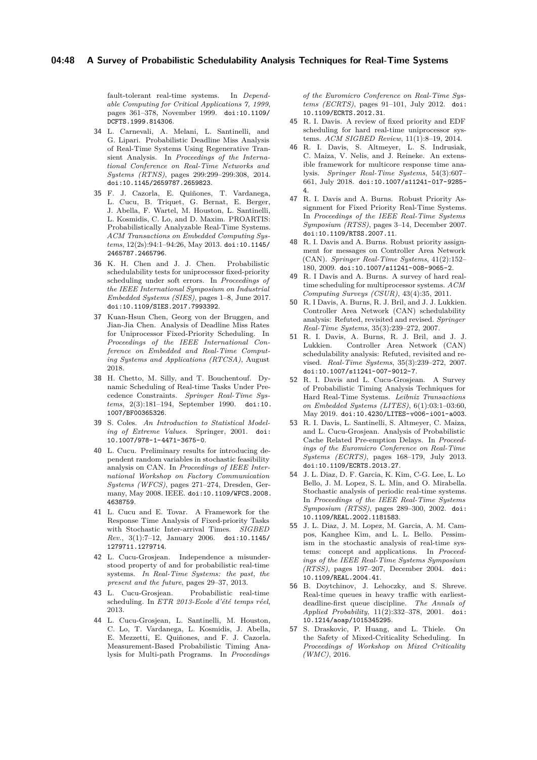fault-tolerant real-time systems. In *Dependable Computing for Critical Applications 7, 1999*, pages 361–378, November 1999. [doi:10.1109/](http://dx.doi.org/10.1109/DCFTS.1999.814306) [DCFTS.1999.814306](http://dx.doi.org/10.1109/DCFTS.1999.814306).

- <span id="page-47-8"></span>**34** L. Carnevali, A. Melani, L. Santinelli, and G. Lipari. Probabilistic Deadline Miss Analysis of Real-Time Systems Using Regenerative Transient Analysis. In *Proceedings of the International Conference on Real-Time Networks and Systems (RTNS)*, pages 299:299–299:308, 2014. [doi:10.1145/2659787.2659823](http://dx.doi.org/10.1145/2659787.2659823).
- <span id="page-47-0"></span>**35** F. J. Cazorla, E. Quiñones, T. Vardanega, L. Cucu, B. Triquet, G. Bernat, E. Berger, J. Abella, F. Wartel, M. Houston, L. Santinelli, L. Kosmidis, C. Lo, and D. Maxim. PROARTIS: Probabilistically Analyzable Real-Time Systems. *ACM Transactions on Embedded Computing Systems*, 12(2s):94:1–94:26, May 2013. [doi:10.1145/](http://dx.doi.org/10.1145/2465787.2465796) [2465787.2465796](http://dx.doi.org/10.1145/2465787.2465796).
- <span id="page-47-14"></span>**36** K. H. Chen and J. J. Chen. Probabilistic schedulability tests for uniprocessor fixed-priority scheduling under soft errors. In *Proceedings of the IEEE International Symposium on Industrial Embedded Systems (SIES)*, pages 1–8, June 2017. [doi:10.1109/SIES.2017.7993392](http://dx.doi.org/10.1109/SIES.2017.7993392).
- <span id="page-47-15"></span>**37** Kuan-Hsun Chen, Georg von der Bruggen, and Jian-Jia Chen. Analysis of Deadline Miss Rates for Uniprocessor Fixed-Priority Scheduling. In *Proceedings of the IEEE International Conference on Embedded and Real-Time Computing Systems and Applications (RTCSA)*, August 2018.
- <span id="page-47-19"></span>**38** H. Chetto, M. Silly, and T. Bouchentouf. Dynamic Scheduling of Real-time Tasks Under Precedence Constraints. *Springer Real-Time Systems*, 2(3):181–194, September 1990. [doi:10.](http://dx.doi.org/10.1007/BF00365326) [1007/BF00365326](http://dx.doi.org/10.1007/BF00365326).
- <span id="page-47-18"></span>**39** S. Coles. *An Introduction to Statistical Modeling of Extreme Values*. Springer, 2001. [doi:](http://dx.doi.org/10.1007/978-1-4471-3675-0) [10.1007/978-1-4471-3675-0](http://dx.doi.org/10.1007/978-1-4471-3675-0).
- <span id="page-47-7"></span>**40** L. Cucu. Preliminary results for introducing dependent random variables in stochastic feasibility analysis on CAN. In *Proceedings of IEEE International Workshop on Factory Communication Systems (WFCS)*, pages 271–274, Dresden, Germany, May 2008. IEEE. [doi:10.1109/WFCS.2008.](http://dx.doi.org/10.1109/WFCS.2008.4638759) [4638759](http://dx.doi.org/10.1109/WFCS.2008.4638759).
- <span id="page-47-6"></span>**41** L. Cucu and E. Tovar. A Framework for the Response Time Analysis of Fixed-priority Tasks with Stochastic Inter-arrival Times. *SIGBED Rev.*, 3(1):7–12, January 2006. [doi:10.1145/](http://dx.doi.org/10.1145/1279711.1279714) [1279711.1279714](http://dx.doi.org/10.1145/1279711.1279714).
- <span id="page-47-12"></span>**42** L. Cucu-Grosjean. Independence a misunderstood property of and for probabilistic real-time systems. *In Real-Time Systems: the past, the present and the future*, pages 29–37, 2013.
- <span id="page-47-13"></span>**43** L. Cucu-Grosjean. Probabilistic real-time scheduling. In *ETR 2013-Ecole d'été temps réel*, 2013.
- <span id="page-47-2"></span>**44** L. Cucu-Grosjean, L. Santinelli, M. Houston, C. Lo, T. Vardanega, L. Kosmidis, J. Abella, E. Mezzetti, E. Quiñones, and F. J. Cazorla. Measurement-Based Probabilistic Timing Analysis for Multi-path Programs. In *Proceedings*

*of the Euromicro Conference on Real-Time Systems (ECRTS)*, pages 91–101, July 2012. [doi:](http://dx.doi.org/10.1109/ECRTS.2012.31) [10.1109/ECRTS.2012.31](http://dx.doi.org/10.1109/ECRTS.2012.31).

- <span id="page-47-17"></span>**45** R. I. Davis. A review of fixed priority and EDF scheduling for hard real-time uniprocessor systems. *ACM SIGBED Review*, 11(1):8–19, 2014.
- <span id="page-47-23"></span>**46** R. I. Davis, S. Altmeyer, L. S. Indrusiak, C. Maiza, V. Nelis, and J. Reineke. An extensible framework for multicore response time analysis. *Springer Real-Time Systems*, 54(3):607– 661, July 2018. [doi:10.1007/s11241-017-9285-](http://dx.doi.org/10.1007/s11241-017-9285-4) [4](http://dx.doi.org/10.1007/s11241-017-9285-4).
- <span id="page-47-22"></span>**47** R. I. Davis and A. Burns. Robust Priority Assignment for Fixed Priority Real-Time Systems. In *Proceedings of the IEEE Real-Time Systems Symposium (RTSS)*, pages 3–14, December 2007. [doi:10.1109/RTSS.2007.11](http://dx.doi.org/10.1109/RTSS.2007.11).
- <span id="page-47-10"></span>**48** R. I. Davis and A. Burns. Robust priority assignment for messages on Controller Area Network (CAN). *Springer Real-Time Systems*, 41(2):152– 180, 2009. [doi:10.1007/s11241-008-9065-2](http://dx.doi.org/10.1007/s11241-008-9065-2).
- <span id="page-47-16"></span>**49** R. I Davis and A. Burns. A survey of hard realtime scheduling for multiprocessor systems. *ACM Computing Surveys (CSUR)*, 43(4):35, 2011.
- <span id="page-47-20"></span>**50** R. I Davis, A. Burns, R. J. Bril, and J. J. Lukkien. Controller Area Network (CAN) schedulability analysis: Refuted, revisited and revised. *Springer Real-Time Systems*, 35(3):239–272, 2007.
- <span id="page-47-21"></span>**51** R. I. Davis, A. Burns, R. J. Bril, and J. J. Lukkien. Controller Area Network (CAN) schedulability analysis: Refuted, revisited and revised. *Real-Time Systems*, 35(3):239–272, 2007. [doi:10.1007/s11241-007-9012-7](http://dx.doi.org/10.1007/s11241-007-9012-7).
- <span id="page-47-3"></span>**52** R. I. Davis and L. Cucu-Grosjean. A Survey of Probabilistic Timing Analysis Techniques for Hard Real-Time Systems. *Leibniz Transactions on Embedded Systems (LITES)*, 6(1):03:1–03:60, May 2019. [doi:10.4230/LITES-v006-i001-a003](http://dx.doi.org/10.4230/LITES-v006-i001-a003).
- <span id="page-47-1"></span>**53** R. I. Davis, L. Santinelli, S. Altmeyer, C. Maiza, and L. Cucu-Grosjean. Analysis of Probabilistic Cache Related Pre-emption Delays. In *Proceedings of the Euromicro Conference on Real-Time Systems (ECRTS)*, pages 168–179, July 2013. [doi:10.1109/ECRTS.2013.27](http://dx.doi.org/10.1109/ECRTS.2013.27).
- <span id="page-47-4"></span>**54** J. L. Diaz, D. F. Garcia, K. Kim, C-G. Lee, L. Lo Bello, J. M. Lopez, S. L. Min, and O. Mirabella. Stochastic analysis of periodic real-time systems. In *Proceedings of the IEEE Real-Time Systems Symposium (RTSS)*, pages 289–300, 2002. [doi:](http://dx.doi.org/10.1109/REAL.2002.1181583) [10.1109/REAL.2002.1181583](http://dx.doi.org/10.1109/REAL.2002.1181583).
- <span id="page-47-5"></span>**55** J. L. Diaz, J. M. Lopez, M. Garcia, A. M. Campos, Kanghee Kim, and L. L. Bello. Pessimism in the stochastic analysis of real-time systems: concept and applications. In *Proceedings of the IEEE Real-Time Systems Symposium (RTSS)*, pages 197–207, December 2004. [doi:](http://dx.doi.org/10.1109/REAL.2004.41) [10.1109/REAL.2004.41](http://dx.doi.org/10.1109/REAL.2004.41).
- <span id="page-47-9"></span>**56** B. Doytchinov, J. Lehoczky, and S. Shreve. Real-time queues in heavy traffic with earliestdeadline-first queue discipline. *The Annals of Applied Probability*, 11(2):332–378, 2001. [doi:](http://dx.doi.org/10.1214/aoap/1015345295) [10.1214/aoap/1015345295](http://dx.doi.org/10.1214/aoap/1015345295).
- <span id="page-47-11"></span>**57** S. Draskovic, P. Huang, and L. Thiele. On the Safety of Mixed-Criticality Scheduling. In *Proceedings of Workshop on Mixed Criticality (WMC)*, 2016.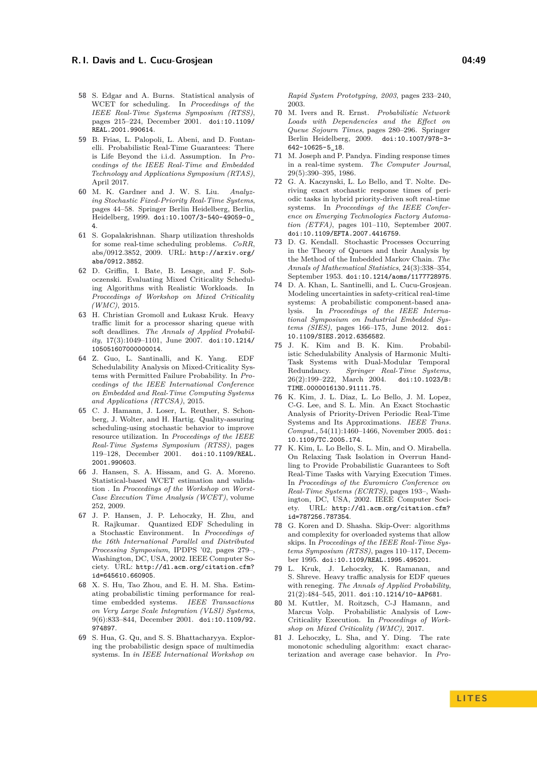- <span id="page-48-1"></span>**58** S. Edgar and A. Burns. Statistical analysis of WCET for scheduling. In *Proceedings of the IEEE Real-Time Systems Symposium (RTSS)*, pages 215–224, December 2001. [doi:10.1109/](http://dx.doi.org/10.1109/REAL.2001.990614) [REAL.2001.990614](http://dx.doi.org/10.1109/REAL.2001.990614).
- <span id="page-48-8"></span>**59** B. Frias, L. Palopoli, L. Abeni, and D. Fontanelli. Probabilistic Real-Time Guarantees: There is Life Beyond the i.i.d. Assumption. In *Proceedings of the IEEE Real-Time and Embedded Technology and Applications Symposium (RTAS)*, April 2017.
- <span id="page-48-3"></span>**60** M. K. Gardner and J. W. S. Liu. *Analyzing Stochastic Fixed-Priority Real-Time Systems*, pages 44–58. Springer Berlin Heidelberg, Berlin, Heidelberg, 1999. [doi:10.1007/3-540-49059-0\\_](http://dx.doi.org/10.1007/3-540-49059-0_4) [4](http://dx.doi.org/10.1007/3-540-49059-0_4).
- <span id="page-48-19"></span>**61** S. Gopalakrishnan. Sharp utilization thresholds for some real-time scheduling problems. *CoRR*, abs/0912.3852, 2009. URL: [http://arxiv.org/](http://arxiv.org/abs/0912.3852) [abs/0912.3852](http://arxiv.org/abs/0912.3852).
- <span id="page-48-0"></span>**62** D. Griffin, I. Bate, B. Lesage, and F. Soboczenski. Evaluating Mixed Criticality Scheduling Algorithms with Realistic Workloads. In *Proceedings of Workshop on Mixed Criticality (WMC)*, 2015.
- <span id="page-48-10"></span>**63** H. Christian Gromoll and Łukasz Kruk. Heavy traffic limit for a processor sharing queue with soft deadlines. *The Annals of Applied Probability*, 17(3):1049–1101, June 2007. [doi:10.1214/](http://dx.doi.org/10.1214/105051607000000014) [105051607000000014](http://dx.doi.org/10.1214/105051607000000014).
- <span id="page-48-13"></span>**64** Z. Guo, L. Santinalli, and K. Yang. EDF Schedulability Analysis on Mixed-Criticality Systems with Permitted Failure Probability. In *Proceedings of the IEEE International Conference on Embedded and Real-Time Computing Systems and Applications (RTCSA)*, 2015.
- <span id="page-48-17"></span>**65** C. J. Hamann, J. Loser, L. Reuther, S. Schonberg, J. Wolter, and H. Hartig. Quality-assuring scheduling-using stochastic behavior to improve resource utilization. In *Proceedings of the IEEE Real-Time Systems Symposium (RTSS)*, pages 119–128, December 2001. [doi:10.1109/REAL.](http://dx.doi.org/10.1109/REAL.2001.990603) [2001.990603](http://dx.doi.org/10.1109/REAL.2001.990603).
- <span id="page-48-2"></span>**66** J. Hansen, S. A. Hissam, and G. A. Moreno. Statistical-based WCET estimation and validation . In *Proceedings of the Workshop on Worst-Case Execution Time Analysis (WCET)*, volume 252, 2009.
- <span id="page-48-9"></span>**67** J. P. Hansen, J. P. Lehoczky, H. Zhu, and R. Rajkumar. Quantized EDF Scheduling in a Stochastic Environment. In *Proceedings of the 16th International Parallel and Distributed Processing Symposium*, IPDPS '02, pages 279–, Washington, DC, USA, 2002. IEEE Computer Society. URL: [http://dl.acm.org/citation.cfm?](http://dl.acm.org/citation.cfm?id=645610.660905) [id=645610.660905](http://dl.acm.org/citation.cfm?id=645610.660905).
- <span id="page-48-16"></span>**68** X. S. Hu, Tao Zhou, and E. H. M. Sha. Estimating probabilistic timing performance for realtime embedded systems. *IEEE Transactions on Very Large Scale Integration (VLSI) Systems*, 9(6):833–844, December 2001. [doi:10.1109/92.](http://dx.doi.org/10.1109/92.974897) [974897](http://dx.doi.org/10.1109/92.974897).
- <span id="page-48-15"></span>**69** S. Hua, G. Qu, and S. S. Bhattacharyya. Exploring the probabilistic design space of multimedia systems. In *in IEEE International Workshop on*

*Rapid System Prototyping, 2003*, pages 233–240, 2003.

- <span id="page-48-5"></span>**70** M. Ivers and R. Ernst. *Probabilistic Network Loads with Dependencies and the Effect on Queue Sojourn Times*, pages 280–296. Springer Berlin Heidelberg, 2009. [doi:10.1007/978-3-](http://dx.doi.org/10.1007/978-3-642-10625-5_18) [642-10625-5\\_18](http://dx.doi.org/10.1007/978-3-642-10625-5_18).
- <span id="page-48-23"></span>**71** M. Joseph and P. Pandya. Finding response times in a real-time system. *The Computer Journal*, 29(5):390–395, 1986.
- <span id="page-48-7"></span>**72** G. A. Kaczynski, L. Lo Bello, and T. Nolte. Deriving exact stochastic response times of periodic tasks in hybrid priority-driven soft real-time systems. In *Proceedings of the IEEE Conference on Emerging Technologies Factory Automation (ETFA)*, pages 101–110, September 2007. [doi:10.1109/EFTA.2007.4416759](http://dx.doi.org/10.1109/EFTA.2007.4416759).
- <span id="page-48-22"></span>**73** D. G. Kendall. Stochastic Processes Occurring in the Theory of Queues and their Analysis by the Method of the Imbedded Markov Chain. *The Annals of Mathematical Statistics*, 24(3):338–354, September 1953. [doi:10.1214/aoms/1177728975](http://dx.doi.org/10.1214/aoms/1177728975).
- <span id="page-48-6"></span>**74** D. A. Khan, L. Santinelli, and L. Cucu-Grosjean. Modeling uncertainties in safety-critical real-time systems: A probabilistic component-based analysis. In *Proceedings of the IEEE International Symposium on Industrial Embedded Systems (SIES)*, pages 166–175, June 2012. [doi:](http://dx.doi.org/10.1109/SIES.2012.6356582) [10.1109/SIES.2012.6356582](http://dx.doi.org/10.1109/SIES.2012.6356582).
- <span id="page-48-12"></span>**75** J. K. Kim and B. K. Kim. Probabilistic Schedulability Analysis of Harmonic Multi-Task Systems with Dual-Modular Temporal Redundancy. *Springer Real-Time Systems*, 26(2):199-222, March 2004. [TIME.0000016130.91111.75](http://dx.doi.org/10.1023/B:TIME.0000016130.91111.75).
- <span id="page-48-4"></span>**76** K. Kim, J. L. Diaz, L. Lo Bello, J. M. Lopez, C-G. Lee, and S. L. Min. An Exact Stochastic Analysis of Priority-Driven Periodic Real-Time Systems and Its Approximations. *IEEE Trans. Comput.*, 54(11):1460–1466, November 2005. [doi:](http://dx.doi.org/10.1109/TC.2005.174) [10.1109/TC.2005.174](http://dx.doi.org/10.1109/TC.2005.174).
- <span id="page-48-18"></span>**77** K. Kim, L. Lo Bello, S. L. Min, and O. Mirabella. On Relaxing Task Isolation in Overrun Handling to Provide Probabilistic Guarantees to Soft Real-Time Tasks with Varying Execution Times. In *Proceedings of the Euromicro Conference on Real-Time Systems (ECRTS)*, pages 193–, Washington, DC, USA, 2002. IEEE Computer Society. URL: [http://dl.acm.org/citation.cfm?](http://dl.acm.org/citation.cfm?id=787256.787354) [id=787256.787354](http://dl.acm.org/citation.cfm?id=787256.787354).
- <span id="page-48-20"></span>**78** G. Koren and D. Shasha. Skip-Over: algorithms and complexity for overloaded systems that allow skips. In *Proceedings of the IEEE Real-Time Systems Symposium (RTSS)*, pages 110–117, December 1995. [doi:10.1109/REAL.1995.495201](http://dx.doi.org/10.1109/REAL.1995.495201).
- <span id="page-48-11"></span>**79** L. Kruk, J. Lehoczky, K. Ramanan, and S. Shreve. Heavy traffic analysis for EDF queues with reneging. *The Annals of Applied Probability*, 21(2):484–545, 2011. [doi:10.1214/10-AAP681](http://dx.doi.org/10.1214/10-AAP681).
- <span id="page-48-14"></span>**80** M. Kuttler, M. Roitzsch, C-J Hamann, and Marcus Volp. Probabilistic Analysis of Low-Criticality Execution. In *Proceedings of Workshop on Mixed Criticality (WMC)*, 2017.
- <span id="page-48-21"></span>**81** J. Lehoczky, L. Sha, and Y. Ding. The rate monotonic scheduling algorithm: exact characterization and average case behavior. In *Pro-*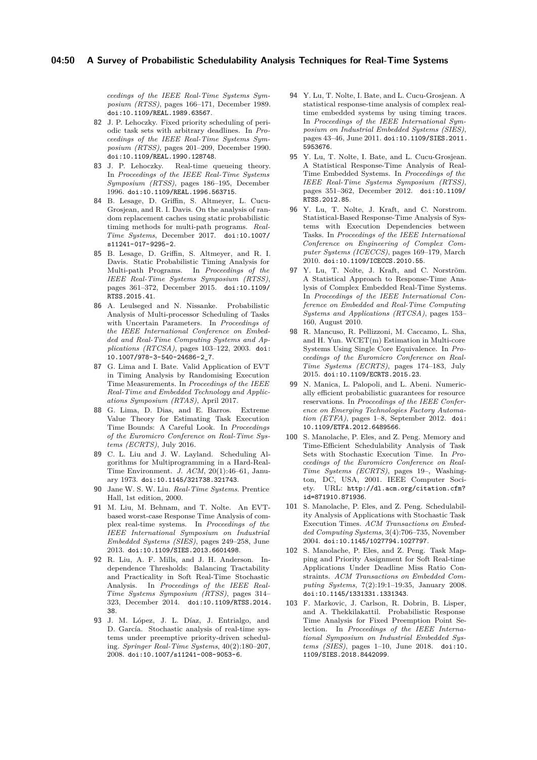*ceedings of the IEEE Real-Time Systems Symposium (RTSS)*, pages 166–171, December 1989. [doi:10.1109/REAL.1989.63567](http://dx.doi.org/10.1109/REAL.1989.63567).

- <span id="page-49-18"></span>**82** J. P. Lehoczky. Fixed priority scheduling of periodic task sets with arbitrary deadlines. In *Proceedings of the IEEE Real-Time Systems Symposium (RTSS)*, pages 201–209, December 1990. [doi:10.1109/REAL.1990.128748](http://dx.doi.org/10.1109/REAL.1990.128748).
- <span id="page-49-7"></span>**83** J. P. Lehoczky. Real-time queueing theory. In *Proceedings of the IEEE Real-Time Systems Symposium (RTSS)*, pages 186–195, December 1996. [doi:10.1109/REAL.1996.563715](http://dx.doi.org/10.1109/REAL.1996.563715).
- <span id="page-49-1"></span>**84** B. Lesage, D. Griffin, S. Altmeyer, L. Cucu-Grosjean, and R. I. Davis. On the analysis of random replacement caches using static probabilistic timing methods for multi-path programs. *Real-Time Systems*, December 2017. [doi:10.1007/](http://dx.doi.org/10.1007/s11241-017-9295-2) [s11241-017-9295-2](http://dx.doi.org/10.1007/s11241-017-9295-2).
- <span id="page-49-0"></span>**85** B. Lesage, D. Griffin, S. Altmeyer, and R. I. Davis. Static Probabilistic Timing Analysis for Multi-path Programs. In *Proceedings of the IEEE Real-Time Systems Symposium (RTSS)*, pages 361–372, December 2015. [doi:10.1109/](http://dx.doi.org/10.1109/RTSS.2015.41) [RTSS.2015.41](http://dx.doi.org/10.1109/RTSS.2015.41).
- <span id="page-49-16"></span>**86** A. Leulseged and N. Nissanke. Probabilistic Analysis of Multi-processor Scheduling of Tasks with Uncertain Parameters. In *Proceedings of the IEEE International Conference on Embedded and Real-Time Computing Systems and Applications (RTCSA)*, pages 103–122, 2003. [doi:](http://dx.doi.org/10.1007/978-3-540-24686-2_7) [10.1007/978-3-540-24686-2\\_7](http://dx.doi.org/10.1007/978-3-540-24686-2_7).
- <span id="page-49-3"></span>**87** G. Lima and I. Bate. Valid Application of EVT in Timing Analysis by Randomising Execution Time Measurements. In *Proceedings of the IEEE Real-Time and Embedded Technology and Applications Symposium (RTAS)*, April 2017.
- <span id="page-49-2"></span>**88** G. Lima, D. Dias, and E. Barros. Extreme Value Theory for Estimating Task Execution Time Bounds: A Careful Look. In *Proceedings of the Euromicro Conference on Real-Time Systems (ECRTS)*, July 2016.
- <span id="page-49-20"></span>**89** C. L. Liu and J. W. Layland. Scheduling Algorithms for Multiprogramming in a Hard-Real-Time Environment. *J. ACM*, 20(1):46–61, January 1973. [doi:10.1145/321738.321743](http://dx.doi.org/10.1145/321738.321743).
- <span id="page-49-19"></span>**90** Jane W. S. W. Liu. *Real-Time Systems*. Prentice Hall, 1st edition, 2000.
- <span id="page-49-12"></span>**91** M. Liu, M. Behnam, and T. Nolte. An EVTbased worst-case Response Time Analysis of complex real-time systems. In *Proceedings of the IEEE International Symposium on Industrial Embedded Systems (SIES)*, pages 249–258, June 2013. [doi:10.1109/SIES.2013.6601498](http://dx.doi.org/10.1109/SIES.2013.6601498).
- <span id="page-49-17"></span>**92** R. Liu, A. F. Mills, and J. H. Anderson. Independence Thresholds: Balancing Tractability and Practicality in Soft Real-Time Stochastic Analysis. In *Proceedings of the IEEE Real-Time Systems Symposium (RTSS)*, pages 314– 323, December 2014. [doi:10.1109/RTSS.2014.](http://dx.doi.org/10.1109/RTSS.2014.38) [38](http://dx.doi.org/10.1109/RTSS.2014.38).
- <span id="page-49-4"></span>**93** J. M. López, J. L. Díaz, J. Entrialgo, and D. García. Stochastic analysis of real-time systems under preemptive priority-driven scheduling. *Springer Real-Time Systems*, 40(2):180–207, 2008. [doi:10.1007/s11241-008-9053-6](http://dx.doi.org/10.1007/s11241-008-9053-6).
- <span id="page-49-10"></span>**94** Y. Lu, T. Nolte, I. Bate, and L. Cucu-Grosjean. A statistical response-time analysis of complex realtime embedded systems by using timing traces. In *Proceedings of the IEEE International Symposium on Industrial Embedded Systems (SIES)*, pages 43–46, June 2011. [doi:10.1109/SIES.2011.](http://dx.doi.org/10.1109/SIES.2011.5953676) [5953676](http://dx.doi.org/10.1109/SIES.2011.5953676).
- <span id="page-49-11"></span>**95** Y. Lu, T. Nolte, I. Bate, and L. Cucu-Grosjean. A Statistical Response-Time Analysis of Real-Time Embedded Systems. In *Proceedings of the IEEE Real-Time Systems Symposium (RTSS)*, pages 351–362, December 2012. [doi:10.1109/](http://dx.doi.org/10.1109/RTSS.2012.85) [RTSS.2012.85](http://dx.doi.org/10.1109/RTSS.2012.85).
- <span id="page-49-8"></span>**96** Y. Lu, T. Nolte, J. Kraft, and C. Norstrom. Statistical-Based Response-Time Analysis of Systems with Execution Dependencies between Tasks. In *Proceedings of the IEEE International Conference on Engineering of Complex Computer Systems (ICECCS)*, pages 169–179, March 2010. [doi:10.1109/ICECCS.2010.55](http://dx.doi.org/10.1109/ICECCS.2010.55).
- <span id="page-49-9"></span>**97** Y. Lu, T. Nolte, J. Kraft, and C. Norström. A Statistical Approach to Response-Time Analysis of Complex Embedded Real-Time Systems. In *Proceedings of the IEEE International Conference on Embedded and Real-Time Computing Systems and Applications (RTCSA)*, pages 153– 160, August 2010.
- <span id="page-49-21"></span>**98** R. Mancuso, R. Pellizzoni, M. Caccamo, L. Sha, and H. Yun. WCET(m) Estimation in Multi-core Systems Using Single Core Equivalence. In *Proceedings of the Euromicro Conference on Real-Time Systems (ECRTS)*, pages 174–183, July 2015. [doi:10.1109/ECRTS.2015.23](http://dx.doi.org/10.1109/ECRTS.2015.23).
- <span id="page-49-6"></span>**99** N. Manica, L. Palopoli, and L. Abeni. Numerically efficient probabilistic guarantees for resource reservations. In *Proceedings of the IEEE Conference on Emerging Technologies Factory Automation (ETFA)*, pages 1–8, September 2012. [doi:](http://dx.doi.org/10.1109/ETFA.2012.6489566) [10.1109/ETFA.2012.6489566](http://dx.doi.org/10.1109/ETFA.2012.6489566).
- <span id="page-49-13"></span>**100** S. Manolache, P. Eles, and Z. Peng. Memory and Time-Efficient Schedulability Analysis of Task Sets with Stochastic Execution Time. In *Proceedings of the Euromicro Conference on Real-Time Systems (ECRTS)*, pages 19–, Washington, DC, USA, 2001. IEEE Computer Society. URL: [http://dl.acm.org/citation.cfm?](http://dl.acm.org/citation.cfm?id=871910.871936) [id=871910.871936](http://dl.acm.org/citation.cfm?id=871910.871936).
- <span id="page-49-14"></span>**101** S. Manolache, P. Eles, and Z. Peng. Schedulability Analysis of Applications with Stochastic Task Execution Times. *ACM Transactions on Embedded Computing Systems*, 3(4):706–735, November 2004. [doi:10.1145/1027794.1027797](http://dx.doi.org/10.1145/1027794.1027797).
- <span id="page-49-15"></span>**102** S. Manolache, P. Eles, and Z. Peng. Task Mapping and Priority Assignment for Soft Real-time Applications Under Deadline Miss Ratio Constraints. *ACM Transactions on Embedded Computing Systems*, 7(2):19:1–19:35, January 2008. [doi:10.1145/1331331.1331343](http://dx.doi.org/10.1145/1331331.1331343).
- <span id="page-49-5"></span>**103** F. Markovic, J. Carlson, R. Dobrin, B. Lisper, and A. Thekkilakattil. Probabilistic Response Time Analysis for Fixed Preemption Point Selection. In *Proceedings of the IEEE International Symposium on Industrial Embedded Systems (SIES)*, pages 1–10, June 2018. [doi:10.](http://dx.doi.org/10.1109/SIES.2018.8442099) [1109/SIES.2018.8442099](http://dx.doi.org/10.1109/SIES.2018.8442099).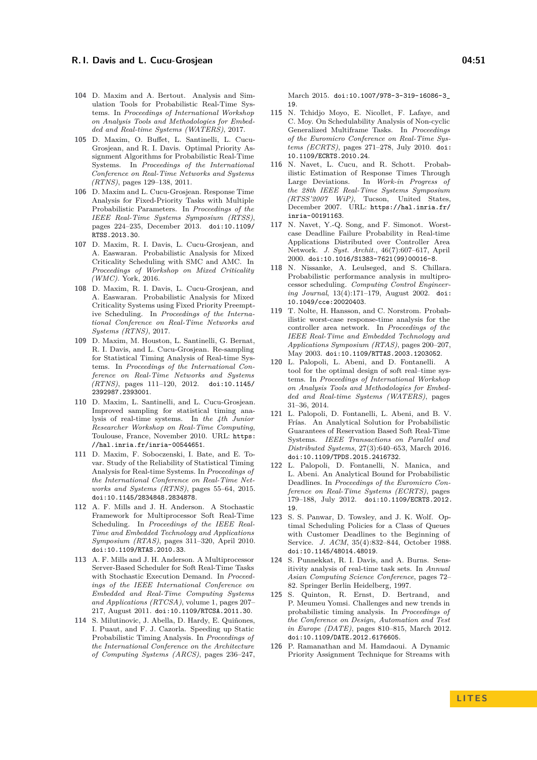- <span id="page-50-2"></span>**104** D. Maxim and A. Bertout. Analysis and Simulation Tools for Probabilistic Real-Time Systems. In *Proceedings of International Workshop on Analysis Tools and Methodologies for Embedded and Real-time Systems (WATERS)*, 2017.
- <span id="page-50-0"></span>**105** D. Maxim, O. Buffet, L. Santinelli, L. Cucu-Grosjean, and R. I. Davis. Optimal Priority Assignment Algorithms for Probabilistic Real-Time Systems. In *Proceedings of the International Conference on Real-Time Networks and Systems (RTNS)*, pages 129–138, 2011.
- <span id="page-50-1"></span>**106** D. Maxim and L. Cucu-Grosjean. Response Time Analysis for Fixed-Priority Tasks with Multiple Probabilistic Parameters. In *Proceedings of the IEEE Real-Time Systems Symposium (RTSS)*, pages 224–235, December 2013. [doi:10.1109/](http://dx.doi.org/10.1109/RTSS.2013.30) [RTSS.2013.30](http://dx.doi.org/10.1109/RTSS.2013.30).
- <span id="page-50-11"></span>**107** D. Maxim, R. I. Davis, L. Cucu-Grosjean, and A. Easwaran. Probabilistic Analysis for Mixed Criticality Scheduling with SMC and AMC. In *Proceedings of Workshop on Mixed Criticality (WMC)*. York, 2016.
- <span id="page-50-12"></span>**108** D. Maxim, R. I. Davis, L. Cucu-Grosjean, and A. Easwaran. Probabilistic Analysis for Mixed Criticality Systems using Fixed Priority Preemptive Scheduling. In *Proceedings of the International Conference on Real-Time Networks and Systems (RTNS)*, 2017.
- <span id="page-50-18"></span>**109** D. Maxim, M. Houston, L. Santinelli, G. Bernat, R. I. Davis, and L. Cucu-Grosjean. Re-sampling for Statistical Timing Analysis of Real-time Systems. In *Proceedings of the International Conference on Real-Time Networks and Systems (RTNS)*, pages 111–120, 2012. [doi:10.1145/](http://dx.doi.org/10.1145/2392987.2393001) [2392987.2393001](http://dx.doi.org/10.1145/2392987.2393001).
- <span id="page-50-17"></span>**110** D. Maxim, L. Santinelli, and L. Cucu-Grosjean. Improved sampling for statistical timing analysis of real-time systems. In *the 4th Junior Researcher Workshop on Real-Time Computing*, Toulouse, France, November 2010. URL: [https:](https://hal.inria.fr/inria-00544651) [//hal.inria.fr/inria-00544651](https://hal.inria.fr/inria-00544651).
- <span id="page-50-10"></span>**111** D. Maxim, F. Soboczenski, I. Bate, and E. Tovar. Study of the Reliability of Statistical Timing Analysis for Real-time Systems. In *Proceedings of the International Conference on Real-Time Networks and Systems (RTNS)*, pages 55–64, 2015. [doi:10.1145/2834848.2834878](http://dx.doi.org/10.1145/2834848.2834878).
- <span id="page-50-15"></span>**112** A. F. Mills and J. H. Anderson. A Stochastic Framework for Multiprocessor Soft Real-Time Scheduling. In *Proceedings of the IEEE Real-Time and Embedded Technology and Applications Symposium (RTAS)*, pages 311–320, April 2010. [doi:10.1109/RTAS.2010.33](http://dx.doi.org/10.1109/RTAS.2010.33).
- <span id="page-50-14"></span>**113** A. F. Mills and J. H. Anderson. A Multiprocessor Server-Based Scheduler for Soft Real-Time Tasks with Stochastic Execution Demand. In *Proceedings of the IEEE International Conference on Embedded and Real-Time Computing Systems and Applications (RTCSA)*, volume 1, pages 207– 217, August 2011. [doi:10.1109/RTCSA.2011.30](http://dx.doi.org/10.1109/RTCSA.2011.30).
- <span id="page-50-19"></span>**114** S. Milutinovic, J. Abella, D. Hardy, E. Quiñones, I. Puaut, and F. J. Cazorla. Speeding up Static Probabilistic Timing Analysis. In *Proceedings of the International Conference on the Architecture of Computing Systems (ARCS)*, pages 236–247,

March 2015. [doi:10.1007/978-3-319-16086-3\\_](http://dx.doi.org/10.1007/978-3-319-16086-3_19) [19](http://dx.doi.org/10.1007/978-3-319-16086-3_19).

- <span id="page-50-21"></span>**115** N. Tchidjo Moyo, E. Nicollet, F. Lafaye, and C. Moy. On Schedulability Analysis of Non-cyclic Generalized Multiframe Tasks. In *Proceedings of the Euromicro Conference on Real-Time Systems (ECRTS)*, pages 271–278, July 2010. [doi:](http://dx.doi.org/10.1109/ECRTS.2010.24) [10.1109/ECRTS.2010.24](http://dx.doi.org/10.1109/ECRTS.2010.24).
- <span id="page-50-9"></span>**116** N. Navet, L. Cucu, and R. Schott. Probabilistic Estimation of Response Times Through Large Deviations. In *Work-in Progress of the 28th IEEE Real-Time Systems Symposium (RTSS'2007 WiP)*, Tucson, United States, December 2007. URL: [https://hal.inria.fr/](https://hal.inria.fr/inria-00191163) [inria-00191163](https://hal.inria.fr/inria-00191163).
- <span id="page-50-7"></span>**117** N. Navet, Y.-Q. Song, and F. Simonot. Worstcase Deadline Failure Probability in Real-time Applications Distributed over Controller Area Network. *J. Syst. Archit.*, 46(7):607–617, April 2000. [doi:10.1016/S1383-7621\(99\)00016-8](http://dx.doi.org/10.1016/S1383-7621(99)00016-8).
- <span id="page-50-13"></span>**118** N. Nissanke, A. Leulseged, and S. Chillara. Probabilistic performance analysis in multiprocessor scheduling. *Computing Control Engineering Journal*, 13(4):171–179, August 2002. [doi:](http://dx.doi.org/10.1049/cce:20020403) [10.1049/cce:20020403](http://dx.doi.org/10.1049/cce:20020403).
- <span id="page-50-8"></span>**119** T. Nolte, H. Hansson, and C. Norstrom. Probabilistic worst-case response-time analysis for the controller area network. In *Proceedings of the IEEE Real-Time and Embedded Technology and Applications Symposium (RTAS)*, pages 200–207, May 2003. [doi:10.1109/RTTAS.2003.1203052](http://dx.doi.org/10.1109/RTTAS.2003.1203052).
- <span id="page-50-4"></span>**120** L. Palopoli, L. Abeni, and D. Fontanelli. A tool for the optimal design of soft real–time systems. In *Proceedings of International Workshop on Analysis Tools and Methodologies for Embedded and Real-time Systems (WATERS)*, pages 31–36, 2014.
- <span id="page-50-5"></span>**121** L. Palopoli, D. Fontanelli, L. Abeni, and B. V. Frías. An Analytical Solution for Probabilistic Guarantees of Reservation Based Soft Real-Time Systems. *IEEE Transactions on Parallel and Distributed Systems*, 27(3):640–653, March 2016. [doi:10.1109/TPDS.2015.2416732](http://dx.doi.org/10.1109/TPDS.2015.2416732).
- <span id="page-50-3"></span>**122** L. Palopoli, D. Fontanelli, N. Manica, and L. Abeni. An Analytical Bound for Probabilistic Deadlines. In *Proceedings of the Euromicro Conference on Real-Time Systems (ECRTS)*, pages 179–188, July 2012. [doi:10.1109/ECRTS.2012.](http://dx.doi.org/10.1109/ECRTS.2012.19) [19](http://dx.doi.org/10.1109/ECRTS.2012.19).
- <span id="page-50-6"></span>**123** S. S. Panwar, D. Towsley, and J. K. Wolf. Optimal Scheduling Policies for a Class of Queues with Customer Deadlines to the Beginning of Service. *J. ACM*, 35(4):832–844, October 1988. [doi:10.1145/48014.48019](http://dx.doi.org/10.1145/48014.48019).
- <span id="page-50-22"></span>**124** S. Punnekkat, R. I. Davis, and A. Burns. Sensitivity analysis of real-time task sets. In *Annual Asian Computing Science Conference*, pages 72– 82. Springer Berlin Heidelberg, 1997.
- <span id="page-50-16"></span>**125** S. Quinton, R. Ernst, D. Bertrand, and P. Meumeu Yomsi. Challenges and new trends in probabilistic timing analysis. In *Proceedings of the Conference on Design, Automation and Test in Europe (DATE)*, pages 810–815, March 2012. [doi:10.1109/DATE.2012.6176605](http://dx.doi.org/10.1109/DATE.2012.6176605).
- <span id="page-50-20"></span>**126** P. Ramanathan and M. Hamdaoui. A Dynamic Priority Assignment Technique for Streams with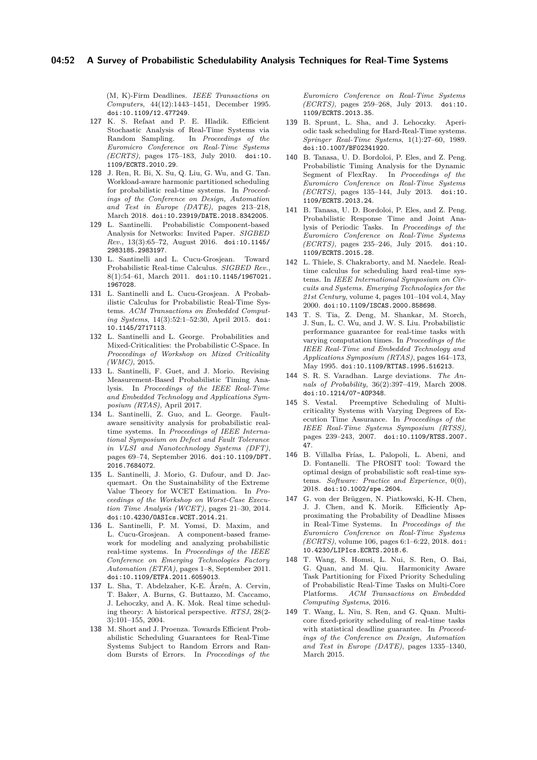(M, K)-Firm Deadlines. *IEEE Transactions on Computers*, 44(12):1443–1451, December 1995. [doi:10.1109/12.477249](http://dx.doi.org/10.1109/12.477249).

- <span id="page-51-16"></span>**127** K. S. Refaat and P. E. Hladik. Efficient Stochastic Analysis of Real-Time Systems via Random Sampling. In *Proceedings of the Euromicro Conference on Real-Time Systems (ECRTS)*, pages 175–183, July 2010. [doi:10.](http://dx.doi.org/10.1109/ECRTS.2010.29) [1109/ECRTS.2010.29](http://dx.doi.org/10.1109/ECRTS.2010.29).
- <span id="page-51-15"></span>**128** J. Ren, R. Bi, X. Su, Q. Liu, G. Wu, and G. Tan. Workload-aware harmonic partitioned scheduling for probabilistic real-time systems. In *Proceedings of the Conference on Design, Automation and Test in Europe (DATE)*, pages 213–218, March 2018. [doi:10.23919/DATE.2018.8342005](http://dx.doi.org/10.23919/DATE.2018.8342005).
- <span id="page-51-8"></span>**129** L. Santinelli. Probabilistic Component-based Analysis for Networks: Invited Paper. *SIGBED Rev.*, 13(3):65–72, August 2016. [doi:10.1145/](http://dx.doi.org/10.1145/2983185.2983197) [2983185.2983197](http://dx.doi.org/10.1145/2983185.2983197).
- <span id="page-51-5"></span>**130** L. Santinelli and L. Cucu-Grosjean. Toward Probabilistic Real-time Calculus. *SIGBED Rev.*, 8(1):54–61, March 2011. [doi:10.1145/1967021.](http://dx.doi.org/10.1145/1967021.1967028) [1967028](http://dx.doi.org/10.1145/1967021.1967028).
- <span id="page-51-6"></span>**131** L. Santinelli and L. Cucu-Grosjean. A Probabilistic Calculus for Probabilistic Real-Time Systems. *ACM Transactions on Embedded Computing Systems*, 14(3):52:1–52:30, April 2015. [doi:](http://dx.doi.org/10.1145/2717113) [10.1145/2717113](http://dx.doi.org/10.1145/2717113).
- <span id="page-51-12"></span>**132** L. Santinelli and L. George. Probabilities and Mixed-Criticalities: the Probabilistic C-Space. In *Proceedings of Workshop on Mixed Criticality (WMC)*, 2015.
- <span id="page-51-1"></span>**133** L. Santinelli, F. Guet, and J. Morio. Revising Measurement-Based Probabilistic Timing Analysis. In *Proceedings of the IEEE Real-Time and Embedded Technology and Applications Symposium (RTAS)*, April 2017.
- <span id="page-51-11"></span>**134** L. Santinelli, Z. Guo, and L. George. Faultaware sensitivity analysis for probabilistic realtime systems. In *Proceedings of IEEE International Symposium on Defect and Fault Tolerance in VLSI and Nanotechnology Systems (DFT)*, pages 69–74, September 2016. [doi:10.1109/DFT.](http://dx.doi.org/10.1109/DFT.2016.7684072) [2016.7684072](http://dx.doi.org/10.1109/DFT.2016.7684072).
- <span id="page-51-0"></span>**135** L. Santinelli, J. Morio, G. Dufour, and D. Jacquemart. On the Sustainability of the Extreme Value Theory for WCET Estimation. In *Proceedings of the Workshop on Worst-Case Execution Time Analysis (WCET)*, pages 21–30, 2014. [doi:10.4230/OASIcs.WCET.2014.21](http://dx.doi.org/10.4230/OASIcs.WCET.2014.21).
- <span id="page-51-7"></span>**136** L. Santinelli, P. M. Yomsi, D. Maxim, and L. Cucu-Grosjean. A component-based framework for modeling and analyzing probabilistic real-time systems. In *Proceedings of the IEEE Conference on Emerging Technologies Factory Automation (ETFA)*, pages 1–8, September 2011. [doi:10.1109/ETFA.2011.6059013](http://dx.doi.org/10.1109/ETFA.2011.6059013).
- <span id="page-51-18"></span>**137** L. Sha, T. Abdelzaher, K-E. Årzén, A. Cervin, T. Baker, A. Burns, G. Buttazzo, M. Caccamo, J. Lehoczky, and A. K. Mok. Real time scheduling theory: A historical perspective. *RTSJ*, 28(2- 3):101–155, 2004.
- <span id="page-51-10"></span>**138** M. Short and J. Proenza. Towards Efficient Probabilistic Scheduling Guarantees for Real-Time Systems Subject to Random Errors and Random Bursts of Errors. In *Proceedings of the*

*Euromicro Conference on Real-Time Systems (ECRTS)*, pages 259–268, July 2013. [doi:10.](http://dx.doi.org/10.1109/ECRTS.2013.35) [1109/ECRTS.2013.35](http://dx.doi.org/10.1109/ECRTS.2013.35).

- <span id="page-51-19"></span>**139** B. Sprunt, L. Sha, and J. Lehoczky. Aperiodic task scheduling for Hard-Real-Time systems. *Springer Real-Time Systems*, 1(1):27–60, 1989. [doi:10.1007/BF02341920](http://dx.doi.org/10.1007/BF02341920).
- <span id="page-51-4"></span>**140** B. Tanasa, U. D. Bordoloi, P. Eles, and Z. Peng. Probabilistic Timing Analysis for the Dynamic Segment of FlexRay. In *Proceedings of the Euromicro Conference on Real-Time Systems (ECRTS)*, pages 135–144, July 2013. [doi:10.](http://dx.doi.org/10.1109/ECRTS.2013.24) [1109/ECRTS.2013.24](http://dx.doi.org/10.1109/ECRTS.2013.24).
- <span id="page-51-3"></span>**141** B. Tanasa, U. D. Bordoloi, P. Eles, and Z. Peng. Probabilistic Response Time and Joint Analysis of Periodic Tasks. In *Proceedings of the Euromicro Conference on Real-Time Systems (ECRTS)*, pages 235–246, July 2015. [doi:10.](http://dx.doi.org/10.1109/ECRTS.2015.28) [1109/ECRTS.2015.28](http://dx.doi.org/10.1109/ECRTS.2015.28).
- <span id="page-51-20"></span>**142** L. Thiele, S. Chakraborty, and M. Naedele. Realtime calculus for scheduling hard real-time systems. In *IEEE International Symposium on Circuits and Systems. Emerging Technologies for the 21st Century*, volume 4, pages 101–104 vol.4, May 2000. [doi:10.1109/ISCAS.2000.858698](http://dx.doi.org/10.1109/ISCAS.2000.858698).
- <span id="page-51-2"></span>**143** T. S. Tia, Z. Deng, M. Shankar, M. Storch, J. Sun, L. C. Wu, and J. W. S. Liu. Probabilistic performance guarantee for real-time tasks with varying computation times. In *Proceedings of the IEEE Real-Time and Embedded Technology and Applications Symposium (RTAS)*, pages 164–173, May 1995. [doi:10.1109/RTTAS.1995.516213](http://dx.doi.org/10.1109/RTTAS.1995.516213).
- <span id="page-51-21"></span>**144** S. R. S. Varadhan. Large deviations. *The Annals of Probability*, 36(2):397–419, March 2008. [doi:10.1214/07-AOP348](http://dx.doi.org/10.1214/07-AOP348).
- <span id="page-51-22"></span>**145** S. Vestal. Preemptive Scheduling of Multicriticality Systems with Varying Degrees of Execution Time Assurance. In *Proceedings of the IEEE Real-Time Systems Symposium (RTSS)*, pages 239–243, 2007. [doi:10.1109/RTSS.2007.](http://dx.doi.org/10.1109/RTSS.2007.47) [47](http://dx.doi.org/10.1109/RTSS.2007.47).
- <span id="page-51-9"></span>**146** B. Villalba Frías, L. Palopoli, L. Abeni, and D. Fontanelli. The PROSIT tool: Toward the optimal design of probabilistic soft real-time systems. *Software: Practice and Experience*, 0(0), 2018. [doi:10.1002/spe.2604](http://dx.doi.org/10.1002/spe.2604).
- <span id="page-51-17"></span>**147** G. von der Brüggen, N. Piatkowski, K-H. Chen, J. J. Chen, and K. Morik. Efficiently Approximating the Probability of Deadline Misses in Real-Time Systems. In *Proceedings of the Euromicro Conference on Real-Time Systems (ECRTS)*, volume 106, pages 6:1–6:22, 2018. [doi:](http://dx.doi.org/10.4230/LIPIcs.ECRTS.2018.6) [10.4230/LIPIcs.ECRTS.2018.6](http://dx.doi.org/10.4230/LIPIcs.ECRTS.2018.6).
- <span id="page-51-14"></span>**148** T. Wang, S. Homsi, L. Nui, S. Ren, O. Bai, G. Quan, and M. Qiu. Harmonicity Aware Task Partitioning for Fixed Priority Scheduling of Probabilistic Real-Time Tasks on Multi-Core Platforms. *ACM Transactions on Embedded Computing Systems*, 2016.
- <span id="page-51-13"></span>**149** T. Wang, L. Niu, S. Ren, and G. Quan. Multicore fixed-priority scheduling of real-time tasks with statistical deadline guarantee. In *Proceedings of the Conference on Design, Automation and Test in Europe (DATE)*, pages 1335–1340, March 2015.